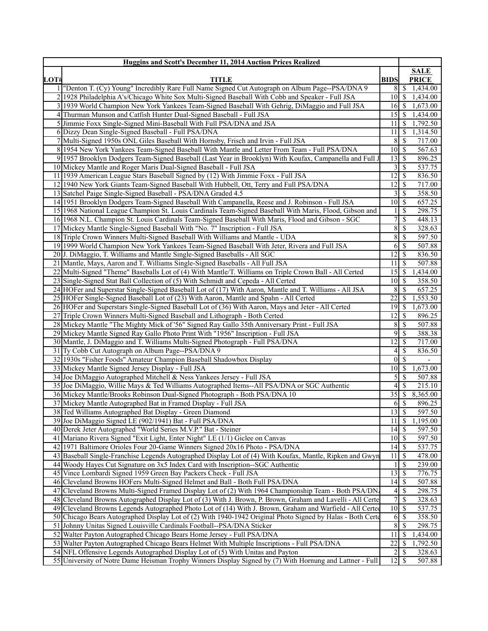| <b>Huggins and Scott's December 11, 2014 Auction Prices Realized</b> |                                                                                                            |                    |                           |                     |  |  |
|----------------------------------------------------------------------|------------------------------------------------------------------------------------------------------------|--------------------|---------------------------|---------------------|--|--|
|                                                                      |                                                                                                            |                    |                           |                     |  |  |
| LOT#                                                                 | <b>TITLE</b>                                                                                               | <b>BIDS</b>        |                           | <b>PRICE</b>        |  |  |
|                                                                      | "Denton T. (Cy) Young" Incredibly Rare Full Name Signed Cut Autograph on Album Page--PSA/DNA 9             |                    | $8 \mid S$                | 1,434.00            |  |  |
| $\overline{2}$                                                       | 1928 Philadelphia A's/Chicago White Sox Multi-Signed Baseball With Cobb and Speaker - Full JSA             | $10\vert S$        |                           | 1,434.00            |  |  |
| 31                                                                   | 1939 World Champion New York Yankees Team-Signed Baseball With Gehrig, DiMaggio and Full JSA               | $16$ \$            |                           | 1,673.00            |  |  |
| 4                                                                    | Thurman Munson and Catfish Hunter Dual-Signed Baseball - Full JSA                                          | 15                 | l S                       | 1,434.00            |  |  |
|                                                                      | 5 Jimmie Foxx Single-Signed Mini-Baseball With Full PSA/DNA and JSA                                        | 11                 | -S                        | 1,792.50            |  |  |
|                                                                      | 6 Dizzy Dean Single-Signed Baseball - Full PSA/DNA                                                         | 11                 | -S                        | 1,314.50            |  |  |
|                                                                      | Multi-Signed 1950s ONL Giles Baseball With Hornsby, Frisch and Irvin - Full JSA                            | 8                  | -S                        | 717.00              |  |  |
|                                                                      | 8 1954 New York Yankees Team-Signed Baseball With Mantle and Letter From Team - Full PSA/DNA               | $10 \mid$ \$       |                           | 567.63              |  |  |
|                                                                      | 9 1957 Brooklyn Dodgers Team-Signed Baseball (Last Year in Brooklyn) With Koufax, Campanella and Full J    | 13                 | S                         | 896.25              |  |  |
|                                                                      | 10 Mickey Mantle and Roger Maris Dual-Signed Baseball - Full JSA                                           | 3                  | $\sqrt{S}$                | 537.75              |  |  |
|                                                                      | 11 1939 American League Stars Baseball Signed by (12) With Jimmie Foxx - Full JSA                          | 12                 | $\mathcal{S}$             | 836.50              |  |  |
|                                                                      | 12 1940 New York Giants Team-Signed Baseball With Hubbell, Ott, Terry and Full PSA/DNA                     | 12                 | S                         | 717.00              |  |  |
|                                                                      | 13 Satchel Paige Single-Signed Baseball - PSA/DNA Graded 4.5                                               | 3                  | -S                        | 358.50              |  |  |
|                                                                      | 14 1951 Brooklyn Dodgers Team-Signed Baseball With Campanella, Reese and J. Robinson - Full JSA            | $10 \mid$ \$       |                           | 657.25              |  |  |
|                                                                      | 15 1968 National League Champion St. Louis Cardinals Team-Signed Baseball With Maris, Flood, Gibson and    |                    | <sup>\$</sup>             | 298.75              |  |  |
|                                                                      | 16 1968 N.L. Champion St. Louis Cardinals Team-Signed Baseball With Maris, Flood and Gibson - SGC          | 7                  | <sup>\$</sup>             | 448.13              |  |  |
|                                                                      | 17 Mickey Mantle Single-Signed Baseball With "No. 7" Inscription - Full JSA                                | $\bf 8$            | $\boldsymbol{\mathsf{S}}$ | 328.63              |  |  |
|                                                                      | 18 Triple Crown Winners Multi-Signed Baseball With Williams and Mantle - UDA                               | 8 <sup>1</sup>     | \$                        | 597.50              |  |  |
|                                                                      | 19 1999 World Champion New York Yankees Team-Signed Baseball With Jeter, Rivera and Full JSA               | 6                  | $\mathbb{S}$              | $\overline{507.88}$ |  |  |
|                                                                      | 20 J. DiMaggio, T. Williams and Mantle Single-Signed Baseballs - All SGC                                   | 12                 | $\boldsymbol{\mathsf{S}}$ | 836.50              |  |  |
| 21                                                                   | Mantle, Mays, Aaron and T. Williams Single-Signed Baseballs - All Full JSA                                 | 11                 | - \$                      | 507.88              |  |  |
| 22                                                                   | Multi-Signed "Theme" Baseballs Lot of (4) With Mantle/T. Williams on Triple Crown Ball - All Certed        | 15                 | l \$                      | 1,434.00            |  |  |
|                                                                      | 23 Single-Signed Stat Ball Collection of (5) With Schmidt and Cepeda - All Certed                          | $10\vert S$        |                           | 358.50              |  |  |
|                                                                      | 24 HOFer and Superstar Single-Signed Baseball Lot of (17) With Aaron, Mantle and T. Williams - All JSA     | 8                  | -\$                       | 657.25              |  |  |
|                                                                      | 25 HOFer Single-Signed Baseball Lot of (23) With Aaron, Mantle and Spahn - All Certed                      | 22                 | \$                        | 1,553.50            |  |  |
|                                                                      | 26 HOFer and Superstars Single-Signed Baseball Lot of (36) With Aaron, Mays and Jeter - All Certed         | 19                 | - \$                      | 1,673.00            |  |  |
|                                                                      | 27 Triple Crown Winners Multi-Signed Baseball and Lithograph - Both Certed                                 | 12                 | S                         | 896.25              |  |  |
|                                                                      | 28 Mickey Mantle "The Mighty Mick of '56" Signed Ray Gallo 35th Anniversary Print - Full JSA               | 8                  | $\sqrt{S}$                | 507.88              |  |  |
|                                                                      | 29 Mickey Mantle Signed Ray Gallo Photo Print With "1956" Inscription - Full JSA                           | 9                  | $\mathcal{S}$             | 388.38              |  |  |
|                                                                      | 30 Mantle, J. DiMaggio and T. Williams Multi-Signed Photograph - Full PSA/DNA                              | 12                 | l \$                      | 717.00              |  |  |
|                                                                      | 31 Ty Cobb Cut Autograph on Album Page--PSA/DNA 9                                                          | 4                  | <sup>\$</sup>             | 836.50              |  |  |
|                                                                      | 32 1930s "Fisher Foods" Amateur Champion Baseball Shadowbox Display                                        | $\theta$           | \$                        |                     |  |  |
|                                                                      |                                                                                                            | $\overline{1}0$ \$ |                           |                     |  |  |
|                                                                      | 33 Mickey Mantle Signed Jersey Display - Full JSA                                                          | $\mathfrak{S}$     | $\mathcal{S}$             | 1,673.00            |  |  |
|                                                                      | 34 Joe DiMaggio Autographed Mitchell & Ness Yankees Jersey - Full JSA                                      | 4                  | S                         | 507.88<br>215.10    |  |  |
|                                                                      | 35 Joe DiMaggio, Willie Mays & Ted Williams Autographed Items--All PSA/DNA or SGC Authentic                |                    |                           |                     |  |  |
|                                                                      | 36 Mickey Mantle/Brooks Robinson Dual-Signed Photograph - Both PSA/DNA 10                                  |                    |                           | 8,365.00            |  |  |
|                                                                      | 37 Mickey Mantle Autographed Bat in Framed Display - Full JSA                                              | 6                  | \$                        | 896.25              |  |  |
|                                                                      | 38 Ted Williams Autographed Bat Display - Green Diamond                                                    | 13S                |                           | 597.50              |  |  |
|                                                                      | 39 Joe DiMaggio Signed LE (902/1941) Bat - Full PSA/DNA                                                    | 11                 | \$                        | 1,195.00            |  |  |
|                                                                      | 40 Derek Jeter Autographed "World Series M.V.P." Bat - Steiner                                             | 14                 | $\overline{\mathcal{S}}$  | 597.50              |  |  |
|                                                                      | 41 Mariano Rivera Signed "Exit Light, Enter Night" LE (1/1) Giclee on Canvas                               | $10 \mid$ \$       |                           | 597.50              |  |  |
|                                                                      | 42 1971 Baltimore Orioles Four 20-Game Winners Signed 20x16 Photo - PSA/DNA                                | $14 \mid$ \$       |                           | 537.75              |  |  |
|                                                                      | 43 Baseball Single-Franchise Legends Autographed Display Lot of (4) With Koufax, Mantle, Ripken and Gwyn   | 11                 | \$                        | 478.00              |  |  |
|                                                                      | 44 Woody Hayes Cut Signature on 3x5 Index Card with Inscription-SGC Authentic                              |                    | \$                        | 239.00              |  |  |
|                                                                      | 45 Vince Lombardi Signed 1959 Green Bay Packers Check - Full JSA                                           | 13                 | \$                        | 776.75              |  |  |
|                                                                      | 46 Cleveland Browns HOFers Multi-Signed Helmet and Ball - Both Full PSA/DNA                                | 14                 | <sup>\$</sup>             | 507.88              |  |  |
|                                                                      | 47 Cleveland Browns Multi-Signed Framed Display Lot of (2) With 1964 Championship Team - Both PSA/DN       | 4                  | $\mathcal{S}$             | 298.75              |  |  |
|                                                                      | 48 Cleveland Browns Autographed Display Lot of (3) With J. Brown, P. Brown, Graham and Lavelli - All Certe | $\overline{7}$     | $\mathcal{S}$             | 328.63              |  |  |
| 49                                                                   | Cleveland Browns Legends Autographed Photo Lot of (14) With J. Brown, Graham and Warfield - All Certed     | $10 \mid$ \$       |                           | 537.75              |  |  |
|                                                                      | 50 Chicago Bears Autographed Display Lot of (2) With 1940-1942 Original Photo Signed by Halas - Both Certe | 6                  | S                         | 358.50              |  |  |
|                                                                      | 51 Johnny Unitas Signed Louisville Cardinals Football--PSA/DNA Sticker                                     | $8\,$              | - \$                      | 298.75              |  |  |
|                                                                      | 52 Walter Payton Autographed Chicago Bears Home Jersey - Full PSA/DNA                                      | 11                 | S                         | 1,434.00            |  |  |
|                                                                      | 53 Walter Payton Autographed Chicago Bears Helmet With Multiple Inscriptions - Full PSA/DNA                | $\overline{22}$    | S                         | 1,792.50            |  |  |
|                                                                      | 54 NFL Offensive Legends Autographed Display Lot of (5) With Unitas and Payton                             | 2                  | -S                        | 328.63              |  |  |
|                                                                      | 55 University of Notre Dame Heisman Trophy Winners Display Signed by (7) With Hornung and Lattner - Full   |                    |                           | 507.88              |  |  |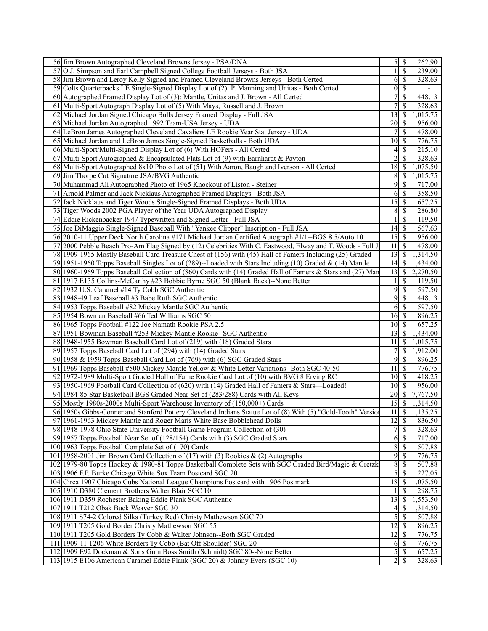| 56 Jim Brown Autographed Cleveland Browns Jersey - PSA/DNA                                                                                                                         |                                  | $5\overline{\smash{)}\,}$<br>262.90 |
|------------------------------------------------------------------------------------------------------------------------------------------------------------------------------------|----------------------------------|-------------------------------------|
| 57 O.J. Simpson and Earl Campbell Signed College Football Jerseys - Both JSA                                                                                                       | 1                                | $\mathcal{S}$<br>239.00             |
| 58 Jim Brown and Leroy Kelly Signed and Framed Cleveland Browns Jerseys - Both Certed                                                                                              | 6                                | $\mathbb{S}$<br>328.63              |
| 59 Colts Quarterbacks LE Single-Signed Display Lot of (2): P. Manning and Unitas - Both Certed                                                                                     | $\boldsymbol{0}$                 | \$<br>$\overline{\phantom{0}}$      |
| 60 Autographed Framed Display Lot of (3): Mantle, Unitas and J. Brown - All Certed                                                                                                 | 7                                | \$<br>448.13                        |
| 61 Multi-Sport Autograph Display Lot of (5) With Mays, Russell and J. Brown                                                                                                        | $\overline{7}$                   | \$<br>328.63                        |
| 62 Michael Jordan Signed Chicago Bulls Jersey Framed Display - Full JSA                                                                                                            | 13                               | 1,015.75<br>\$                      |
| 63 Michael Jordan Autographed 1992 Team-USA Jersey - UDA                                                                                                                           | 20                               | 956.00<br>\$                        |
| 64 LeBron James Autographed Cleveland Cavaliers LE Rookie Year Stat Jersey - UDA                                                                                                   | 7                                | $\mathcal{S}$<br>478.00             |
| 65 Michael Jordan and LeBron James Single-Signed Basketballs - Both UDA                                                                                                            | 10                               | -\$<br>776.75                       |
| 66 Multi-Sport/Multi-Signed Display Lot of (6) With HOFers - All Certed                                                                                                            | 4                                | 215.10<br>\$                        |
|                                                                                                                                                                                    | $\overline{c}$                   |                                     |
| 67 Multi-Sport Autographed & Encapsulated Flats Lot of (9) with Earnhardt & Payton<br>68 Multi-Sport Autographed 8x10 Photo Lot of (51) With Aaron, Baugh and Iverson - All Certed | 18                               | 328.63<br>\$                        |
|                                                                                                                                                                                    |                                  | 1,075.50<br>-\$                     |
| 69 Jim Thorpe Cut Signature JSA/BVG Authentic                                                                                                                                      | 8                                | 1,015.75<br>-S                      |
| 70 Muhammad Ali Autographed Photo of 1965 Knockout of Liston - Steiner                                                                                                             | 9                                | 717.00<br>$\mathcal{S}$             |
| 71 Arnold Palmer and Jack Nicklaus Autographed Framed Displays - Both JSA                                                                                                          | 6                                | 358.50<br>-\$                       |
| 72 Jack Nicklaus and Tiger Woods Single-Signed Framed Displays - Both UDA                                                                                                          | 15                               | 657.25<br>$\mathcal{S}$             |
| 73 Tiger Woods 2002 PGA Player of the Year UDA Autographed Display                                                                                                                 | 8                                | \$<br>286.80                        |
| 74 Eddie Rickenbacker 1947 Typewritten and Signed Letter - Full JSA                                                                                                                | 1                                | <sup>\$</sup><br>119.50             |
| 75 Joe DiMaggio Single-Signed Baseball With "Yankee Clipper" Inscription - Full JSA                                                                                                | 14                               | 567.63<br>- \$                      |
| 76 2010-11 Upper Deck North Carolina #171 Michael Jordan Certified Autograph #1/1--BGS 8.5/Auto 10                                                                                 | $15 \overline{\smash{\big)}\ 5}$ | 956.00                              |
| 77 2000 Pebble Beach Pro-Am Flag Signed by (12) Celebrities With C. Eastwood, Elway and T. Woods - Full J.                                                                         | 11                               | 478.00<br><sup>\$</sup>             |
| 78 1909-1965 Mostly Baseball Card Treasure Chest of (156) with (45) Hall of Famers Including (25) Graded                                                                           | 13                               | 1,314.50<br>-S                      |
| 79 1951-1960 Topps Baseball Singles Lot of (289)--Loaded with Stars Including (10) Graded & (14) Mantle                                                                            | 14                               | - S<br>1,434.00                     |
| 80 1960-1969 Topps Baseball Collection of (860) Cards with (14) Graded Hall of Famers & Stars and (27) Man                                                                         | 13                               | 2,270.50<br>-\$                     |
| 81 1917 E135 Collins-McCarthy #23 Bobbie Byrne SGC 50 (Blank Back)--None Better                                                                                                    | 1                                | 119.50<br>-S                        |
| 82 1932 U.S. Caramel #14 Ty Cobb SGC Authentic                                                                                                                                     | 9                                | 597.50<br>-\$                       |
| 83 1948-49 Leaf Baseball #3 Babe Ruth SGC Authentic                                                                                                                                | 9                                | 448.13<br>\$                        |
| 84 1953 Topps Baseball #82 Mickey Mantle SGC Authentic                                                                                                                             | 6                                | 597.50<br>-\$                       |
| 85 1954 Bowman Baseball #66 Ted Williams SGC 50                                                                                                                                    | 16                               | 896.25<br>  \$                      |
| 86 1965 Topps Football #122 Joe Namath Rookie PSA 2.5                                                                                                                              | 10                               | 657.25<br>  S                       |
| 87 1951 Bowman Baseball #253 Mickey Mantle Rookie--SGC Authentic                                                                                                                   | 13                               | -S<br>1,434.00                      |
| 88 1948-1955 Bowman Baseball Card Lot of (219) with (18) Graded Stars                                                                                                              | 11                               | -S<br>1,015.75                      |
| 89 1957 Topps Baseball Card Lot of (294) with (14) Graded Stars                                                                                                                    | 7                                | 1,912.00<br>\$                      |
| 90 1958 & 1959 Topps Baseball Card Lot of (769) with (6) SGC Graded Stars                                                                                                          | 9                                | \$<br>896.25                        |
| 91 1969 Topps Baseball #500 Mickey Mantle Yellow & White Letter Variations--Both SGC 40-50                                                                                         | 11                               | -\$<br>776.75                       |
| 92 1972-1989 Multi-Sport Graded Hall of Fame Rookie Card Lot of (10) with BVG 8 Erving RC                                                                                          | 10                               | 418.25<br>l \$                      |
| 93 1950-1969 Football Card Collection of (620) with (14) Graded Hall of Famers & Stars—Loaded!                                                                                     | 10                               | S<br>956.00                         |
| 94 1984-85 Star Basketball BGS Graded Near Set of (283/288) Cards with All Keys                                                                                                    | 20                               | 7,767.50<br>-S                      |
| 95 Mostly 1980s-2000s Multi-Sport Warehouse Inventory of (150,000+) Cards                                                                                                          | 15                               | \$<br>1,314.50                      |
| 96 1950s Gibbs-Conner and Stanford Pottery Cleveland Indians Statue Lot of (8) With (5) "Gold-Tooth" Version                                                                       | $11 \mid S$                      | 1,135.25                            |
| 97 1961-1963 Mickey Mantle and Roger Maris White Base Bobblehead Dolls                                                                                                             | $\overline{12}$ \$               | 836.50                              |
| 98 1948-1978 Ohio State University Football Game Program Collection of (30)                                                                                                        | 7                                | <sup>\$</sup><br>328.63             |
| 99 1957 Topps Football Near Set of (128/154) Cards with (3) SGC Graded Stars                                                                                                       | 6                                | 717.00<br>  \$                      |
| 100 1963 Topps Football Complete Set of (170) Cards                                                                                                                                | $\,$ $\,$                        | <sup>\$</sup><br>507.88             |
| 101 1958-2001 Jim Brown Card Collection of (17) with (3) Rookies & (2) Autographs                                                                                                  | 9                                | 776.75<br>-S                        |
| 102 1979-80 Topps Hockey & 1980-81 Topps Basketball Complete Sets with SGC Graded Bird/Magic & Gretzk                                                                              | $\,8$                            | 507.88<br>-S                        |
| 103 1906 F.P. Burke Chicago White Sox Team Postcard SGC 20                                                                                                                         | 5                                | 227.05<br>\$                        |
| 104 Circa 1907 Chicago Cubs National League Champions Postcard with 1906 Postmark                                                                                                  | 18                               | 1,075.50<br>-\$                     |
| 105 1910 D380 Clement Brothers Walter Blair SGC 10                                                                                                                                 |                                  | 298.75<br>$\mathcal{S}$             |
| 106 1911 D359 Rochester Baking Eddie Plank SGC Authentic                                                                                                                           | 13                               | 1,553.50<br>-S                      |
| 107 1911 T212 Obak Buck Weaver SGC 30                                                                                                                                              | 4                                | 1,314.50<br>-\$                     |
| 108 1911 S74-2 Colored Silks (Turkey Red) Christy Mathewson SGC 70                                                                                                                 | 5                                | 507.88<br>-\$                       |
| 109 1911 T205 Gold Border Christy Mathewson SGC 55                                                                                                                                 | 12                               | 896.25<br>- \$                      |
| 110 1911 T205 Gold Borders Ty Cobb & Walter Johnson--Both SGC Graded                                                                                                               | 12                               | 776.75<br>  \$                      |
| 111 1909-11 T206 White Borders Ty Cobb (Bat Off Shoulder) SGC 20                                                                                                                   |                                  | 776.75<br>$6 \mid$ \$               |
| 112 1909 E92 Dockman & Sons Gum Boss Smith (Schmidt) SGC 80--None Better                                                                                                           | $\mathfrak{S}$                   | $\mathcal{S}$<br>657.25             |
| 113 1915 E106 American Caramel Eddie Plank (SGC 20) & Johnny Evers (SGC 10)                                                                                                        |                                  | 328.63                              |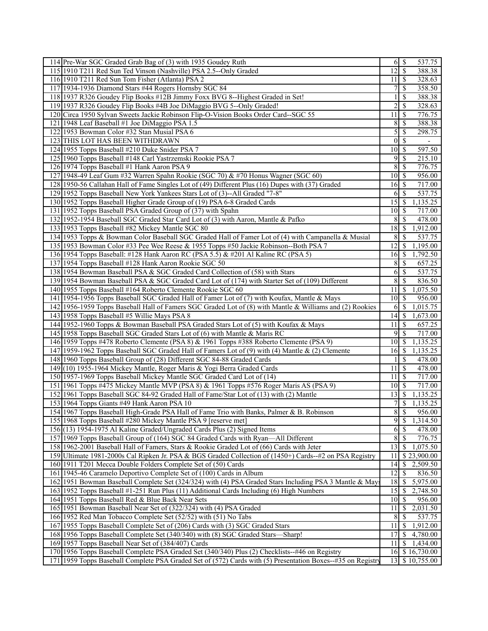| 114 Pre-War SGC Graded Grab Bag of (3) with 1935 Goudey Ruth                                                                                                                                                 |                 | 537.75                                    |
|--------------------------------------------------------------------------------------------------------------------------------------------------------------------------------------------------------------|-----------------|-------------------------------------------|
| 115 1910 T211 Red Sun Ted Vinson (Nashville) PSA 2.5--Only Graded                                                                                                                                            | 12              | $\mathsf{S}$<br>388.38                    |
| 116 1910 T211 Red Sun Tom Fisher (Atlanta) PSA 2                                                                                                                                                             | 11              | 328.63<br>l \$                            |
| 117 1934-1936 Diamond Stars #44 Rogers Hornsby SGC 84                                                                                                                                                        | 7               | $\mathcal{S}$<br>358.50                   |
| 118 1937 R326 Goudey Flip Books #12B Jimmy Foxx BVG 8--Highest Graded in Set!                                                                                                                                |                 | \$<br>388.38                              |
| 119 1937 R326 Goudey Flip Books #4B Joe DiMaggio BVG 5--Only Graded!                                                                                                                                         | $\overline{2}$  | <sup>\$</sup><br>328.63                   |
| 120 Circa 1950 Sylvan Sweets Jackie Robinson Flip-O-Vision Books Order Card--SGC 55                                                                                                                          | 11              | $\mathcal{S}$<br>776.75                   |
| 121 1948 Leaf Baseball #1 Joe DiMaggio PSA 1.5                                                                                                                                                               | 8               | -\$<br>388.38                             |
| 122 1953 Bowman Color #32 Stan Musial PSA 6                                                                                                                                                                  | 5               | -\$<br>298.75                             |
| 123 THIS LOT HAS BEEN WITHDRAWN                                                                                                                                                                              | $\mathbf{0}$    | $\mathcal{S}$<br>$\overline{\phantom{a}}$ |
| 124 1955 Topps Baseball #210 Duke Snider PSA 7                                                                                                                                                               | 10              | -\$<br>597.50                             |
| 125 1960 Topps Baseball #148 Carl Yastrzemski Rookie PSA 7                                                                                                                                                   | 9               | \$<br>215.10                              |
| 126 1974 Topps Baseball #1 Hank Aaron PSA 9                                                                                                                                                                  | 8               | 776.75<br>$\mathbb{S}$                    |
| 127 1948-49 Leaf Gum #32 Warren Spahn Rookie (SGC 70) & #70 Honus Wagner (SGC 60)                                                                                                                            | $10$ $\sqrt{5}$ | 956.00                                    |
| 128 1950-56 Callahan Hall of Fame Singles Lot of (49) Different Plus (16) Dupes with (37) Graded                                                                                                             | $16$ $\sqrt{ }$ | 717.00                                    |
| 129 1952 Topps Baseball New York Yankees Stars Lot of (3)--All Graded "7-8"                                                                                                                                  | 6               | 537.75<br>-\$                             |
| 130 1952 Topps Baseball Higher Grade Group of (19) PSA 6-8 Graded Cards                                                                                                                                      | 15              | 1,135.25<br>-S                            |
| 131 1952 Topps Baseball PSA Graded Group of (37) with Spahn                                                                                                                                                  | $10\sqrt{S}$    | 717.00                                    |
| 132 1952-1954 Baseball SGC Graded Star Card Lot of (3) with Aaron, Mantle & Pafko                                                                                                                            | 8               | $\overline{\mathcal{S}}$<br>478.00        |
| 133 1953 Topps Baseball #82 Mickey Mantle SGC 80                                                                                                                                                             | 18              | 1,912.00<br>  \$                          |
| 134 1953 Topps & Bowman Color Baseball SGC Graded Hall of Famer Lot of (4) with Campanella & Musial                                                                                                          | 8               | 537.75<br>-S                              |
| 135 1953 Bowman Color #33 Pee Wee Reese & 1955 Topps #50 Jackie Robinson--Both PSA 7                                                                                                                         | 12              | $\mathcal{S}$<br>1,195.00                 |
| 136 1954 Topps Baseball: #128 Hank Aaron RC (PSA 5.5) & #201 Al Kaline RC (PSA 5)                                                                                                                            | 16              | \$<br>1,792.50                            |
| 137 1954 Topps Baseball #128 Hank Aaron Rookie SGC 50                                                                                                                                                        | 8               | $\mathcal{S}$<br>657.25                   |
| 138 1954 Bowman Baseball PSA & SGC Graded Card Collection of (58) with Stars                                                                                                                                 | 6               | 537.75<br>$\mathbb{S}$                    |
| 139 1954 Bowman Baseball PSA & SGC Graded Card Lot of (174) with Starter Set of (109) Different                                                                                                              | 8               | $\vert$ \$<br>836.50                      |
| 140 1955 Topps Baseball #164 Roberto Clemente Rookie SGC 60                                                                                                                                                  | 11              | $\mathcal{S}$<br>1,075.50                 |
| 141 1954-1956 Topps Baseball SGC Graded Hall of Famer Lot of (7) with Koufax, Mantle & Mays                                                                                                                  | 10              | 956.00<br>  S                             |
| 142 1956-1959 Topps Baseball Hall of Famers SGC Graded Lot of (8) with Mantle & Williams and (2) Rookies                                                                                                     | 6               | 1,015.75<br>-S                            |
| 143 1958 Topps Baseball #5 Willie Mays PSA 8                                                                                                                                                                 |                 | 1,673.00                                  |
| 144 1952-1960 Topps & Bowman Baseball PSA Graded Stars Lot of (5) with Koufax & Mays                                                                                                                         | 11              | 657.25<br>  S                             |
| 145 1958 Topps Baseball SGC Graded Stars Lot of (6) with Mantle & Maris RC                                                                                                                                   | 9               | $\sqrt{s}$<br>717.00                      |
| 146 1959 Topps #478 Roberto Clemente (PSA 8) & 1961 Topps #388 Roberto Clemente (PSA 9)                                                                                                                      | $10$ $\sqrt{5}$ | 1,135.25                                  |
| 147 1959-1962 Topps Baseball SGC Graded Hall of Famers Lot of (9) with (4) Mantle & (2) Clemente                                                                                                             | $16 \mid$ \$    | 1,135.25                                  |
| 148 1960 Topps Baseball Group of (28) Different SGC 84-88 Graded Cards                                                                                                                                       |                 | $\mathcal{S}$<br>478.00                   |
| 149 (10) 1955-1964 Mickey Mantle, Roger Maris & Yogi Berra Graded Cards                                                                                                                                      | 11              | $\mathbb{S}$<br>478.00                    |
| 150 1957-1969 Topps Baseball Mickey Mantle SGC Graded Card Lot of (14)                                                                                                                                       | 11              | 717.00<br>  S                             |
| 151 1961 Topps #475 Mickey Mantle MVP (PSA 8) & 1961 Topps #576 Roger Maris AS (PSA 9)                                                                                                                       | $10 \mid S$     | 717.00                                    |
| 152 1961 Topps Baseball SGC 84-92 Graded Hall of Fame/Star Lot of (13) with (2) Mantle                                                                                                                       | 13              | 1,135.25<br>$\mathcal{S}$                 |
| 153 1964 Topps Giants #49 Hank Aaron PSA 10                                                                                                                                                                  | 7               | $1,13\overline{5.25}$<br>\$               |
| 154 1967 Topps Baseball High-Grade PSA Hall of Fame Trio with Banks, Palmer & B. Robinson                                                                                                                    | $\overline{8}$  | $\overline{\mathcal{S}}$<br>956.00        |
| 155 1968 Topps Baseball #280 Mickey Mantle PSA 9 [reserve met]                                                                                                                                               |                 | $9 \,$ \$<br>1,314.50                     |
| 156(13) 1954-1975 Al Kaline Graded/Ungraded Cards Plus (2) Signed Items                                                                                                                                      | 6               | -\$<br>478.00                             |
| 157 1969 Topps Baseball Group of (164) SGC 84 Graded Cards with Ryan—All Different                                                                                                                           | 8               | $\sqrt{S}$<br>776.75                      |
| 158 1962-2001 Baseball Hall of Famers, Stars & Rookie Graded Lot of (66) Cards with Jeter                                                                                                                    | $13$ $\sigma$   | 1,075.50                                  |
| 159 Ultimate 1981-2000s Cal Ripken Jr. PSA & BGS Graded Collection of (1450+) Cards--#2 on PSA Registry                                                                                                      | 11              | \$23,900.00                               |
| 160 1911 T201 Mecca Double Folders Complete Set of (50) Cards                                                                                                                                                | 14              | 2,509.50<br>-S                            |
| 161 1945-46 Caramelo Deportivo Complete Set of (100) Cards in Album                                                                                                                                          | 12              | $\mathbb{S}$<br>836.50                    |
| 162 1951 Bowman Baseball Complete Set (324/324) with (4) PSA Graded Stars Including PSA 3 Mantle & May                                                                                                       |                 | $\boldsymbol{\mathsf{S}}$<br>5,975.00     |
|                                                                                                                                                                                                              |                 | 2,748.50<br>  \$                          |
|                                                                                                                                                                                                              | 18              |                                           |
| 163 1952 Topps Baseball #1-251 Run Plus (11) Additional Cards Including (6) High Numbers                                                                                                                     | 15              |                                           |
| 164 1951 Topps Baseball Red & Blue Back Near Sets                                                                                                                                                            | $10 \mid$ \$    | 956.00                                    |
| 165 1951 Bowman Baseball Near Set of (322/324) with (4) PSA Graded                                                                                                                                           | 11              | 2,031.50<br>-S                            |
| 166 1952 Red Man Tobacco Complete Set (52/52) with (51) No Tabs                                                                                                                                              | 8               | -\$<br>537.75                             |
| 167 1955 Topps Baseball Complete Set of (206) Cards with (3) SGC Graded Stars                                                                                                                                | 11              | 1,912.00<br>$\boldsymbol{\mathsf{S}}$     |
| 168 1956 Topps Baseball Complete Set (340/340) with (8) SGC Graded Stars—Sharp!                                                                                                                              | 17              | <sup>\$</sup><br>4,780.00                 |
| 169 1957 Topps Baseball Near Set of (384/407) Cards                                                                                                                                                          | 11              | <sup>\$</sup><br>1,434.00                 |
| 170 1956 Topps Baseball Complete PSA Graded Set (340/340) Plus (2) Checklists--#46 on Registry<br>171 1959 Topps Baseball Complete PSA Graded Set of (572) Cards with (5) Presentation Boxes-#35 on Registry |                 | 16 \$16,730.00<br>13 \$ 10,755.00         |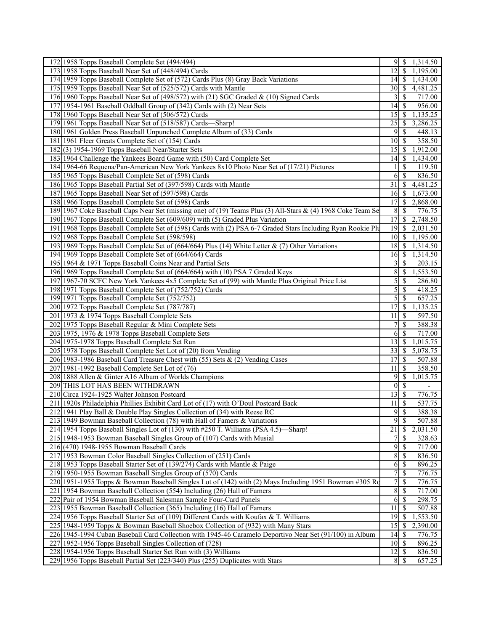| 173 1958 Topps Baseball Near Set of (448/494) Cards<br>12<br>$\mathcal{S}$<br>1,195.00<br>174 1959 Topps Baseball Complete Set of (572) Cards Plus (8) Gray Back Variations<br>1,434.00<br>175 1959 Topps Baseball Near Set of (525/572) Cards with Mantle<br>4,481.25<br>30<br>  S<br>717.00<br>176 1960 Topps Baseball Near Set of (498/572) with (21) SGC Graded & (10) Signed Cards<br>3<br>-S<br>177 1954-1961 Baseball Oddball Group of (342) Cards with (2) Near Sets<br>956.00<br>14<br>-S<br>1,135.25<br>178 1960 Topps Baseball Near Set of (506/572) Cards<br>15<br>-S<br>179 1961 Topps Baseball Near Set of (518/587) Cards—Sharp!<br>25<br>3,286.25<br>-S<br>180 1961 Golden Press Baseball Unpunched Complete Album of (33) Cards<br>448.13<br>9<br>-S<br>181 1961 Fleer Greats Complete Set of (154) Cards<br>$\mathcal{S}$<br>358.50<br>10<br>182(3) 1954-1969 Topps Baseball Near/Starter Sets<br>1,912.00<br>15<br>-S<br>183 1964 Challenge the Yankees Board Game with (50) Card Complete Set<br>14<br>-\$<br>1,434.00<br>184 1964-66 Requena/Pan-American New York Yankees 8x10 Photo Near Set of (17/21) Pictures<br>119.50<br><sup>\$</sup><br>185 1965 Topps Baseball Complete Set of (598) Cards<br>$\mathcal{S}$<br>836.50<br>6<br>186 1965 Topps Baseball Partial Set of (397/598) Cards with Mantle<br>31<br>$\mathcal{S}$<br>4,481.25<br>187 1965 Topps Baseball Near Set of (597/598) Cards<br>1,673.00<br>16<br>  S<br>188 1966 Topps Baseball Complete Set of (598) Cards<br>17<br>2,868.00<br><sup>\$</sup><br>189 1967 Coke Baseball Caps Near Set (missing one) of (19) Teams Plus (3) All-Stars & (4) 1968 Coke Team Se<br>8<br>S<br>776.75<br>190 1967 Topps Baseball Complete Set (609/609) with (5) Graded Plus Variation<br>17<br><sup>\$</sup><br>2,748.50<br>191 1968 Topps Baseball Complete Set of (598) Cards with (2) PSA 6-7 Graded Stars Including Ryan Rookie Plu<br>2,031.50<br>19<br>-S<br>192 1968 Topps Baseball Complete Set (598/598)<br>10<br>1,195.00<br>-\$<br>193 1969 Topps Baseball Complete Set of (664/664) Plus (14) White Letter & (7) Other Variations<br>1,314.50<br>18<br>  S<br>194 1969 Topps Baseball Complete Set of (664/664) Cards<br>16<br>-\$<br>1,314.50<br>195 1964 & 1971 Topps Baseball Coins Near and Partial Sets<br>\$<br>203.15<br>3<br>8<br>1,553.50<br>196 1969 Topps Baseball Complete Set of (664/664) with (10) PSA 7 Graded Keys<br>-\$<br>$\mathfrak{S}$<br>197 1967-70 SCFC New York Yankees 4x5 Complete Set of (99) with Mantle Plus Original Price List<br>-\$<br>286.80<br>5<br>198 1971 Topps Baseball Complete Set of (752/752) Cards<br>\$<br>418.25<br>657.25<br>199 1971 Topps Baseball Complete Set (752/752)<br>5<br>\$<br>200 1972 Topps Baseball Complete Set (787/787)<br>17<br>1,135.25<br>-S<br>201 1973 & 1974 Topps Baseball Complete Sets<br>597.50<br>11<br>\$<br>388.38<br>202 1975 Topps Baseball Regular & Mini Complete Sets<br>7<br>\$<br>203 1975, 1976 & 1978 Topps Baseball Complete Sets<br>717.00<br>$\mathcal{S}$<br>6<br>204 1975-1978 Topps Baseball Complete Set Run<br><sup>\$</sup><br>1,015.75<br>13<br>5,078.75<br>205 1978 Topps Baseball Complete Set Lot of (20) from Vending<br>33<br>-\$<br>206 1983-1986 Baseball Card Treasure Chest with (55) Sets & (2) Vending Cases<br>17<br>-S<br>507.88<br>358.50<br>207 1981-1992 Baseball Complete Set Lot of (76)<br>11<br>\$<br>1,015.75<br>208 1888 Allen & Ginter A16 Album of Worlds Champions<br>9<br>\$<br>209 THIS LOT HAS BEEN WITHDRAWN<br>$\mathbf{0}$<br>$\mathcal{S}$<br>L.<br>210 Circa 1924-1925 Walter Johnson Postcard<br>13<br><sup>\$</sup><br>776.75<br>211 1920s Philadelphia Phillies Exhibit Card Lot of (17) with O'Doul Postcard Back<br>537.75<br>11<br>\$<br>9<br>$\overline{\mathcal{S}}$<br>212 1941 Play Ball & Double Play Singles Collection of (34) with Reese RC<br>388.38<br>9S<br>213 1949 Bowman Baseball Collection (78) with Hall of Famers & Variations<br>507.88<br>$\overline{21}$<br>214 1954 Topps Baseball Singles Lot of (130) with #250 T. Williams (PSA 4.5)-<br><sup>\$</sup><br>2,031.50<br>-Sharp!<br>7<br>215 1948-1953 Bowman Baseball Singles Group of (107) Cards with Musial<br>$\mathcal{S}$<br>328.63<br>216 (470) 1948-1955 Bowman Baseball Cards<br>9<br><sup>\$</sup><br>717.00<br>217 1953 Bowman Color Baseball Singles Collection of (251) Cards<br>8<br>\$<br>836.50<br>6<br>218 1953 Topps Baseball Starter Set of (139/274) Cards with Mantle & Paige<br>896.25<br>-\$<br>$\overline{7}$<br>219 1950-1955 Bowman Baseball Singles Group of (570) Cards<br>\$<br>776.75<br>220 1951-1955 Topps & Bowman Baseball Singles Lot of (142) with (2) Mays Including 1951 Bowman #305 Ro<br>7<br>\$<br>776.75<br>$\,$ 8 $\,$<br>717.00<br>221 1954 Bowman Baseball Collection (554) Including (26) Hall of Famers<br><sup>\$</sup><br>222 Pair of 1954 Bowman Baseball Salesman Sample Four-Card Panels<br>\$<br>298.75<br>6<br>507.88<br>223 1955 Bowman Baseball Collection (365) Including (16) Hall of Famers<br>11<br><sup>\$</sup><br>19<br>1,553.50<br>224 1956 Topps Baseball Starter Set of (109) Different Cards with Koufax & T. Williams<br>-\$<br>225 1948-1959 Topps & Bowman Baseball Shoebox Collection of (932) with Many Stars<br>15<br>\$<br>2,390.00<br>776.75<br>226 1945-1994 Cuban Baseball Card Collection with 1945-46 Caramelo Deportivo Near Set (91/100) in Album<br>14<br>-S<br>$10$ $\sqrt{5}$<br>896.25<br>227 1952-1956 Topps Baseball Singles Collection of (728)<br>228 1954-1956 Topps Baseball Starter Set Run with (3) Williams<br>836.50<br>229 1956 Topps Baseball Partial Set (223/340) Plus (255) Duplicates with Stars<br>657.25<br>8 \$ | 172 1958 Topps Baseball Complete Set (494/494) | $9 \mid S$<br>1,314.50 |
|--------------------------------------------------------------------------------------------------------------------------------------------------------------------------------------------------------------------------------------------------------------------------------------------------------------------------------------------------------------------------------------------------------------------------------------------------------------------------------------------------------------------------------------------------------------------------------------------------------------------------------------------------------------------------------------------------------------------------------------------------------------------------------------------------------------------------------------------------------------------------------------------------------------------------------------------------------------------------------------------------------------------------------------------------------------------------------------------------------------------------------------------------------------------------------------------------------------------------------------------------------------------------------------------------------------------------------------------------------------------------------------------------------------------------------------------------------------------------------------------------------------------------------------------------------------------------------------------------------------------------------------------------------------------------------------------------------------------------------------------------------------------------------------------------------------------------------------------------------------------------------------------------------------------------------------------------------------------------------------------------------------------------------------------------------------------------------------------------------------------------------------------------------------------------------------------------------------------------------------------------------------------------------------------------------------------------------------------------------------------------------------------------------------------------------------------------------------------------------------------------------------------------------------------------------------------------------------------------------------------------------------------------------------------------------------------------------------------------------------------------------------------------------------------------------------------------------------------------------------------------------------------------------------------------------------------------------------------------------------------------------------------------------------------------------------------------------------------------------------------------------------------------------------------------------------------------------------------------------------------------------------------------------------------------------------------------------------------------------------------------------------------------------------------------------------------------------------------------------------------------------------------------------------------------------------------------------------------------------------------------------------------------------------------------------------------------------------------------------------------------------------------------------------------------------------------------------------------------------------------------------------------------------------------------------------------------------------------------------------------------------------------------------------------------------------------------------------------------------------------------------------------------------------------------------------------------------------------------------------------------------------------------------------------------------------------------------------------------------------------------------------------------------------------------------------------------------------------------------------------------------------------------------------------------------------------------------------------------------------------------------------------------------------------------------------------------------------------------------------------------------------------------------------------------------------------------------------------------------------------------------------------------------------------------------------------------------------------------------------------------------------------------------------------------------------------------------------------------------------------------------------------------------------------------------------------------------------------------------------------------------------------------------------------------------------------------------------------------------------------------------------------------------------------------------------------------------------------------------------------------------------------------------------------------------------------------------------------------------------------------------------------------------------------------------------------------------------------------------|------------------------------------------------|------------------------|
|                                                                                                                                                                                                                                                                                                                                                                                                                                                                                                                                                                                                                                                                                                                                                                                                                                                                                                                                                                                                                                                                                                                                                                                                                                                                                                                                                                                                                                                                                                                                                                                                                                                                                                                                                                                                                                                                                                                                                                                                                                                                                                                                                                                                                                                                                                                                                                                                                                                                                                                                                                                                                                                                                                                                                                                                                                                                                                                                                                                                                                                                                                                                                                                                                                                                                                                                                                                                                                                                                                                                                                                                                                                                                                                                                                                                                                                                                                                                                                                                                                                                                                                                                                                                                                                                                                                                                                                                                                                                                                                                                                                                                                                                                                                                                                                                                                                                                                                                                                                                                                                                                                                                                                                                                                                                                                                                                                                                                                                                                                                                                                                                                                                                                                                                |                                                |                        |
|                                                                                                                                                                                                                                                                                                                                                                                                                                                                                                                                                                                                                                                                                                                                                                                                                                                                                                                                                                                                                                                                                                                                                                                                                                                                                                                                                                                                                                                                                                                                                                                                                                                                                                                                                                                                                                                                                                                                                                                                                                                                                                                                                                                                                                                                                                                                                                                                                                                                                                                                                                                                                                                                                                                                                                                                                                                                                                                                                                                                                                                                                                                                                                                                                                                                                                                                                                                                                                                                                                                                                                                                                                                                                                                                                                                                                                                                                                                                                                                                                                                                                                                                                                                                                                                                                                                                                                                                                                                                                                                                                                                                                                                                                                                                                                                                                                                                                                                                                                                                                                                                                                                                                                                                                                                                                                                                                                                                                                                                                                                                                                                                                                                                                                                                |                                                |                        |
|                                                                                                                                                                                                                                                                                                                                                                                                                                                                                                                                                                                                                                                                                                                                                                                                                                                                                                                                                                                                                                                                                                                                                                                                                                                                                                                                                                                                                                                                                                                                                                                                                                                                                                                                                                                                                                                                                                                                                                                                                                                                                                                                                                                                                                                                                                                                                                                                                                                                                                                                                                                                                                                                                                                                                                                                                                                                                                                                                                                                                                                                                                                                                                                                                                                                                                                                                                                                                                                                                                                                                                                                                                                                                                                                                                                                                                                                                                                                                                                                                                                                                                                                                                                                                                                                                                                                                                                                                                                                                                                                                                                                                                                                                                                                                                                                                                                                                                                                                                                                                                                                                                                                                                                                                                                                                                                                                                                                                                                                                                                                                                                                                                                                                                                                |                                                |                        |
|                                                                                                                                                                                                                                                                                                                                                                                                                                                                                                                                                                                                                                                                                                                                                                                                                                                                                                                                                                                                                                                                                                                                                                                                                                                                                                                                                                                                                                                                                                                                                                                                                                                                                                                                                                                                                                                                                                                                                                                                                                                                                                                                                                                                                                                                                                                                                                                                                                                                                                                                                                                                                                                                                                                                                                                                                                                                                                                                                                                                                                                                                                                                                                                                                                                                                                                                                                                                                                                                                                                                                                                                                                                                                                                                                                                                                                                                                                                                                                                                                                                                                                                                                                                                                                                                                                                                                                                                                                                                                                                                                                                                                                                                                                                                                                                                                                                                                                                                                                                                                                                                                                                                                                                                                                                                                                                                                                                                                                                                                                                                                                                                                                                                                                                                |                                                |                        |
|                                                                                                                                                                                                                                                                                                                                                                                                                                                                                                                                                                                                                                                                                                                                                                                                                                                                                                                                                                                                                                                                                                                                                                                                                                                                                                                                                                                                                                                                                                                                                                                                                                                                                                                                                                                                                                                                                                                                                                                                                                                                                                                                                                                                                                                                                                                                                                                                                                                                                                                                                                                                                                                                                                                                                                                                                                                                                                                                                                                                                                                                                                                                                                                                                                                                                                                                                                                                                                                                                                                                                                                                                                                                                                                                                                                                                                                                                                                                                                                                                                                                                                                                                                                                                                                                                                                                                                                                                                                                                                                                                                                                                                                                                                                                                                                                                                                                                                                                                                                                                                                                                                                                                                                                                                                                                                                                                                                                                                                                                                                                                                                                                                                                                                                                |                                                |                        |
|                                                                                                                                                                                                                                                                                                                                                                                                                                                                                                                                                                                                                                                                                                                                                                                                                                                                                                                                                                                                                                                                                                                                                                                                                                                                                                                                                                                                                                                                                                                                                                                                                                                                                                                                                                                                                                                                                                                                                                                                                                                                                                                                                                                                                                                                                                                                                                                                                                                                                                                                                                                                                                                                                                                                                                                                                                                                                                                                                                                                                                                                                                                                                                                                                                                                                                                                                                                                                                                                                                                                                                                                                                                                                                                                                                                                                                                                                                                                                                                                                                                                                                                                                                                                                                                                                                                                                                                                                                                                                                                                                                                                                                                                                                                                                                                                                                                                                                                                                                                                                                                                                                                                                                                                                                                                                                                                                                                                                                                                                                                                                                                                                                                                                                                                |                                                |                        |
|                                                                                                                                                                                                                                                                                                                                                                                                                                                                                                                                                                                                                                                                                                                                                                                                                                                                                                                                                                                                                                                                                                                                                                                                                                                                                                                                                                                                                                                                                                                                                                                                                                                                                                                                                                                                                                                                                                                                                                                                                                                                                                                                                                                                                                                                                                                                                                                                                                                                                                                                                                                                                                                                                                                                                                                                                                                                                                                                                                                                                                                                                                                                                                                                                                                                                                                                                                                                                                                                                                                                                                                                                                                                                                                                                                                                                                                                                                                                                                                                                                                                                                                                                                                                                                                                                                                                                                                                                                                                                                                                                                                                                                                                                                                                                                                                                                                                                                                                                                                                                                                                                                                                                                                                                                                                                                                                                                                                                                                                                                                                                                                                                                                                                                                                |                                                |                        |
|                                                                                                                                                                                                                                                                                                                                                                                                                                                                                                                                                                                                                                                                                                                                                                                                                                                                                                                                                                                                                                                                                                                                                                                                                                                                                                                                                                                                                                                                                                                                                                                                                                                                                                                                                                                                                                                                                                                                                                                                                                                                                                                                                                                                                                                                                                                                                                                                                                                                                                                                                                                                                                                                                                                                                                                                                                                                                                                                                                                                                                                                                                                                                                                                                                                                                                                                                                                                                                                                                                                                                                                                                                                                                                                                                                                                                                                                                                                                                                                                                                                                                                                                                                                                                                                                                                                                                                                                                                                                                                                                                                                                                                                                                                                                                                                                                                                                                                                                                                                                                                                                                                                                                                                                                                                                                                                                                                                                                                                                                                                                                                                                                                                                                                                                |                                                |                        |
|                                                                                                                                                                                                                                                                                                                                                                                                                                                                                                                                                                                                                                                                                                                                                                                                                                                                                                                                                                                                                                                                                                                                                                                                                                                                                                                                                                                                                                                                                                                                                                                                                                                                                                                                                                                                                                                                                                                                                                                                                                                                                                                                                                                                                                                                                                                                                                                                                                                                                                                                                                                                                                                                                                                                                                                                                                                                                                                                                                                                                                                                                                                                                                                                                                                                                                                                                                                                                                                                                                                                                                                                                                                                                                                                                                                                                                                                                                                                                                                                                                                                                                                                                                                                                                                                                                                                                                                                                                                                                                                                                                                                                                                                                                                                                                                                                                                                                                                                                                                                                                                                                                                                                                                                                                                                                                                                                                                                                                                                                                                                                                                                                                                                                                                                |                                                |                        |
|                                                                                                                                                                                                                                                                                                                                                                                                                                                                                                                                                                                                                                                                                                                                                                                                                                                                                                                                                                                                                                                                                                                                                                                                                                                                                                                                                                                                                                                                                                                                                                                                                                                                                                                                                                                                                                                                                                                                                                                                                                                                                                                                                                                                                                                                                                                                                                                                                                                                                                                                                                                                                                                                                                                                                                                                                                                                                                                                                                                                                                                                                                                                                                                                                                                                                                                                                                                                                                                                                                                                                                                                                                                                                                                                                                                                                                                                                                                                                                                                                                                                                                                                                                                                                                                                                                                                                                                                                                                                                                                                                                                                                                                                                                                                                                                                                                                                                                                                                                                                                                                                                                                                                                                                                                                                                                                                                                                                                                                                                                                                                                                                                                                                                                                                |                                                |                        |
|                                                                                                                                                                                                                                                                                                                                                                                                                                                                                                                                                                                                                                                                                                                                                                                                                                                                                                                                                                                                                                                                                                                                                                                                                                                                                                                                                                                                                                                                                                                                                                                                                                                                                                                                                                                                                                                                                                                                                                                                                                                                                                                                                                                                                                                                                                                                                                                                                                                                                                                                                                                                                                                                                                                                                                                                                                                                                                                                                                                                                                                                                                                                                                                                                                                                                                                                                                                                                                                                                                                                                                                                                                                                                                                                                                                                                                                                                                                                                                                                                                                                                                                                                                                                                                                                                                                                                                                                                                                                                                                                                                                                                                                                                                                                                                                                                                                                                                                                                                                                                                                                                                                                                                                                                                                                                                                                                                                                                                                                                                                                                                                                                                                                                                                                |                                                |                        |
|                                                                                                                                                                                                                                                                                                                                                                                                                                                                                                                                                                                                                                                                                                                                                                                                                                                                                                                                                                                                                                                                                                                                                                                                                                                                                                                                                                                                                                                                                                                                                                                                                                                                                                                                                                                                                                                                                                                                                                                                                                                                                                                                                                                                                                                                                                                                                                                                                                                                                                                                                                                                                                                                                                                                                                                                                                                                                                                                                                                                                                                                                                                                                                                                                                                                                                                                                                                                                                                                                                                                                                                                                                                                                                                                                                                                                                                                                                                                                                                                                                                                                                                                                                                                                                                                                                                                                                                                                                                                                                                                                                                                                                                                                                                                                                                                                                                                                                                                                                                                                                                                                                                                                                                                                                                                                                                                                                                                                                                                                                                                                                                                                                                                                                                                |                                                |                        |
|                                                                                                                                                                                                                                                                                                                                                                                                                                                                                                                                                                                                                                                                                                                                                                                                                                                                                                                                                                                                                                                                                                                                                                                                                                                                                                                                                                                                                                                                                                                                                                                                                                                                                                                                                                                                                                                                                                                                                                                                                                                                                                                                                                                                                                                                                                                                                                                                                                                                                                                                                                                                                                                                                                                                                                                                                                                                                                                                                                                                                                                                                                                                                                                                                                                                                                                                                                                                                                                                                                                                                                                                                                                                                                                                                                                                                                                                                                                                                                                                                                                                                                                                                                                                                                                                                                                                                                                                                                                                                                                                                                                                                                                                                                                                                                                                                                                                                                                                                                                                                                                                                                                                                                                                                                                                                                                                                                                                                                                                                                                                                                                                                                                                                                                                |                                                |                        |
|                                                                                                                                                                                                                                                                                                                                                                                                                                                                                                                                                                                                                                                                                                                                                                                                                                                                                                                                                                                                                                                                                                                                                                                                                                                                                                                                                                                                                                                                                                                                                                                                                                                                                                                                                                                                                                                                                                                                                                                                                                                                                                                                                                                                                                                                                                                                                                                                                                                                                                                                                                                                                                                                                                                                                                                                                                                                                                                                                                                                                                                                                                                                                                                                                                                                                                                                                                                                                                                                                                                                                                                                                                                                                                                                                                                                                                                                                                                                                                                                                                                                                                                                                                                                                                                                                                                                                                                                                                                                                                                                                                                                                                                                                                                                                                                                                                                                                                                                                                                                                                                                                                                                                                                                                                                                                                                                                                                                                                                                                                                                                                                                                                                                                                                                |                                                |                        |
|                                                                                                                                                                                                                                                                                                                                                                                                                                                                                                                                                                                                                                                                                                                                                                                                                                                                                                                                                                                                                                                                                                                                                                                                                                                                                                                                                                                                                                                                                                                                                                                                                                                                                                                                                                                                                                                                                                                                                                                                                                                                                                                                                                                                                                                                                                                                                                                                                                                                                                                                                                                                                                                                                                                                                                                                                                                                                                                                                                                                                                                                                                                                                                                                                                                                                                                                                                                                                                                                                                                                                                                                                                                                                                                                                                                                                                                                                                                                                                                                                                                                                                                                                                                                                                                                                                                                                                                                                                                                                                                                                                                                                                                                                                                                                                                                                                                                                                                                                                                                                                                                                                                                                                                                                                                                                                                                                                                                                                                                                                                                                                                                                                                                                                                                |                                                |                        |
|                                                                                                                                                                                                                                                                                                                                                                                                                                                                                                                                                                                                                                                                                                                                                                                                                                                                                                                                                                                                                                                                                                                                                                                                                                                                                                                                                                                                                                                                                                                                                                                                                                                                                                                                                                                                                                                                                                                                                                                                                                                                                                                                                                                                                                                                                                                                                                                                                                                                                                                                                                                                                                                                                                                                                                                                                                                                                                                                                                                                                                                                                                                                                                                                                                                                                                                                                                                                                                                                                                                                                                                                                                                                                                                                                                                                                                                                                                                                                                                                                                                                                                                                                                                                                                                                                                                                                                                                                                                                                                                                                                                                                                                                                                                                                                                                                                                                                                                                                                                                                                                                                                                                                                                                                                                                                                                                                                                                                                                                                                                                                                                                                                                                                                                                |                                                |                        |
|                                                                                                                                                                                                                                                                                                                                                                                                                                                                                                                                                                                                                                                                                                                                                                                                                                                                                                                                                                                                                                                                                                                                                                                                                                                                                                                                                                                                                                                                                                                                                                                                                                                                                                                                                                                                                                                                                                                                                                                                                                                                                                                                                                                                                                                                                                                                                                                                                                                                                                                                                                                                                                                                                                                                                                                                                                                                                                                                                                                                                                                                                                                                                                                                                                                                                                                                                                                                                                                                                                                                                                                                                                                                                                                                                                                                                                                                                                                                                                                                                                                                                                                                                                                                                                                                                                                                                                                                                                                                                                                                                                                                                                                                                                                                                                                                                                                                                                                                                                                                                                                                                                                                                                                                                                                                                                                                                                                                                                                                                                                                                                                                                                                                                                                                |                                                |                        |
|                                                                                                                                                                                                                                                                                                                                                                                                                                                                                                                                                                                                                                                                                                                                                                                                                                                                                                                                                                                                                                                                                                                                                                                                                                                                                                                                                                                                                                                                                                                                                                                                                                                                                                                                                                                                                                                                                                                                                                                                                                                                                                                                                                                                                                                                                                                                                                                                                                                                                                                                                                                                                                                                                                                                                                                                                                                                                                                                                                                                                                                                                                                                                                                                                                                                                                                                                                                                                                                                                                                                                                                                                                                                                                                                                                                                                                                                                                                                                                                                                                                                                                                                                                                                                                                                                                                                                                                                                                                                                                                                                                                                                                                                                                                                                                                                                                                                                                                                                                                                                                                                                                                                                                                                                                                                                                                                                                                                                                                                                                                                                                                                                                                                                                                                |                                                |                        |
|                                                                                                                                                                                                                                                                                                                                                                                                                                                                                                                                                                                                                                                                                                                                                                                                                                                                                                                                                                                                                                                                                                                                                                                                                                                                                                                                                                                                                                                                                                                                                                                                                                                                                                                                                                                                                                                                                                                                                                                                                                                                                                                                                                                                                                                                                                                                                                                                                                                                                                                                                                                                                                                                                                                                                                                                                                                                                                                                                                                                                                                                                                                                                                                                                                                                                                                                                                                                                                                                                                                                                                                                                                                                                                                                                                                                                                                                                                                                                                                                                                                                                                                                                                                                                                                                                                                                                                                                                                                                                                                                                                                                                                                                                                                                                                                                                                                                                                                                                                                                                                                                                                                                                                                                                                                                                                                                                                                                                                                                                                                                                                                                                                                                                                                                |                                                |                        |
|                                                                                                                                                                                                                                                                                                                                                                                                                                                                                                                                                                                                                                                                                                                                                                                                                                                                                                                                                                                                                                                                                                                                                                                                                                                                                                                                                                                                                                                                                                                                                                                                                                                                                                                                                                                                                                                                                                                                                                                                                                                                                                                                                                                                                                                                                                                                                                                                                                                                                                                                                                                                                                                                                                                                                                                                                                                                                                                                                                                                                                                                                                                                                                                                                                                                                                                                                                                                                                                                                                                                                                                                                                                                                                                                                                                                                                                                                                                                                                                                                                                                                                                                                                                                                                                                                                                                                                                                                                                                                                                                                                                                                                                                                                                                                                                                                                                                                                                                                                                                                                                                                                                                                                                                                                                                                                                                                                                                                                                                                                                                                                                                                                                                                                                                |                                                |                        |
|                                                                                                                                                                                                                                                                                                                                                                                                                                                                                                                                                                                                                                                                                                                                                                                                                                                                                                                                                                                                                                                                                                                                                                                                                                                                                                                                                                                                                                                                                                                                                                                                                                                                                                                                                                                                                                                                                                                                                                                                                                                                                                                                                                                                                                                                                                                                                                                                                                                                                                                                                                                                                                                                                                                                                                                                                                                                                                                                                                                                                                                                                                                                                                                                                                                                                                                                                                                                                                                                                                                                                                                                                                                                                                                                                                                                                                                                                                                                                                                                                                                                                                                                                                                                                                                                                                                                                                                                                                                                                                                                                                                                                                                                                                                                                                                                                                                                                                                                                                                                                                                                                                                                                                                                                                                                                                                                                                                                                                                                                                                                                                                                                                                                                                                                |                                                |                        |
|                                                                                                                                                                                                                                                                                                                                                                                                                                                                                                                                                                                                                                                                                                                                                                                                                                                                                                                                                                                                                                                                                                                                                                                                                                                                                                                                                                                                                                                                                                                                                                                                                                                                                                                                                                                                                                                                                                                                                                                                                                                                                                                                                                                                                                                                                                                                                                                                                                                                                                                                                                                                                                                                                                                                                                                                                                                                                                                                                                                                                                                                                                                                                                                                                                                                                                                                                                                                                                                                                                                                                                                                                                                                                                                                                                                                                                                                                                                                                                                                                                                                                                                                                                                                                                                                                                                                                                                                                                                                                                                                                                                                                                                                                                                                                                                                                                                                                                                                                                                                                                                                                                                                                                                                                                                                                                                                                                                                                                                                                                                                                                                                                                                                                                                                |                                                |                        |
|                                                                                                                                                                                                                                                                                                                                                                                                                                                                                                                                                                                                                                                                                                                                                                                                                                                                                                                                                                                                                                                                                                                                                                                                                                                                                                                                                                                                                                                                                                                                                                                                                                                                                                                                                                                                                                                                                                                                                                                                                                                                                                                                                                                                                                                                                                                                                                                                                                                                                                                                                                                                                                                                                                                                                                                                                                                                                                                                                                                                                                                                                                                                                                                                                                                                                                                                                                                                                                                                                                                                                                                                                                                                                                                                                                                                                                                                                                                                                                                                                                                                                                                                                                                                                                                                                                                                                                                                                                                                                                                                                                                                                                                                                                                                                                                                                                                                                                                                                                                                                                                                                                                                                                                                                                                                                                                                                                                                                                                                                                                                                                                                                                                                                                                                |                                                |                        |
|                                                                                                                                                                                                                                                                                                                                                                                                                                                                                                                                                                                                                                                                                                                                                                                                                                                                                                                                                                                                                                                                                                                                                                                                                                                                                                                                                                                                                                                                                                                                                                                                                                                                                                                                                                                                                                                                                                                                                                                                                                                                                                                                                                                                                                                                                                                                                                                                                                                                                                                                                                                                                                                                                                                                                                                                                                                                                                                                                                                                                                                                                                                                                                                                                                                                                                                                                                                                                                                                                                                                                                                                                                                                                                                                                                                                                                                                                                                                                                                                                                                                                                                                                                                                                                                                                                                                                                                                                                                                                                                                                                                                                                                                                                                                                                                                                                                                                                                                                                                                                                                                                                                                                                                                                                                                                                                                                                                                                                                                                                                                                                                                                                                                                                                                |                                                |                        |
|                                                                                                                                                                                                                                                                                                                                                                                                                                                                                                                                                                                                                                                                                                                                                                                                                                                                                                                                                                                                                                                                                                                                                                                                                                                                                                                                                                                                                                                                                                                                                                                                                                                                                                                                                                                                                                                                                                                                                                                                                                                                                                                                                                                                                                                                                                                                                                                                                                                                                                                                                                                                                                                                                                                                                                                                                                                                                                                                                                                                                                                                                                                                                                                                                                                                                                                                                                                                                                                                                                                                                                                                                                                                                                                                                                                                                                                                                                                                                                                                                                                                                                                                                                                                                                                                                                                                                                                                                                                                                                                                                                                                                                                                                                                                                                                                                                                                                                                                                                                                                                                                                                                                                                                                                                                                                                                                                                                                                                                                                                                                                                                                                                                                                                                                |                                                |                        |
|                                                                                                                                                                                                                                                                                                                                                                                                                                                                                                                                                                                                                                                                                                                                                                                                                                                                                                                                                                                                                                                                                                                                                                                                                                                                                                                                                                                                                                                                                                                                                                                                                                                                                                                                                                                                                                                                                                                                                                                                                                                                                                                                                                                                                                                                                                                                                                                                                                                                                                                                                                                                                                                                                                                                                                                                                                                                                                                                                                                                                                                                                                                                                                                                                                                                                                                                                                                                                                                                                                                                                                                                                                                                                                                                                                                                                                                                                                                                                                                                                                                                                                                                                                                                                                                                                                                                                                                                                                                                                                                                                                                                                                                                                                                                                                                                                                                                                                                                                                                                                                                                                                                                                                                                                                                                                                                                                                                                                                                                                                                                                                                                                                                                                                                                |                                                |                        |
|                                                                                                                                                                                                                                                                                                                                                                                                                                                                                                                                                                                                                                                                                                                                                                                                                                                                                                                                                                                                                                                                                                                                                                                                                                                                                                                                                                                                                                                                                                                                                                                                                                                                                                                                                                                                                                                                                                                                                                                                                                                                                                                                                                                                                                                                                                                                                                                                                                                                                                                                                                                                                                                                                                                                                                                                                                                                                                                                                                                                                                                                                                                                                                                                                                                                                                                                                                                                                                                                                                                                                                                                                                                                                                                                                                                                                                                                                                                                                                                                                                                                                                                                                                                                                                                                                                                                                                                                                                                                                                                                                                                                                                                                                                                                                                                                                                                                                                                                                                                                                                                                                                                                                                                                                                                                                                                                                                                                                                                                                                                                                                                                                                                                                                                                |                                                |                        |
|                                                                                                                                                                                                                                                                                                                                                                                                                                                                                                                                                                                                                                                                                                                                                                                                                                                                                                                                                                                                                                                                                                                                                                                                                                                                                                                                                                                                                                                                                                                                                                                                                                                                                                                                                                                                                                                                                                                                                                                                                                                                                                                                                                                                                                                                                                                                                                                                                                                                                                                                                                                                                                                                                                                                                                                                                                                                                                                                                                                                                                                                                                                                                                                                                                                                                                                                                                                                                                                                                                                                                                                                                                                                                                                                                                                                                                                                                                                                                                                                                                                                                                                                                                                                                                                                                                                                                                                                                                                                                                                                                                                                                                                                                                                                                                                                                                                                                                                                                                                                                                                                                                                                                                                                                                                                                                                                                                                                                                                                                                                                                                                                                                                                                                                                |                                                |                        |
|                                                                                                                                                                                                                                                                                                                                                                                                                                                                                                                                                                                                                                                                                                                                                                                                                                                                                                                                                                                                                                                                                                                                                                                                                                                                                                                                                                                                                                                                                                                                                                                                                                                                                                                                                                                                                                                                                                                                                                                                                                                                                                                                                                                                                                                                                                                                                                                                                                                                                                                                                                                                                                                                                                                                                                                                                                                                                                                                                                                                                                                                                                                                                                                                                                                                                                                                                                                                                                                                                                                                                                                                                                                                                                                                                                                                                                                                                                                                                                                                                                                                                                                                                                                                                                                                                                                                                                                                                                                                                                                                                                                                                                                                                                                                                                                                                                                                                                                                                                                                                                                                                                                                                                                                                                                                                                                                                                                                                                                                                                                                                                                                                                                                                                                                |                                                |                        |
|                                                                                                                                                                                                                                                                                                                                                                                                                                                                                                                                                                                                                                                                                                                                                                                                                                                                                                                                                                                                                                                                                                                                                                                                                                                                                                                                                                                                                                                                                                                                                                                                                                                                                                                                                                                                                                                                                                                                                                                                                                                                                                                                                                                                                                                                                                                                                                                                                                                                                                                                                                                                                                                                                                                                                                                                                                                                                                                                                                                                                                                                                                                                                                                                                                                                                                                                                                                                                                                                                                                                                                                                                                                                                                                                                                                                                                                                                                                                                                                                                                                                                                                                                                                                                                                                                                                                                                                                                                                                                                                                                                                                                                                                                                                                                                                                                                                                                                                                                                                                                                                                                                                                                                                                                                                                                                                                                                                                                                                                                                                                                                                                                                                                                                                                |                                                |                        |
|                                                                                                                                                                                                                                                                                                                                                                                                                                                                                                                                                                                                                                                                                                                                                                                                                                                                                                                                                                                                                                                                                                                                                                                                                                                                                                                                                                                                                                                                                                                                                                                                                                                                                                                                                                                                                                                                                                                                                                                                                                                                                                                                                                                                                                                                                                                                                                                                                                                                                                                                                                                                                                                                                                                                                                                                                                                                                                                                                                                                                                                                                                                                                                                                                                                                                                                                                                                                                                                                                                                                                                                                                                                                                                                                                                                                                                                                                                                                                                                                                                                                                                                                                                                                                                                                                                                                                                                                                                                                                                                                                                                                                                                                                                                                                                                                                                                                                                                                                                                                                                                                                                                                                                                                                                                                                                                                                                                                                                                                                                                                                                                                                                                                                                                                |                                                |                        |
|                                                                                                                                                                                                                                                                                                                                                                                                                                                                                                                                                                                                                                                                                                                                                                                                                                                                                                                                                                                                                                                                                                                                                                                                                                                                                                                                                                                                                                                                                                                                                                                                                                                                                                                                                                                                                                                                                                                                                                                                                                                                                                                                                                                                                                                                                                                                                                                                                                                                                                                                                                                                                                                                                                                                                                                                                                                                                                                                                                                                                                                                                                                                                                                                                                                                                                                                                                                                                                                                                                                                                                                                                                                                                                                                                                                                                                                                                                                                                                                                                                                                                                                                                                                                                                                                                                                                                                                                                                                                                                                                                                                                                                                                                                                                                                                                                                                                                                                                                                                                                                                                                                                                                                                                                                                                                                                                                                                                                                                                                                                                                                                                                                                                                                                                |                                                |                        |
|                                                                                                                                                                                                                                                                                                                                                                                                                                                                                                                                                                                                                                                                                                                                                                                                                                                                                                                                                                                                                                                                                                                                                                                                                                                                                                                                                                                                                                                                                                                                                                                                                                                                                                                                                                                                                                                                                                                                                                                                                                                                                                                                                                                                                                                                                                                                                                                                                                                                                                                                                                                                                                                                                                                                                                                                                                                                                                                                                                                                                                                                                                                                                                                                                                                                                                                                                                                                                                                                                                                                                                                                                                                                                                                                                                                                                                                                                                                                                                                                                                                                                                                                                                                                                                                                                                                                                                                                                                                                                                                                                                                                                                                                                                                                                                                                                                                                                                                                                                                                                                                                                                                                                                                                                                                                                                                                                                                                                                                                                                                                                                                                                                                                                                                                |                                                |                        |
|                                                                                                                                                                                                                                                                                                                                                                                                                                                                                                                                                                                                                                                                                                                                                                                                                                                                                                                                                                                                                                                                                                                                                                                                                                                                                                                                                                                                                                                                                                                                                                                                                                                                                                                                                                                                                                                                                                                                                                                                                                                                                                                                                                                                                                                                                                                                                                                                                                                                                                                                                                                                                                                                                                                                                                                                                                                                                                                                                                                                                                                                                                                                                                                                                                                                                                                                                                                                                                                                                                                                                                                                                                                                                                                                                                                                                                                                                                                                                                                                                                                                                                                                                                                                                                                                                                                                                                                                                                                                                                                                                                                                                                                                                                                                                                                                                                                                                                                                                                                                                                                                                                                                                                                                                                                                                                                                                                                                                                                                                                                                                                                                                                                                                                                                |                                                |                        |
|                                                                                                                                                                                                                                                                                                                                                                                                                                                                                                                                                                                                                                                                                                                                                                                                                                                                                                                                                                                                                                                                                                                                                                                                                                                                                                                                                                                                                                                                                                                                                                                                                                                                                                                                                                                                                                                                                                                                                                                                                                                                                                                                                                                                                                                                                                                                                                                                                                                                                                                                                                                                                                                                                                                                                                                                                                                                                                                                                                                                                                                                                                                                                                                                                                                                                                                                                                                                                                                                                                                                                                                                                                                                                                                                                                                                                                                                                                                                                                                                                                                                                                                                                                                                                                                                                                                                                                                                                                                                                                                                                                                                                                                                                                                                                                                                                                                                                                                                                                                                                                                                                                                                                                                                                                                                                                                                                                                                                                                                                                                                                                                                                                                                                                                                |                                                |                        |
|                                                                                                                                                                                                                                                                                                                                                                                                                                                                                                                                                                                                                                                                                                                                                                                                                                                                                                                                                                                                                                                                                                                                                                                                                                                                                                                                                                                                                                                                                                                                                                                                                                                                                                                                                                                                                                                                                                                                                                                                                                                                                                                                                                                                                                                                                                                                                                                                                                                                                                                                                                                                                                                                                                                                                                                                                                                                                                                                                                                                                                                                                                                                                                                                                                                                                                                                                                                                                                                                                                                                                                                                                                                                                                                                                                                                                                                                                                                                                                                                                                                                                                                                                                                                                                                                                                                                                                                                                                                                                                                                                                                                                                                                                                                                                                                                                                                                                                                                                                                                                                                                                                                                                                                                                                                                                                                                                                                                                                                                                                                                                                                                                                                                                                                                |                                                |                        |
|                                                                                                                                                                                                                                                                                                                                                                                                                                                                                                                                                                                                                                                                                                                                                                                                                                                                                                                                                                                                                                                                                                                                                                                                                                                                                                                                                                                                                                                                                                                                                                                                                                                                                                                                                                                                                                                                                                                                                                                                                                                                                                                                                                                                                                                                                                                                                                                                                                                                                                                                                                                                                                                                                                                                                                                                                                                                                                                                                                                                                                                                                                                                                                                                                                                                                                                                                                                                                                                                                                                                                                                                                                                                                                                                                                                                                                                                                                                                                                                                                                                                                                                                                                                                                                                                                                                                                                                                                                                                                                                                                                                                                                                                                                                                                                                                                                                                                                                                                                                                                                                                                                                                                                                                                                                                                                                                                                                                                                                                                                                                                                                                                                                                                                                                |                                                |                        |
|                                                                                                                                                                                                                                                                                                                                                                                                                                                                                                                                                                                                                                                                                                                                                                                                                                                                                                                                                                                                                                                                                                                                                                                                                                                                                                                                                                                                                                                                                                                                                                                                                                                                                                                                                                                                                                                                                                                                                                                                                                                                                                                                                                                                                                                                                                                                                                                                                                                                                                                                                                                                                                                                                                                                                                                                                                                                                                                                                                                                                                                                                                                                                                                                                                                                                                                                                                                                                                                                                                                                                                                                                                                                                                                                                                                                                                                                                                                                                                                                                                                                                                                                                                                                                                                                                                                                                                                                                                                                                                                                                                                                                                                                                                                                                                                                                                                                                                                                                                                                                                                                                                                                                                                                                                                                                                                                                                                                                                                                                                                                                                                                                                                                                                                                |                                                |                        |
|                                                                                                                                                                                                                                                                                                                                                                                                                                                                                                                                                                                                                                                                                                                                                                                                                                                                                                                                                                                                                                                                                                                                                                                                                                                                                                                                                                                                                                                                                                                                                                                                                                                                                                                                                                                                                                                                                                                                                                                                                                                                                                                                                                                                                                                                                                                                                                                                                                                                                                                                                                                                                                                                                                                                                                                                                                                                                                                                                                                                                                                                                                                                                                                                                                                                                                                                                                                                                                                                                                                                                                                                                                                                                                                                                                                                                                                                                                                                                                                                                                                                                                                                                                                                                                                                                                                                                                                                                                                                                                                                                                                                                                                                                                                                                                                                                                                                                                                                                                                                                                                                                                                                                                                                                                                                                                                                                                                                                                                                                                                                                                                                                                                                                                                                |                                                |                        |
|                                                                                                                                                                                                                                                                                                                                                                                                                                                                                                                                                                                                                                                                                                                                                                                                                                                                                                                                                                                                                                                                                                                                                                                                                                                                                                                                                                                                                                                                                                                                                                                                                                                                                                                                                                                                                                                                                                                                                                                                                                                                                                                                                                                                                                                                                                                                                                                                                                                                                                                                                                                                                                                                                                                                                                                                                                                                                                                                                                                                                                                                                                                                                                                                                                                                                                                                                                                                                                                                                                                                                                                                                                                                                                                                                                                                                                                                                                                                                                                                                                                                                                                                                                                                                                                                                                                                                                                                                                                                                                                                                                                                                                                                                                                                                                                                                                                                                                                                                                                                                                                                                                                                                                                                                                                                                                                                                                                                                                                                                                                                                                                                                                                                                                                                |                                                |                        |
|                                                                                                                                                                                                                                                                                                                                                                                                                                                                                                                                                                                                                                                                                                                                                                                                                                                                                                                                                                                                                                                                                                                                                                                                                                                                                                                                                                                                                                                                                                                                                                                                                                                                                                                                                                                                                                                                                                                                                                                                                                                                                                                                                                                                                                                                                                                                                                                                                                                                                                                                                                                                                                                                                                                                                                                                                                                                                                                                                                                                                                                                                                                                                                                                                                                                                                                                                                                                                                                                                                                                                                                                                                                                                                                                                                                                                                                                                                                                                                                                                                                                                                                                                                                                                                                                                                                                                                                                                                                                                                                                                                                                                                                                                                                                                                                                                                                                                                                                                                                                                                                                                                                                                                                                                                                                                                                                                                                                                                                                                                                                                                                                                                                                                                                                |                                                |                        |
|                                                                                                                                                                                                                                                                                                                                                                                                                                                                                                                                                                                                                                                                                                                                                                                                                                                                                                                                                                                                                                                                                                                                                                                                                                                                                                                                                                                                                                                                                                                                                                                                                                                                                                                                                                                                                                                                                                                                                                                                                                                                                                                                                                                                                                                                                                                                                                                                                                                                                                                                                                                                                                                                                                                                                                                                                                                                                                                                                                                                                                                                                                                                                                                                                                                                                                                                                                                                                                                                                                                                                                                                                                                                                                                                                                                                                                                                                                                                                                                                                                                                                                                                                                                                                                                                                                                                                                                                                                                                                                                                                                                                                                                                                                                                                                                                                                                                                                                                                                                                                                                                                                                                                                                                                                                                                                                                                                                                                                                                                                                                                                                                                                                                                                                                |                                                |                        |
|                                                                                                                                                                                                                                                                                                                                                                                                                                                                                                                                                                                                                                                                                                                                                                                                                                                                                                                                                                                                                                                                                                                                                                                                                                                                                                                                                                                                                                                                                                                                                                                                                                                                                                                                                                                                                                                                                                                                                                                                                                                                                                                                                                                                                                                                                                                                                                                                                                                                                                                                                                                                                                                                                                                                                                                                                                                                                                                                                                                                                                                                                                                                                                                                                                                                                                                                                                                                                                                                                                                                                                                                                                                                                                                                                                                                                                                                                                                                                                                                                                                                                                                                                                                                                                                                                                                                                                                                                                                                                                                                                                                                                                                                                                                                                                                                                                                                                                                                                                                                                                                                                                                                                                                                                                                                                                                                                                                                                                                                                                                                                                                                                                                                                                                                |                                                |                        |
|                                                                                                                                                                                                                                                                                                                                                                                                                                                                                                                                                                                                                                                                                                                                                                                                                                                                                                                                                                                                                                                                                                                                                                                                                                                                                                                                                                                                                                                                                                                                                                                                                                                                                                                                                                                                                                                                                                                                                                                                                                                                                                                                                                                                                                                                                                                                                                                                                                                                                                                                                                                                                                                                                                                                                                                                                                                                                                                                                                                                                                                                                                                                                                                                                                                                                                                                                                                                                                                                                                                                                                                                                                                                                                                                                                                                                                                                                                                                                                                                                                                                                                                                                                                                                                                                                                                                                                                                                                                                                                                                                                                                                                                                                                                                                                                                                                                                                                                                                                                                                                                                                                                                                                                                                                                                                                                                                                                                                                                                                                                                                                                                                                                                                                                                |                                                |                        |
|                                                                                                                                                                                                                                                                                                                                                                                                                                                                                                                                                                                                                                                                                                                                                                                                                                                                                                                                                                                                                                                                                                                                                                                                                                                                                                                                                                                                                                                                                                                                                                                                                                                                                                                                                                                                                                                                                                                                                                                                                                                                                                                                                                                                                                                                                                                                                                                                                                                                                                                                                                                                                                                                                                                                                                                                                                                                                                                                                                                                                                                                                                                                                                                                                                                                                                                                                                                                                                                                                                                                                                                                                                                                                                                                                                                                                                                                                                                                                                                                                                                                                                                                                                                                                                                                                                                                                                                                                                                                                                                                                                                                                                                                                                                                                                                                                                                                                                                                                                                                                                                                                                                                                                                                                                                                                                                                                                                                                                                                                                                                                                                                                                                                                                                                |                                                |                        |
|                                                                                                                                                                                                                                                                                                                                                                                                                                                                                                                                                                                                                                                                                                                                                                                                                                                                                                                                                                                                                                                                                                                                                                                                                                                                                                                                                                                                                                                                                                                                                                                                                                                                                                                                                                                                                                                                                                                                                                                                                                                                                                                                                                                                                                                                                                                                                                                                                                                                                                                                                                                                                                                                                                                                                                                                                                                                                                                                                                                                                                                                                                                                                                                                                                                                                                                                                                                                                                                                                                                                                                                                                                                                                                                                                                                                                                                                                                                                                                                                                                                                                                                                                                                                                                                                                                                                                                                                                                                                                                                                                                                                                                                                                                                                                                                                                                                                                                                                                                                                                                                                                                                                                                                                                                                                                                                                                                                                                                                                                                                                                                                                                                                                                                                                |                                                |                        |
|                                                                                                                                                                                                                                                                                                                                                                                                                                                                                                                                                                                                                                                                                                                                                                                                                                                                                                                                                                                                                                                                                                                                                                                                                                                                                                                                                                                                                                                                                                                                                                                                                                                                                                                                                                                                                                                                                                                                                                                                                                                                                                                                                                                                                                                                                                                                                                                                                                                                                                                                                                                                                                                                                                                                                                                                                                                                                                                                                                                                                                                                                                                                                                                                                                                                                                                                                                                                                                                                                                                                                                                                                                                                                                                                                                                                                                                                                                                                                                                                                                                                                                                                                                                                                                                                                                                                                                                                                                                                                                                                                                                                                                                                                                                                                                                                                                                                                                                                                                                                                                                                                                                                                                                                                                                                                                                                                                                                                                                                                                                                                                                                                                                                                                                                |                                                |                        |
|                                                                                                                                                                                                                                                                                                                                                                                                                                                                                                                                                                                                                                                                                                                                                                                                                                                                                                                                                                                                                                                                                                                                                                                                                                                                                                                                                                                                                                                                                                                                                                                                                                                                                                                                                                                                                                                                                                                                                                                                                                                                                                                                                                                                                                                                                                                                                                                                                                                                                                                                                                                                                                                                                                                                                                                                                                                                                                                                                                                                                                                                                                                                                                                                                                                                                                                                                                                                                                                                                                                                                                                                                                                                                                                                                                                                                                                                                                                                                                                                                                                                                                                                                                                                                                                                                                                                                                                                                                                                                                                                                                                                                                                                                                                                                                                                                                                                                                                                                                                                                                                                                                                                                                                                                                                                                                                                                                                                                                                                                                                                                                                                                                                                                                                                |                                                |                        |
|                                                                                                                                                                                                                                                                                                                                                                                                                                                                                                                                                                                                                                                                                                                                                                                                                                                                                                                                                                                                                                                                                                                                                                                                                                                                                                                                                                                                                                                                                                                                                                                                                                                                                                                                                                                                                                                                                                                                                                                                                                                                                                                                                                                                                                                                                                                                                                                                                                                                                                                                                                                                                                                                                                                                                                                                                                                                                                                                                                                                                                                                                                                                                                                                                                                                                                                                                                                                                                                                                                                                                                                                                                                                                                                                                                                                                                                                                                                                                                                                                                                                                                                                                                                                                                                                                                                                                                                                                                                                                                                                                                                                                                                                                                                                                                                                                                                                                                                                                                                                                                                                                                                                                                                                                                                                                                                                                                                                                                                                                                                                                                                                                                                                                                                                |                                                |                        |
|                                                                                                                                                                                                                                                                                                                                                                                                                                                                                                                                                                                                                                                                                                                                                                                                                                                                                                                                                                                                                                                                                                                                                                                                                                                                                                                                                                                                                                                                                                                                                                                                                                                                                                                                                                                                                                                                                                                                                                                                                                                                                                                                                                                                                                                                                                                                                                                                                                                                                                                                                                                                                                                                                                                                                                                                                                                                                                                                                                                                                                                                                                                                                                                                                                                                                                                                                                                                                                                                                                                                                                                                                                                                                                                                                                                                                                                                                                                                                                                                                                                                                                                                                                                                                                                                                                                                                                                                                                                                                                                                                                                                                                                                                                                                                                                                                                                                                                                                                                                                                                                                                                                                                                                                                                                                                                                                                                                                                                                                                                                                                                                                                                                                                                                                |                                                |                        |
|                                                                                                                                                                                                                                                                                                                                                                                                                                                                                                                                                                                                                                                                                                                                                                                                                                                                                                                                                                                                                                                                                                                                                                                                                                                                                                                                                                                                                                                                                                                                                                                                                                                                                                                                                                                                                                                                                                                                                                                                                                                                                                                                                                                                                                                                                                                                                                                                                                                                                                                                                                                                                                                                                                                                                                                                                                                                                                                                                                                                                                                                                                                                                                                                                                                                                                                                                                                                                                                                                                                                                                                                                                                                                                                                                                                                                                                                                                                                                                                                                                                                                                                                                                                                                                                                                                                                                                                                                                                                                                                                                                                                                                                                                                                                                                                                                                                                                                                                                                                                                                                                                                                                                                                                                                                                                                                                                                                                                                                                                                                                                                                                                                                                                                                                |                                                |                        |
|                                                                                                                                                                                                                                                                                                                                                                                                                                                                                                                                                                                                                                                                                                                                                                                                                                                                                                                                                                                                                                                                                                                                                                                                                                                                                                                                                                                                                                                                                                                                                                                                                                                                                                                                                                                                                                                                                                                                                                                                                                                                                                                                                                                                                                                                                                                                                                                                                                                                                                                                                                                                                                                                                                                                                                                                                                                                                                                                                                                                                                                                                                                                                                                                                                                                                                                                                                                                                                                                                                                                                                                                                                                                                                                                                                                                                                                                                                                                                                                                                                                                                                                                                                                                                                                                                                                                                                                                                                                                                                                                                                                                                                                                                                                                                                                                                                                                                                                                                                                                                                                                                                                                                                                                                                                                                                                                                                                                                                                                                                                                                                                                                                                                                                                                |                                                |                        |
|                                                                                                                                                                                                                                                                                                                                                                                                                                                                                                                                                                                                                                                                                                                                                                                                                                                                                                                                                                                                                                                                                                                                                                                                                                                                                                                                                                                                                                                                                                                                                                                                                                                                                                                                                                                                                                                                                                                                                                                                                                                                                                                                                                                                                                                                                                                                                                                                                                                                                                                                                                                                                                                                                                                                                                                                                                                                                                                                                                                                                                                                                                                                                                                                                                                                                                                                                                                                                                                                                                                                                                                                                                                                                                                                                                                                                                                                                                                                                                                                                                                                                                                                                                                                                                                                                                                                                                                                                                                                                                                                                                                                                                                                                                                                                                                                                                                                                                                                                                                                                                                                                                                                                                                                                                                                                                                                                                                                                                                                                                                                                                                                                                                                                                                                |                                                |                        |
|                                                                                                                                                                                                                                                                                                                                                                                                                                                                                                                                                                                                                                                                                                                                                                                                                                                                                                                                                                                                                                                                                                                                                                                                                                                                                                                                                                                                                                                                                                                                                                                                                                                                                                                                                                                                                                                                                                                                                                                                                                                                                                                                                                                                                                                                                                                                                                                                                                                                                                                                                                                                                                                                                                                                                                                                                                                                                                                                                                                                                                                                                                                                                                                                                                                                                                                                                                                                                                                                                                                                                                                                                                                                                                                                                                                                                                                                                                                                                                                                                                                                                                                                                                                                                                                                                                                                                                                                                                                                                                                                                                                                                                                                                                                                                                                                                                                                                                                                                                                                                                                                                                                                                                                                                                                                                                                                                                                                                                                                                                                                                                                                                                                                                                                                |                                                |                        |
|                                                                                                                                                                                                                                                                                                                                                                                                                                                                                                                                                                                                                                                                                                                                                                                                                                                                                                                                                                                                                                                                                                                                                                                                                                                                                                                                                                                                                                                                                                                                                                                                                                                                                                                                                                                                                                                                                                                                                                                                                                                                                                                                                                                                                                                                                                                                                                                                                                                                                                                                                                                                                                                                                                                                                                                                                                                                                                                                                                                                                                                                                                                                                                                                                                                                                                                                                                                                                                                                                                                                                                                                                                                                                                                                                                                                                                                                                                                                                                                                                                                                                                                                                                                                                                                                                                                                                                                                                                                                                                                                                                                                                                                                                                                                                                                                                                                                                                                                                                                                                                                                                                                                                                                                                                                                                                                                                                                                                                                                                                                                                                                                                                                                                                                                |                                                |                        |
|                                                                                                                                                                                                                                                                                                                                                                                                                                                                                                                                                                                                                                                                                                                                                                                                                                                                                                                                                                                                                                                                                                                                                                                                                                                                                                                                                                                                                                                                                                                                                                                                                                                                                                                                                                                                                                                                                                                                                                                                                                                                                                                                                                                                                                                                                                                                                                                                                                                                                                                                                                                                                                                                                                                                                                                                                                                                                                                                                                                                                                                                                                                                                                                                                                                                                                                                                                                                                                                                                                                                                                                                                                                                                                                                                                                                                                                                                                                                                                                                                                                                                                                                                                                                                                                                                                                                                                                                                                                                                                                                                                                                                                                                                                                                                                                                                                                                                                                                                                                                                                                                                                                                                                                                                                                                                                                                                                                                                                                                                                                                                                                                                                                                                                                                |                                                |                        |
|                                                                                                                                                                                                                                                                                                                                                                                                                                                                                                                                                                                                                                                                                                                                                                                                                                                                                                                                                                                                                                                                                                                                                                                                                                                                                                                                                                                                                                                                                                                                                                                                                                                                                                                                                                                                                                                                                                                                                                                                                                                                                                                                                                                                                                                                                                                                                                                                                                                                                                                                                                                                                                                                                                                                                                                                                                                                                                                                                                                                                                                                                                                                                                                                                                                                                                                                                                                                                                                                                                                                                                                                                                                                                                                                                                                                                                                                                                                                                                                                                                                                                                                                                                                                                                                                                                                                                                                                                                                                                                                                                                                                                                                                                                                                                                                                                                                                                                                                                                                                                                                                                                                                                                                                                                                                                                                                                                                                                                                                                                                                                                                                                                                                                                                                |                                                |                        |
|                                                                                                                                                                                                                                                                                                                                                                                                                                                                                                                                                                                                                                                                                                                                                                                                                                                                                                                                                                                                                                                                                                                                                                                                                                                                                                                                                                                                                                                                                                                                                                                                                                                                                                                                                                                                                                                                                                                                                                                                                                                                                                                                                                                                                                                                                                                                                                                                                                                                                                                                                                                                                                                                                                                                                                                                                                                                                                                                                                                                                                                                                                                                                                                                                                                                                                                                                                                                                                                                                                                                                                                                                                                                                                                                                                                                                                                                                                                                                                                                                                                                                                                                                                                                                                                                                                                                                                                                                                                                                                                                                                                                                                                                                                                                                                                                                                                                                                                                                                                                                                                                                                                                                                                                                                                                                                                                                                                                                                                                                                                                                                                                                                                                                                                                |                                                |                        |
|                                                                                                                                                                                                                                                                                                                                                                                                                                                                                                                                                                                                                                                                                                                                                                                                                                                                                                                                                                                                                                                                                                                                                                                                                                                                                                                                                                                                                                                                                                                                                                                                                                                                                                                                                                                                                                                                                                                                                                                                                                                                                                                                                                                                                                                                                                                                                                                                                                                                                                                                                                                                                                                                                                                                                                                                                                                                                                                                                                                                                                                                                                                                                                                                                                                                                                                                                                                                                                                                                                                                                                                                                                                                                                                                                                                                                                                                                                                                                                                                                                                                                                                                                                                                                                                                                                                                                                                                                                                                                                                                                                                                                                                                                                                                                                                                                                                                                                                                                                                                                                                                                                                                                                                                                                                                                                                                                                                                                                                                                                                                                                                                                                                                                                                                |                                                |                        |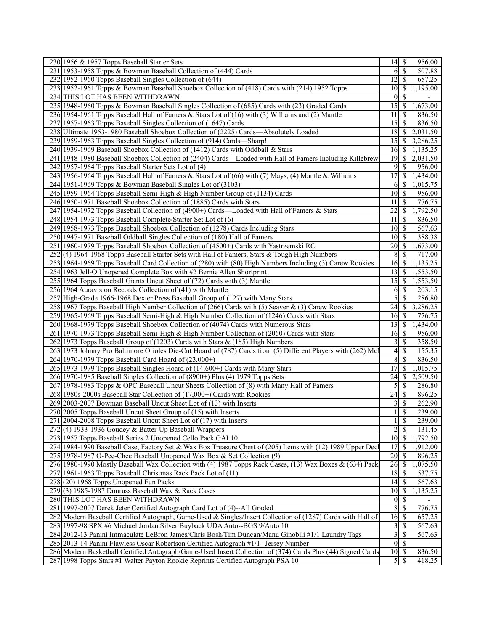| 230 1956 & 1957 Topps Baseball Starter Sets                                                                  | 14                      | \$<br>956.00                          |
|--------------------------------------------------------------------------------------------------------------|-------------------------|---------------------------------------|
| 231 1953-1958 Topps & Bowman Baseball Collection of (444) Cards                                              | 6                       | <sup>\$</sup><br>507.88               |
| 232 1952-1960 Topps Baseball Singles Collection of (644)                                                     | 12                      | \$<br>657.25                          |
| 233 1952-1961 Topps & Bowman Baseball Shoebox Collection of (418) Cards with (214) 1952 Topps                | 10                      | 1,195.00<br>S                         |
| 234 THIS LOT HAS BEEN WITHDRAWN                                                                              | $\overline{0}$          | S                                     |
| 235 1948-1960 Topps & Bowman Baseball Singles Collection of (685) Cards with (23) Graded Cards               | 15                      | $\boldsymbol{\mathsf{S}}$<br>1,673.00 |
| 236 1954-1961 Topps Baseball Hall of Famers & Stars Lot of (16) with (3) Williams and (2) Mantle             | 11                      | \$<br>836.50                          |
| 237 1957-1963 Topps Baseball Singles Collection of (1647) Cards                                              | 15                      | \$<br>836.50                          |
| 238 Ultimate 1953-1980 Baseball Shoebox Collection of (2225) Cards-Absolutely Loaded                         | 18                      | 2,031.50<br>-S                        |
| 239 1959-1963 Topps Baseball Singles Collection of (914) Cards—Sharp!                                        | 15                      | -S<br>3,286.25                        |
| 240 1939-1969 Baseball Shoebox Collection of (1412) Cards with Oddball & Stars                               | 16                      | <sup>\$</sup><br>1,135.25             |
| 241 1948-1980 Baseball Shoebox Collection of (2404) Cards—Loaded with Hall of Famers Including Killebrew     | 19                      | 2,031.50<br>\$                        |
| 242 1957-1964 Topps Baseball Starter Sets Lot of (4)                                                         | 9                       | \$<br>956.00                          |
| 243 1956-1964 Topps Baseball Hall of Famers & Stars Lot of (66) with (7) Mays, (4) Mantle & Williams         | 17                      | \$<br>1,434.00                        |
| 244 1951-1969 Topps & Bowman Baseball Singles Lot of (3103)                                                  | 6                       | 1,015.75<br>-S                        |
| 245 1959-1964 Topps Baseball Semi-High & High Number Group of (1134) Cards                                   | 10                      | -\$<br>956.00                         |
| 246 1950-1971 Baseball Shoebox Collection of (1885) Cards with Stars                                         | 11                      | \$<br>776.75                          |
| 247 1954-1972 Topps Baseball Collection of (4900+) Cards—Loaded with Hall of Famers & Stars                  | 22                      | \$<br>1,792.50                        |
| 248 1954-1973 Topps Baseball Complete/Starter Set Lot of (6)                                                 | 11                      | S<br>836.50                           |
| 249 1958-1973 Topps Baseball Shoebox Collection of (1278) Cards Including Stars                              | 10                      | 567.63<br>-S                          |
| 250 1947-1971 Baseball Oddball Singles Collection of (180) Hall of Famers                                    | 10                      | <sup>\$</sup><br>388.38               |
| 251 1960-1979 Topps Baseball Shoebox Collection of (4500+) Cards with Yastrzemski RC                         | 20                      | -\$<br>1,673.00                       |
| 252(4) 1964-1968 Topps Baseball Starter Sets with Hall of Famers, Stars & Tough High Numbers                 | 8                       | 717.00<br>S                           |
| 253 1964-1969 Topps Baseball Card Collection of (280) with (80) High Numbers Including (3) Carew Rookies     | 16                      | 1,135.25<br>-\$                       |
| 254 1963 Jell-O Unopened Complete Box with #2 Bernie Allen Shortprint                                        | 13                      | S<br>1,553.50                         |
| 255 1964 Topps Baseball Giants Uncut Sheet of (72) Cards with (3) Mantle                                     | 15                      | 1,553.50<br>-S                        |
| 256 1964 Auravision Records Collection of (41) with Mantle                                                   | 6                       | <sup>\$</sup><br>203.15               |
| 257 High-Grade 1966-1968 Dexter Press Baseball Group of (127) with Many Stars                                | 5                       | \$<br>286.80                          |
| 258 1967 Topps Baseball High Number Collection of (266) Cards with (5) Seaver & (3) Carew Rookies            | 24                      | 3,286.25<br>-S                        |
| 259 1965-1969 Topps Baseball Semi-High & High Number Collection of (1246) Cards with Stars                   | 16                      | -S<br>776.75                          |
| 260 1968-1979 Topps Baseball Shoebox Collection of (4074) Cards with Numerous Stars                          | 13                      | S<br>1,434.00                         |
| 261 1970-1973 Topps Baseball Semi-High & High Number Collection of (2060) Cards with Stars                   | 16                      | <sup>\$</sup><br>956.00               |
| 262 1973 Topps Baseball Group of (1203) Cards with Stars & (185) High Numbers                                | 3                       | <sup>\$</sup><br>358.50               |
| 263 1973 Johnny Pro Baltimore Orioles Die-Cut Hoard of (787) Cards from (5) Different Players with (262) Mcl | 4                       | <sup>\$</sup><br>155.35               |
| 264 1970-1979 Topps Baseball Card Hoard of (23,000+)                                                         | 8                       | \$<br>836.50                          |
| 265 1973-1979 Topps Baseball Singles Hoard of (14,600+) Cards with Many Stars                                | 17                      | \$<br>1,015.75                        |
| 266 1970-1985 Baseball Singles Collection of (8900+) Plus (4) 1979 Topps Sets                                | 24                      | 2,509.50<br>\$                        |
| 267 1978-1983 Topps & OPC Baseball Uncut Sheets Collection of (8) with Many Hall of Famers                   | 5                       | <sup>\$</sup><br>286.80               |
| 268 1980s-2000s Baseball Star Collection of (17,000+) Cards with Rookies                                     | 24                      | \$<br>896.25                          |
| 269 2003-2007 Bowman Baseball Uncut Sheet Lot of (13) with Inserts                                           | $\overline{3}$          | $\overline{\$}$<br>262.90             |
| 270 2005 Topps Baseball Uncut Sheet Group of (15) with Inserts                                               |                         | $\mathbb{S}$<br>239.00                |
| 271 2004-2008 Topps Baseball Uncut Sheet Lot of (17) with Inserts                                            |                         | \$<br>239.00                          |
| 272(4) 1933-1936 Goudey & Batter-Up Baseball Wrappers                                                        | $\overline{c}$          | \$<br>131.45                          |
| 273 1957 Topps Baseball Series 2 Unopened Cello Pack GAI 10                                                  | 10                      | 1,792.50<br>\$                        |
| 274 1984-1990 Baseball Case, Factory Set & Wax Box Treasure Chest of (205) Items with (12) 1989 Upper Deck   | 17                      | \$<br>1,912.00                        |
| 275 1978-1987 O-Pee-Chee Baseball Unopened Wax Box & Set Collection (9)                                      | $20\,$                  | \$<br>896.25                          |
| 276 1980-1990 Mostly Baseball Wax Collection with (4) 1987 Topps Rack Cases, (13) Wax Boxes & (634) Packs    | 26                      | -\$<br>1,075.50                       |
| 277 1961-1963 Topps Baseball Christmas Rack Pack Lot of (11)                                                 | 18                      | \$<br>537.75                          |
| $278(20)$ 1968 Topps Unopened Fun Packs                                                                      | 14                      | 567.63<br>S                           |
| 279 (3) 1985-1987 Donruss Baseball Wax & Rack Cases                                                          | 10                      | $\mathcal{S}$<br>1,135.25             |
| 280 THIS LOT HAS BEEN WITHDRAWN                                                                              | $\overline{0}$          | \$                                    |
| 281 1997-2007 Derek Jeter Certified Autograph Card Lot of (4)--All Graded                                    | 8                       | \$<br>776.75                          |
| 282 Modern Baseball Certified Autograph, Game-Used & Singles/Insert Collection of (1287) Cards with Hall of  | 16                      | \$<br>657.25                          |
| 283 1997-98 SPX #6 Michael Jordan Silver Buyback UDA Auto--BGS 9/Auto 10                                     | 3                       | \$<br>567.63                          |
| 284 2012-13 Panini Immaculate LeBron James/Chris Bosh/Tim Duncan/Manu Ginobili #1/1 Laundry Tags             | $\overline{\mathbf{3}}$ | \$<br>567.63                          |
| 285 2013-14 Panini Flawless Oscar Robertson Certified Autograph #1/1--Jersey Number                          | $\overline{0}$          | $\mathcal{S}$                         |
| 286 Modern Basketball Certified Autograph/Game-Used Insert Collection of (374) Cards Plus (44) Signed Cards  | $10$ \$                 | 836.50                                |
| 287 1998 Topps Stars #1 Walter Payton Rookie Reprints Certified Autograph PSA 10                             |                         | 418.25                                |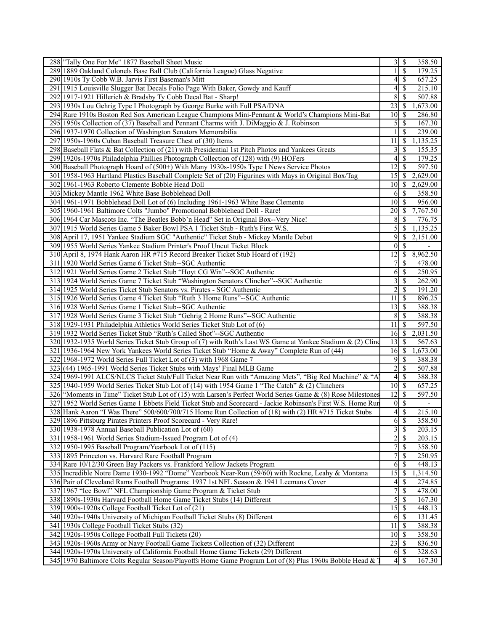| 288 Tally One For Me" 1877 Baseball Sheet Music                                                             | 3                             | 358.50<br>\$                          |
|-------------------------------------------------------------------------------------------------------------|-------------------------------|---------------------------------------|
| 289 1889 Oakland Colonels Base Ball Club (California League) Glass Negative                                 | 1                             | <sup>\$</sup><br>179.25               |
| 290 1910s Ty Cobb W.B. Jarvis First Baseman's Mitt                                                          | 4                             | 657.25<br>S                           |
| 291 1915 Louisville Slugger Bat Decals Folio Page With Baker, Gowdy and Kauff                               | 4                             | 215.10<br>S                           |
| 292 1917-1921 Hillerich & Bradsby Ty Cobb Decal Bat - Sharp!                                                | 8                             | \$<br>507.88                          |
| 293 1930s Lou Gehrig Type I Photograph by George Burke with Full PSA/DNA                                    | 23                            | 1,673.00<br>-S                        |
| 294 Rare 1910s Boston Red Sox American League Champions Mini-Pennant & World's Champions Mini-Bat           | 10                            | S<br>286.80                           |
| 295 1950s Collection of (37) Baseball and Pennant Charms with J. DiMaggio & J. Robinson                     | 5                             | \$<br>167.30                          |
| 296 1937-1970 Collection of Washington Senators Memorabilia                                                 |                               | <sup>\$</sup><br>239.00               |
| 297 1950s-1960s Cuban Baseball Treasure Chest of (30) Items                                                 | 11                            | S<br>1,135.25                         |
| 298 Baseball Flats & Bat Collection of (21) with Presidential 1st Pitch Photos and Yankees Greats           | 3                             | \$<br>155.35                          |
| 299 1920s-1970s Philadelphia Phillies Photograph Collection of (128) with (9) HOFers                        | 4                             | 179.25<br>S                           |
| 300 Baseball Photograph Hoard of (500+) With Many 1930s-1950s Type I News Service Photos                    | 12                            | 597.50<br><sup>\$</sup>               |
| 301 1958-1963 Hartland Plastics Baseball Complete Set of (20) Figurines with Mays in Original Box/Tag       | 15                            | 2,629.00<br>-S                        |
| 302 1961-1963 Roberto Clemente Bobble Head Doll                                                             | 10                            | 2,629.00<br>-S                        |
| 303 Mickey Mantle 1962 White Base Bobblehead Doll                                                           | 6                             | <sup>\$</sup><br>358.50               |
| 304 1961-1971 Bobblehead Doll Lot of (6) Including 1961-1963 White Base Clemente                            | 10                            | 956.00<br>-S                          |
| 305   1960-1961 Baltimore Colts "Jumbo" Promotional Bobblehead Doll - Rare!                                 | 20                            | 7,767.50<br>-S                        |
| 306 1964 Car Mascots Inc. "The Beatles Bobb'n Head" Set in Original Box--Very Nice!                         | 8                             | S<br>776.75                           |
| 307 1915 World Series Game 5 Baker Bowl PSA 1 Ticket Stub - Ruth's First W.S.                               | 5                             | $\boldsymbol{\mathsf{S}}$<br>1,135.25 |
| 308 April 17, 1951 Yankee Stadium SGC "Authentic" Ticket Stub - Mickey Mantle Debut                         | 9                             | <sup>\$</sup><br>2,151.00             |
| 309 1955 World Series Yankee Stadium Printer's Proof Uncut Ticket Block                                     | $\mathbf{0}$                  | <sup>\$</sup>                         |
| 310 April 8, 1974 Hank Aaron HR #715 Record Breaker Ticket Stub Hoard of (192)                              | 12                            | -S<br>8,962.50                        |
| 311 1920 World Series Game 6 Ticket Stub--SGC Authentic                                                     | 7                             | \$<br>478.00                          |
| 312 1921 World Series Game 2 Ticket Stub "Hoyt CG Win"--SGC Authentic                                       | 6                             | \$<br>250.95                          |
| 313 1924 World Series Game 7 Ticket Stub "Washington Senators Clincher"--SGC Authentic                      | 3                             | 262.90<br>S                           |
| 314 1925 World Series Ticket Stub Senators vs. Pirates - SGC Authentic                                      | 2                             | \$<br>191.20                          |
| 315 1926 World Series Game 4 Ticket Stub "Ruth 3 Home Runs"--SGC Authentic                                  | 11                            | 896.25<br>S                           |
| 316 1928 World Series Game 1 Ticket Stub--SGC Authentic                                                     | 13                            | 388.38<br><sup>\$</sup>               |
| 317 1928 World Series Game 3 Ticket Stub "Gehrig 2 Home Runs"--SGC Authentic                                | 8                             | $\boldsymbol{\mathsf{S}}$<br>388.38   |
| 318 1929-1931 Philadelphia Athletics World Series Ticket Stub Lot of (6)                                    | 11                            | 597.50<br>S                           |
| 319 1932 World Series Ticket Stub "Ruth's Called Shot"--SGC Authentic                                       | 16                            | 2,031.50<br>-\$                       |
| 320 1932-1935 World Series Ticket Stub Group of (7) with Ruth's Last WS Game at Yankee Stadium & (2) Cling  | 13                            | <sup>\$</sup><br>567.63               |
| 321 1936-1964 New York Yankees World Series Ticket Stub "Home & Away" Complete Run of (44)                  | 16                            | - \$<br>1,673.00                      |
| 322 1968-1972 World Series Full Ticket Lot of (3) with 1968 Game 7                                          | 9                             | <sup>\$</sup><br>388.38               |
| 323 (44) 1965-1991 World Series Ticket Stubs with Mays' Final MLB Game                                      | 2                             | \$<br>507.88                          |
| 324 1969-1991 ALCS/NLCS Ticket Stub/Full Ticket Near Run with "Amazing Mets", "Big Red Machine" & "A        | 4                             | 388.38<br>S                           |
| 325 1940-1959 World Series Ticket Stub Lot of (14) with 1954 Game 1 "The Catch" & (2) Clinchers             | 10                            | -\$<br>657.25                         |
| 326 "Moments in Time" Ticket Stub Lot of (15) with Larsen's Perfect World Series Game & (8) Rose Milestones | 12                            | <sup>\$</sup><br>597.50               |
| 327 1952 World Series Game 1 Ebbets Field Ticket Stub and Scorecard - Jackie Robinson's First W.S. Home Run | $\overline{0}$ $\overline{s}$ |                                       |
| 328 Hank Aaron "I Was There" 500/600/700/715 Home Run Collection of (18) with (2) HR #715 Ticket Stubs      | 4                             | $\mathbb{S}$<br>215.10                |
| 329 1896 Pittsburg Pirates Printers Proof Scorecard - Very Rare!                                            | 6                             | \$<br>358.50                          |
| 330 1938-1978 Annual Baseball Publication Lot of (60)                                                       | 3                             | \$<br>203.15                          |
| 331 1958-1961 World Series Stadium-Issued Program Lot of (4)                                                | $\overline{2}$                | \$<br>203.15                          |
| 332 1950-1995 Baseball Program/Yearbook Lot of (115)                                                        | 7                             | \$<br>358.50                          |
| 333 1895 Princeton vs. Harvard Rare Football Program                                                        | 7                             | <sup>\$</sup><br>250.95               |
| 334 Rare 10/12/30 Green Bay Packers vs. Frankford Yellow Jackets Program                                    | 6                             | S<br>448.13                           |
| 335 Incredible Notre Dame 1930-1992 "Dome" Yearbook Near-Run (59/60) with Rockne, Leahy & Montana           | 15                            | 1,314.50<br>\$                        |
| 336 Pair of Cleveland Rams Football Programs: 1937 1st NFL Season & 1941 Leemans Cover                      | 4                             | \$<br>274.85                          |
| 337 1967 "Ice Bowl" NFL Championship Game Program & Ticket Stub                                             | $\tau$                        | <sup>\$</sup><br>478.00               |
| 338 1890s-1930s Harvard Football Home Game Ticket Stubs (14) Different                                      | 5                             | \$<br>167.30                          |
| 339 1900s-1920s College Football Ticket Lot of (21)                                                         | 15                            | $\boldsymbol{\mathsf{S}}$<br>448.13   |
| 340 1920s-1940s University of Michigan Football Ticket Stubs (8) Different                                  | 6                             | -\$<br>131.45                         |
| 341 1930s College Football Ticket Stubs (32)                                                                | 11                            | 388.38<br>-S                          |
| 342 1920s-1950s College Football Full Tickets (20)                                                          | 10                            | 358.50<br>- \$                        |
| 343 1920s-1960s Army or Navy Football Game Tickets Collection of (32) Different                             | 23                            | 836.50<br>- \$                        |
| 344 1920s-1970s University of California Football Home Game Tickets (29) Different                          | 6                             | $\mathcal{S}$<br>328.63               |
| 345 1970 Baltimore Colts Regular Season/Playoffs Home Game Program Lot of (8) Plus 1960s Bobble Head &      | 4 <sup>1</sup>                | S<br>167.30                           |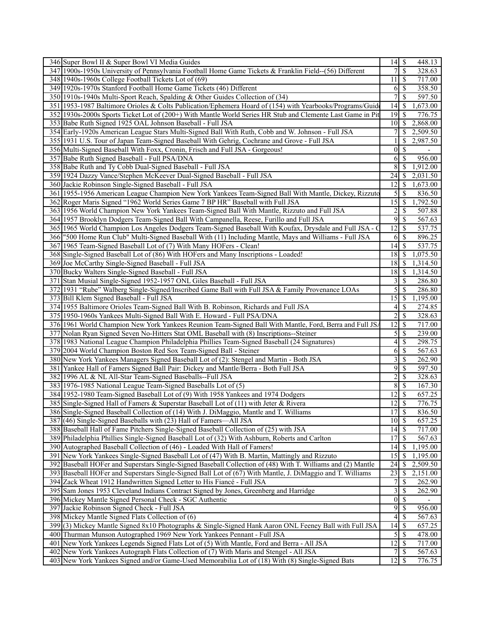| 346 Super Bowl II & Super Bowl VI Media Guides                                                              | 14               | $\mathcal{S}$<br>448.13               |
|-------------------------------------------------------------------------------------------------------------|------------------|---------------------------------------|
| 347 1900s-1950s University of Pennsylvania Football Home Game Tickets & Franklin Field--(56) Different      | 7                | <sup>\$</sup><br>328.63               |
| 348 1940s-1960s College Football Tickets Lot of (69)                                                        | 11               | 717.00<br>S                           |
| 349 1920s-1970s Stanford Football Home Game Tickets (46) Different                                          | 6                | 358.50<br>S                           |
| 350 1910s-1940s Multi-Sport Reach, Spalding & Other Guides Collection of (34)                               | 7                | <sup>\$</sup><br>597.50               |
| 351 1953-1987 Baltimore Orioles & Colts Publication/Ephemera Hoard of (154) with Yearbooks/Programs/Guide   | 14               | \$<br>1,673.00                        |
| 352 1930s-2000s Sports Ticket Lot of (200+) With Mantle World Series HR Stub and Clemente Last Game in Pit  | 19               | <sup>\$</sup><br>776.75               |
| 353 Babe Ruth Signed 1925 OAL Johnson Baseball - Full JSA                                                   | 10               | 2,868.00<br><sup>\$</sup>             |
| 354 Early-1920s American League Stars Multi-Signed Ball With Ruth, Cobb and W. Johnson - Full JSA           |                  | S<br>2,509.50                         |
| 355 1931 U.S. Tour of Japan Team-Signed Baseball With Gehrig, Cochrane and Grove - Full JSA                 |                  | 2,987.50<br>S                         |
| 356 Multi-Signed Baseball With Foxx, Cronin, Frisch and Full JSA - Gorgeous!                                | $\theta$         | S                                     |
| 357 Babe Ruth Signed Baseball - Full PSA/DNA                                                                | 6                | \$<br>956.00                          |
| 358 Babe Ruth and Ty Cobb Dual-Signed Baseball - Full JSA                                                   | 8                | 1,912.00<br>\$                        |
| 359 1924 Dazzy Vance/Stephen McKeever Dual-Signed Baseball - Full JSA                                       | 24               | 2,031.50<br><sup>\$</sup>             |
| 360 Jackie Robinson Single-Signed Baseball - Full JSA                                                       | 12               | 1,673.00<br>S                         |
| 361 1955-1956 American League Champion New York Yankees Team-Signed Ball With Mantle, Dickey, Rizzuto       | 5                | 836.50<br>\$                          |
| 362 Roger Maris Signed "1962 World Series Game 7 BP HR" Baseball with Full JSA                              | 15               | $\boldsymbol{\mathsf{S}}$<br>1,792.50 |
| 363 1956 World Champion New York Yankees Team-Signed Ball With Mantle, Rizzuto and Full JSA                 | 2                | \$<br>507.88                          |
| 364 1957 Brooklyn Dodgers Team-Signed Ball With Campanella, Reese, Furillo and Full JSA                     | 9                | \$<br>567.63                          |
| 365 1965 World Champion Los Angeles Dodgers Team-Signed Baseball With Koufax, Drysdale and Full JSA - C     | 12               | <sup>\$</sup><br>537.75               |
| 366 ''500 Home Run Club" Multi-Signed Baseball With (11) Including Mantle, Mays and Williams - Full JSA     | 6                | \$<br>896.25                          |
| 367 1965 Team-Signed Baseball Lot of (7) With Many HOFers - Clean!                                          | 14               | \$<br>537.75                          |
| 368 Single-Signed Baseball Lot of (86) With HOFers and Many Inscriptions - Loaded!                          | 18               | 1,075.50<br>-S                        |
| 369 Joe McCarthy Single-Signed Baseball - Full JSA                                                          | 18               | 1,314.50<br>-S                        |
| 370 Bucky Walters Single-Signed Baseball - Full JSA                                                         | 18               | 1,314.50<br>-\$                       |
| 371 Stan Musial Single-Signed 1952-1957 ONL Giles Baseball - Full JSA                                       |                  | 286.80<br><sup>\$</sup>               |
| 372   1931 "Rube" Walberg Single-Signed/Inscribed Game Ball with Full JSA & Family Provenance LOAs          | 3<br>5           |                                       |
|                                                                                                             | 15               | \$<br>286.80                          |
| 373 Bill Klem Signed Baseball - Full JSA                                                                    |                  | 1,195.00<br>\$                        |
| 374 1955 Baltimore Orioles Team-Signed Ball With B. Robinson, Richards and Full JSA                         | 4                | S<br>274.85                           |
| 375 1950-1960s Yankees Multi-Signed Ball With E. Howard - Full PSA/DNA                                      | $\overline{2}$   | <sup>\$</sup><br>328.63               |
| 376 1961 World Champion New York Yankees Reunion Team-Signed Ball With Mantle, Ford, Berra and Full JSA     | 12               | 717.00<br>S                           |
| 377 Nolan Ryan Signed Seven No-Hitters Stat OML Baseball with (8) Inscriptions--Steiner                     | 5                | \$<br>239.00                          |
| 378 1983 National League Champion Philadelphia Phillies Team-Signed Baseball (24 Signatures)                | 4                | \$<br>298.75                          |
| 379 2004 World Champion Boston Red Sox Team-Signed Ball - Steiner                                           | 6                | \$<br>567.63                          |
| 380 New York Yankees Managers Signed Baseball Lot of (2): Stengel and Martin - Both JSA                     | 3                | \$<br>262.90                          |
| 381 Yankee Hall of Famers Signed Ball Pair: Dickey and Mantle/Berra - Both Full JSA                         | 9                | \$<br>597.50                          |
| 382 1996 AL & NL All-Star Team-Signed Baseballs--Full JSA                                                   | $\overline{c}$   | \$<br>328.63                          |
| 383 1976-1985 National League Team-Signed Baseballs Lot of (5)                                              | 8                | \$<br>167.30                          |
| 384 1952-1980 Team-Signed Baseball Lot of (9) With 1958 Yankees and 1974 Dodgers                            | 12               | \$<br>657.25                          |
| 385 Single-Signed Hall of Famers & Superstar Baseball Lot of (11) with Jeter & Rivera                       | 12               | \$<br>776.75                          |
| 386 Single-Signed Baseball Collection of (14) With J. DiMaggio, Mantle and T. Williams                      | 17               | $\mathcal{S}$<br>836.50               |
| 387 (46) Single-Signed Baseballs with (23) Hall of Famers—All JSA                                           | $10 \mid$ \$     | 657.25                                |
| 388 Baseball Hall of Fame Pitchers Single-Signed Baseball Collection of (25) with JSA                       | 14               | 717.00<br>-\$                         |
| 389 Philadelphia Phillies Single-Signed Baseball Lot of (32) With Ashburn, Roberts and Carlton              | 17               | 567.63<br><sup>\$</sup>               |
| 390 Autographed Baseball Collection of (46) - Loaded With Hall of Famers!                                   | 14               | 1,195.00<br>\$                        |
| 391 New York Yankees Single-Signed Baseball Lot of (47) With B. Martin, Mattingly and Rizzuto               | 15               | 1,195.00<br>-S                        |
| 392 Baseball HOFer and Superstars Single-Signed Baseball Collection of (48) With T. Williams and (2) Mantle | $\overline{24}$  | \$<br>2,509.50                        |
| 393 Baseball HOFer and Superstars Single-Signed Ball Lot of (67) With Mantle, J. DiMaggio and T. Williams   | 23               | \$<br>2,151.00                        |
| 394 Zack Wheat 1912 Handwritten Signed Letter to His Fiancé - Full JSA                                      | 7                | \$<br>262.90                          |
| 395 Sam Jones 1953 Cleveland Indians Contract Signed by Jones, Greenberg and Harridge                       | 3                | \$<br>262.90                          |
| 396 Mickey Mantle Signed Personal Check - SGC Authentic                                                     | $\boldsymbol{0}$ | \$                                    |
| 397 Jackie Robinson Signed Check - Full JSA                                                                 | 9                | \$<br>956.00                          |
| 398 Mickey Mantle Signed Flats Collection of (6)                                                            | 4                | \$<br>$\overline{567.63}$             |
| 399(3) Mickey Mantle Signed 8x10 Photographs & Single-Signed Hank Aaron ONL Feeney Ball with Full JSA       | 14               | \$<br>657.25                          |
| 400 Thurman Munson Autographed 1969 New York Yankees Pennant - Full JSA                                     | 5                | $\mathcal{S}$<br>478.00               |
| 401 New York Yankees Legends Signed Flats Lot of (5) With Mantle, Ford and Berra - All JSA                  | 12               | 717.00<br>\$                          |
| 402 New York Yankees Autograph Flats Collection of (7) With Maris and Stengel - All JSA                     | 7                | \$<br>567.63                          |
| 403 New York Yankees Signed and/or Game-Used Memorabilia Lot of (18) With (8) Single-Signed Bats            | 12               | -\$<br>776.75                         |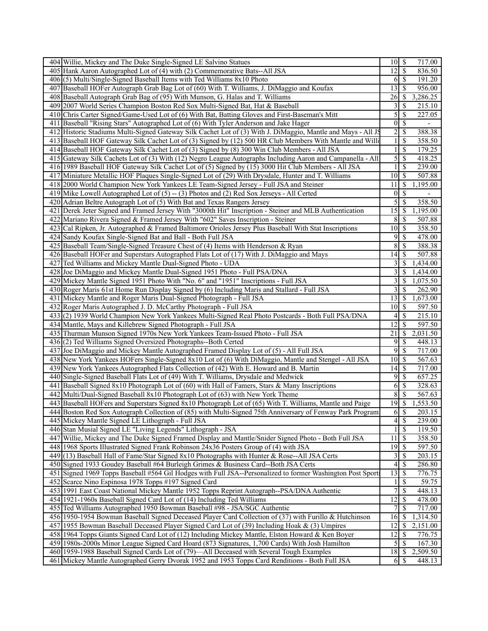| 404 Willie, Mickey and The Duke Single-Signed LE Salvino Statues                                                                                                              |                         |                            | 717.00                   |
|-------------------------------------------------------------------------------------------------------------------------------------------------------------------------------|-------------------------|----------------------------|--------------------------|
| 405 Hank Aaron Autographed Lot of (4) with (2) Commemorative Bats--All JSA                                                                                                    | $12 \mid$ \$            |                            | 836.50                   |
| 406(5) Multi/Single-Signed Baseball Items with Ted Williams 8x10 Photo                                                                                                        | 6                       | $\vert$ \$                 | 191.20                   |
| 407 Baseball HOFer Autograph Grab Bag Lot of (60) With T. Williams, J. DiMaggio and Koufax                                                                                    | 13                      | -S                         | 956.00                   |
| 408 Baseball Autograph Grab Bag of (95) With Munson, G. Halas and T. Williams                                                                                                 | 26                      | <sup>\$</sup>              | 3,286.25                 |
| 409 2007 World Series Champion Boston Red Sox Multi-Signed Bat, Hat & Baseball                                                                                                | 3                       | \$                         | 215.10                   |
| 410 Chris Carter Signed/Game-Used Lot of (6) With Bat, Batting Gloves and First-Baseman's Mitt                                                                                | 5                       | $\mathbb{S}$               | 227.05                   |
| 411 Baseball "Rising Stars" Autographed Lot of (6) With Tyler Anderson and Jake Hager                                                                                         | $\overline{0}$          | $\overline{\mathcal{S}}$   |                          |
| 412 Historic Stadiums Multi-Signed Gateway Silk Cachet Lot of (3) With J. DiMaggio, Mantle and Mays - All JS                                                                  | $\overline{2}$          | $\mathcal{S}$              | 388.38                   |
| 413 Baseball HOF Gateway Silk Cachet Lot of (3) Signed by (12) 500 HR Club Members With Mantle and Willi                                                                      | $\mathbf{1}$            | \$                         | 358.50                   |
| 414 Baseball HOF Gateway Silk Cachet Lot of (3) Signed by (8) 300 Win Club Members - All JSA                                                                                  | $\mathbf{1}$            | \$                         | 179.25                   |
| 415 Gateway Silk Cachets Lot of (3) With (12) Negro League Autographs Including Aaron and Campanella - All                                                                    | 5                       | $\mathcal{S}$              | 418.25                   |
| 416 1989 Baseball HOF Gateway Silk Cachet Lot of (5) Signed by (15) 3000 Hit Club Members - All JSA                                                                           | 1                       | $\mathbb{S}$               | 239.00                   |
| 417 Miniature Metallic HOF Plaques Single-Signed Lot of (29) With Drysdale, Hunter and T. Williams                                                                            | $10\sqrt{S}$            |                            | 507.88                   |
| 418 2000 World Champion New York Yankees LE Team-Signed Jersey - Full JSA and Steiner                                                                                         | 11                      | $\mathbb{S}$               | 1,195.00                 |
| 419 Mike Lowell Autographed Lot of (5) -- (3) Photos and (2) Red Sox Jerseys - All Certed                                                                                     | $\boldsymbol{0}$        | $\mathcal{S}$              | $\overline{\phantom{a}}$ |
| 420 Adrian Beltre Autograph Lot of (5) With Bat and Texas Rangers Jersey                                                                                                      | 5                       | S                          | 358.50                   |
| 421 Derek Jeter Signed and Framed Jersey With "3000th Hit" Inscription - Steiner and MLB Authentication                                                                       | 15                      | \$                         | 1,195.00                 |
| 422 Mariano Rivera Signed & Framed Jersey With "602" Saves Inscription - Steiner                                                                                              | 8                       | $\mathbb{S}$               | 507.88                   |
| 423 Cal Ripken, Jr. Autographed & Framed Baltimore Orioles Jersey Plus Baseball With Stat Inscriptions                                                                        |                         |                            | 358.50                   |
| 424 Sandy Koufax Single-Signed Bat and Ball - Both Full JSA                                                                                                                   | 9                       | \$                         | 478.00                   |
| 425 Baseball Team/Single-Signed Treasure Chest of (4) Items with Henderson & Ryan                                                                                             | $\,$ 8 $\,$             | $\mathbb{S}$               | 388.38                   |
| 426 Baseball HOFer and Superstars Autographed Flats Lot of (17) With J. DiMaggio and Mays                                                                                     | 14                      | <sup>\$</sup>              | 507.88                   |
| 427 Ted Williams and Mickey Mantle Dual-Signed Photo - UDA                                                                                                                    | 3                       | <sup>\$</sup>              | 1,434.00                 |
| 428 Joe DiMaggio and Mickey Mantle Dual-Signed 1951 Photo - Full PSA/DNA                                                                                                      | 3                       | \$                         | 1,434.00                 |
| 429 Mickey Mantle Signed 1951 Photo With "No. 6" and "1951" Inscriptions - Full JSA                                                                                           | $\overline{\mathbf{3}}$ | <sup>\$</sup>              | 1,075.50                 |
| 430 Roger Maris 61st Home Run Display Signed by (6) Including Maris and Stallard - Full JSA                                                                                   | $\overline{3}$          | -S                         | 262.90                   |
| 431 Mickey Mantle and Roger Maris Dual-Signed Photograph - Full JSA                                                                                                           | 13                      | \$                         | 1,673.00                 |
| 432 Roger Maris Autographed J. D. McCarthy Photograph - Full JSA                                                                                                              | 10 <sup>1</sup>         | -S                         | 597.50                   |
| 433(2) 1939 World Champion New York Yankees Multi-Signed Real Photo Postcards - Both Full PSA/DNA                                                                             | $\vert 4 \vert$         | <sup>\$</sup>              | 215.10                   |
| 434 Mantle, Mays and Killebrew Signed Photograph - Full JSA                                                                                                                   | 12                      | $\mathbb{S}$               | 597.50                   |
| 435 Thurman Munson Signed 1970s New York Yankees Team-Issued Photo - Full JSA                                                                                                 | $\overline{21}$         | $\mathbb{S}$<br>-S         | 2,031.50                 |
| 436 (2) Ted Williams Signed Oversized Photographs--Both Certed                                                                                                                | 9<br>9                  | $\mathbb{S}$               | 448.13                   |
| 437 Joe DiMaggio and Mickey Mantle Autographed Framed Display Lot of (5) - All Full JSA                                                                                       | 10                      | \$                         | 717.00<br>567.63         |
| 438 New York Yankees HOFers Single-Signed 8x10 Lot of (6) With DiMaggio, Mantle and Stengel - All JSA                                                                         |                         |                            | 717.00                   |
| 439 New York Yankees Autographed Flats Collection of (42) With E. Howard and B. Martin<br>440 Single-Signed Baseball Flats Lot of (49) With T. Williams, Drysdale and Medwick | 9                       | $\mathcal{S}$              | 657.25                   |
| 441 Baseball Signed 8x10 Photograph Lot of (60) with Hall of Famers, Stars & Many Inscriptions                                                                                | 6                       | $\mathcal{S}$              | 328.63                   |
| 442 Multi/Dual-Signed Baseball 8x10 Photograph Lot of (63) with New York Theme                                                                                                | $\,8\,$                 | -S                         | 567.63                   |
| 443 Baseball HOFers and Superstars Signed 8x10 Photograph Lot of (65) With T. Williams, Mantle and Paige                                                                      | 19                      | $\mathbb{S}$               | 1,553.50                 |
| 444 Boston Red Sox Autograph Collection of (85) with Multi-Signed 75th Anniversary of Fenway Park Program                                                                     |                         | $6\sqrt{3}$                | 203.15                   |
| 445 Mickey Mantle Signed LE Lithograph - Full JSA                                                                                                                             | $\overline{4}$          | $\overline{\mathcal{S}}$   | 239.00                   |
| 446 Stan Musial Signed LE "Living Legends" Lithograph - JSA                                                                                                                   | 1                       | $\overline{\mathcal{S}}$   | 119.50                   |
| 447 Willie, Mickey and The Duke Signed Framed Display and Mantle/Snider Signed Photo - Both Full JSA                                                                          | $\overline{11}$         | $\mathbb{S}$               | 358.50                   |
| 448 1968 Sports Illustrated Signed Frank Robinson 24x36 Posters Group of (4) with JSA                                                                                         | 19                      | $\mathcal{S}$              | 597.50                   |
| 449 (13) Baseball Hall of Fame/Star Signed 8x10 Photographs with Hunter & Rose--All JSA Certs                                                                                 | $\mathfrak{Z}$          | \$                         | 203.15                   |
| 450 Signed 1933 Goudey Baseball #64 Burleigh Grimes & Business Card--Both JSA Certs                                                                                           | $\overline{4}$          | $\mathbb{S}$               | 286.80                   |
| 451 Signed 1969 Topps Baseball #564 Gil Hodges with Full JSA--Personalized to former Washington Post Sport:                                                                   | 13                      | $\mathbb{S}$               | 776.75                   |
| 452 Scarce Nino Espinosa 1978 Topps #197 Signed Card                                                                                                                          | 1                       | $\mathbb{S}$               | 59.75                    |
| 453 1991 East Coast National Mickey Mantle 1952 Topps Reprint Autograph--PSA/DNA Authentic                                                                                    | $\overline{7}$          | $\overline{\mathcal{S}}$   | 448.13                   |
| 454 1921-1960s Baseball Signed Card Lot of (14) Including Ted Williams                                                                                                        | 12                      | $\mathcal{S}$              | 478.00                   |
| 455 Ted Williams Autographed 1950 Bowman Baseball #98 - JSA/SGC Authentic                                                                                                     | 7                       | \$                         | 717.00                   |
| 456 1950-1954 Bowman Baseball Signed Deceased Player Card Collection of (37) with Furillo & Hutchinson                                                                        | 16                      | \$                         | 1,314.50                 |
| 457 1955 Bowman Baseball Deceased Player Signed Card Lot of (39) Including Hoak & (3) Umpires                                                                                 | 12                      | \$                         | 2,151.00                 |
| 458 1964 Topps Giants Signed Card Lot of (12) Including Mickey Mantle, Elston Howard & Ken Boyer                                                                              | 12                      | -\$                        | 776.75                   |
| 459 1980s-2000s Minor League Signed Card Hoard (873 Signatures, 1,700 Cards) With Josh Hamilton                                                                               |                         | $5 \overline{\smash{)}\,}$ | 167.30                   |
| 460 1959-1988 Baseball Signed Cards Lot of (79)—All Deceased with Several Tough Examples                                                                                      | 18                      | \$                         | 2,509.50                 |
| 461 Mickey Mantle Autographed Gerry Dvorak 1952 and 1953 Topps Card Renditions - Both Full JSA                                                                                | 6                       | S                          | 448.13                   |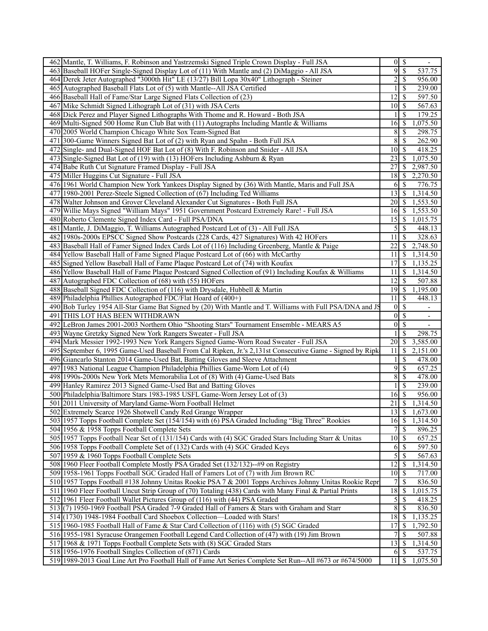| 462 Mantle, T. Williams, F. Robinson and Yastrzemski Signed Triple Crown Display - Full JSA                                                                          | $0 \mid S$                        |               | $\overline{\phantom{a}}$ |
|----------------------------------------------------------------------------------------------------------------------------------------------------------------------|-----------------------------------|---------------|--------------------------|
| 463 Baseball HOFer Single-Signed Display Lot of (11) With Mantle and (2) DiMaggio - All JSA                                                                          | 91                                | $\mathcal{S}$ | 537.75                   |
| 464 Derek Jeter Autographed "3000th Hit" LE (13/27) Bill Lopa 30x40" Lithograph - Steiner                                                                            | $\overline{c}$                    | <sup>\$</sup> | 956.00                   |
| 465 Autographed Baseball Flats Lot of (5) with Mantle--All JSA Certified                                                                                             |                                   | -S            | 239.00                   |
| 466 Baseball Hall of Fame/Star Large Signed Flats Collection of (23)                                                                                                 | 12                                | -S            | 597.50                   |
| 467 Mike Schmidt Signed Lithograph Lot of (31) with JSA Certs                                                                                                        | 10 <sup>1</sup>                   | -S            | 567.63                   |
| 468 Dick Perez and Player Signed Lithographs With Thome and R. Howard - Both JSA                                                                                     |                                   | -S            | 179.25                   |
| 469 Multi-Signed 500 Home Run Club Bat with (11) Autographs Including Mantle & Williams                                                                              | 16                                | -S            | 1,075.50                 |
| 470 2005 World Champion Chicago White Sox Team-Signed Bat                                                                                                            | 8                                 | -S            | 298.75                   |
| 471 300-Game Winners Signed Bat Lot of (2) with Ryan and Spahn - Both Full JSA                                                                                       | 8                                 | <sup>\$</sup> | 262.90                   |
| 472 Single- and Dual-Signed HOF Bat Lot of (8) With F. Robinson and Snider - All JSA                                                                                 | 10 <sup>1</sup>                   | <sup>\$</sup> | 418.25                   |
| 473 Single-Signed Bat Lot of (19) with (13) HOFers Including Ashburn & Ryan                                                                                          |                                   |               | 1,075.50                 |
| 474 Babe Ruth Cut Signature Framed Display - Full JSA                                                                                                                | 27                                | <sup>\$</sup> | 2,987.50                 |
| 475 Miller Huggins Cut Signature - Full JSA                                                                                                                          | 18                                |               | $\overline{2,270.50}$    |
| 476 1961 World Champion New York Yankees Display Signed by (36) With Mantle, Maris and Full JSA                                                                      | 61                                | <sup>\$</sup> | 776.75                   |
| 477 1980-2001 Perez-Steele Signed Collection of (67) Including Ted Williams                                                                                          | $13 \mid S$                       |               | 1,314.50                 |
| 478 Walter Johnson and Grover Cleveland Alexander Cut Signatures - Both Full JSA                                                                                     |                                   |               |                          |
|                                                                                                                                                                      | 16                                |               | 1,553.50<br>1,553.50     |
| 479 Willie Mays Signed "William Mays" 1951 Government Postcard Extremely Rare! - Full JSA                                                                            | 15                                | \$            | 1,015.75                 |
| 480 Roberto Clemente Signed Index Card - Full PSA/DNA                                                                                                                |                                   | \$            |                          |
| 481 Mantle, J. DiMaggio, T. Williams Autographed Postcard Lot of (3) - All Full JSA                                                                                  | 5 <sup>1</sup>                    | $\mathcal{S}$ | 448.13                   |
| 482 1980s-2000s EPSCC Signed Show Postcards (228 Cards, 427 Signatures) With 42 HOFers                                                                               | $11\overline{3}$                  |               | 328.63                   |
| 483 Baseball Hall of Famer Signed Index Cards Lot of (116) Including Greenberg, Mantle & Paige                                                                       | 22                                | <sup>S</sup>  | 2,748.50                 |
| 484 Yellow Baseball Hall of Fame Signed Plaque Postcard Lot of (66) with McCarthy                                                                                    | 11                                |               | \$1,314.50               |
| 485 Signed Yellow Baseball Hall of Fame Plaque Postcard Lot of (74) with Koufax                                                                                      | 17                                | \$            | 1,135.25                 |
| 486 Yellow Baseball Hall of Fame Plaque Postcard Signed Collection of (91) Including Koufax & Williams                                                               | 11                                | <sup>\$</sup> | 1,314.50                 |
| 487 Autographed FDC Collection of (68) with (55) HOFers                                                                                                              | 12                                | $\mathbb{S}$  | 507.88                   |
| 488 Baseball Signed FDC Collection of (116) with Drysdale, Hubbell & Martin                                                                                          | $19$ \$                           |               | 1,195.00                 |
| 489 Philadelphia Phillies Autographed FDC/Flat Hoard of (400+)                                                                                                       | $\overline{11}$ \$                |               | 448.13                   |
| 490 Bob Turley 1954 All-Star Game Bat Signed by (20) With Mantle and T. Williams with Full PSA/DNA and JS                                                            | $\overline{0}$                    | <sup>\$</sup> |                          |
| 491 THIS LOT HAS BEEN WITHDRAWN                                                                                                                                      | $\overline{0}$                    | -S            | $\overline{\phantom{a}}$ |
| 492 LeBron James 2001-2003 Northern Ohio "Shooting Stars" Tournament Ensemble - MEARS A5                                                                             | $\overline{0}$                    | -S            |                          |
| 493 Wayne Gretzky Signed New York Rangers Sweater - Full JSA                                                                                                         |                                   | <sup>\$</sup> | 298.75                   |
| 494 Mark Messier 1992-1993 New York Rangers Signed Game-Worn Road Sweater - Full JSA                                                                                 | 20                                | $\mathcal{S}$ | 3,585.00                 |
| 495 September 6, 1995 Game-Used Baseball From Cal Ripken, Jr.'s 2,131st Consecutive Game - Signed by Ripk                                                            | $11 \mid S$                       |               | 2,151.00                 |
| 496 Giancarlo Stanton 2014 Game-Used Bat, Batting Gloves and Sleeve Attachment                                                                                       |                                   | \$            | 478.00                   |
| 497 1983 National League Champion Philadelphia Phillies Game-Worn Lot of (4)                                                                                         | 9                                 | $\mathbb{S}$  | 657.25                   |
| 498 1990s-2000s New York Mets Memorabilia Lot of (8) With (4) Game-Used Bats                                                                                         |                                   |               |                          |
|                                                                                                                                                                      | 8                                 | -S            | 478.00                   |
| 499 Hanley Ramirez 2013 Signed Game-Used Bat and Batting Gloves                                                                                                      |                                   | <sup>\$</sup> | 239.00                   |
| 500 Philadelphia/Baltimore Stars 1983-1985 USFL Game-Worn Jersey Lot of (3)                                                                                          | $16\overline{3}$                  |               | 956.00                   |
| 501 2011 University of Maryland Game-Worn Football Helmet                                                                                                            | 21                                | -S            | 1,314.50                 |
| 502 Extremely Scarce 1926 Shotwell Candy Red Grange Wrapper                                                                                                          | $\overline{1}3$ \$                |               | 1,673.00                 |
| 503 1957 Topps Football Complete Set (154/154) with (6) PSA Graded Including "Big Three" Rookies                                                                     | $16 \,$ \$                        |               | 1,314.50                 |
| 504 1956 & 1958 Topps Football Complete Sets                                                                                                                         | 7                                 | $\mathbb{S}$  | 896.25                   |
|                                                                                                                                                                      |                                   |               |                          |
| 505 1957 Topps Football Near Set of (131/154) Cards with (4) SGC Graded Stars Including Starr & Unitas                                                               | $10 \overline{\smash{)}\,}$<br>61 | -S            | 657.25                   |
| 506 1958 Topps Football Complete Set of (132) Cards with (4) SGC Graded Keys                                                                                         |                                   |               | 597.50                   |
| 507 1959 & 1960 Topps Football Complete Sets                                                                                                                         | 5                                 | <sup>\$</sup> | 567.63                   |
| 508 1960 Fleer Football Complete Mostly PSA Graded Set (132/132)--#9 on Registry                                                                                     | $\overline{12}$                   | \$            | 1,314.50                 |
| 509 1958-1961 Topps Football SGC Graded Hall of Famers Lot of (7) with Jim Brown RC                                                                                  | 10 <sup>1</sup>                   | \$            | 717.00                   |
| 510 1957 Topps Football #138 Johnny Unitas Rookie PSA 7 & 2001 Topps Archives Johnny Unitas Rookie Repr                                                              | 7                                 | -S            | 836.50                   |
| 511 1960 Fleer Football Uncut Strip Group of (70) Totaling (438) Cards with Many Final & Partial Prints                                                              | 18                                | $\mathbb{S}$  | 1,015.75                 |
| 512 1961 Fleer Football Wallet Pictures Group of (116) with (44) PSA Graded                                                                                          |                                   |               | 418.25                   |
| 513 (7) 1950-1969 Football PSA Graded 7-9 Graded Hall of Famers & Stars with Graham and Starr                                                                        | 8                                 | <sup>\$</sup> | 836.50                   |
| 514 (1730) 1948-1984 Football Card Shoebox Collection-Loaded with Stars!                                                                                             | 18                                | $\mathcal{S}$ | 1,135.25                 |
| 515 1960-1985 Football Hall of Fame & Star Card Collection of (116) with (5) SGC Graded                                                                              | 17                                | \$            | 1,792.50                 |
| 516 1955-1981 Syracuse Orangemen Football Legend Card Collection of (47) with (19) Jim Brown                                                                         | 7                                 | <sup>\$</sup> | 507.88                   |
| 517 1968 & 1971 Topps Football Complete Sets with (8) SGC Graded Stars                                                                                               | $13 \mid S$                       |               | 1,314.50                 |
| 518 1956-1976 Football Singles Collection of (871) Cards<br>519 1989-2013 Goal Line Art Pro Football Hall of Fame Art Series Complete Set Run--All #673 or #674/5000 | $11 \,$ $\beta$                   | $6 \mid S$    | 537.75<br>1,075.50       |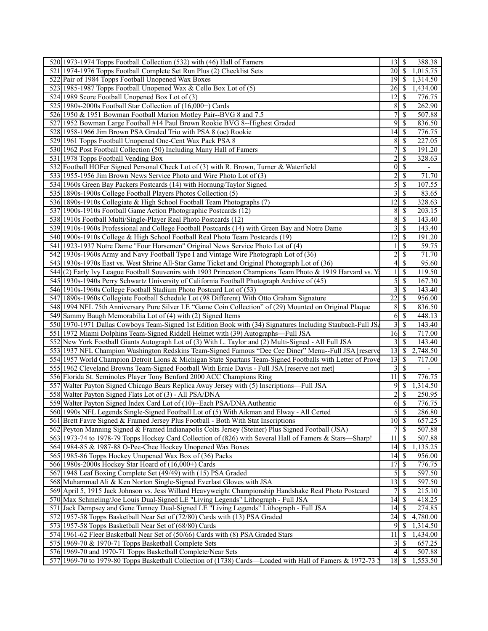| 520 1973-1974 Topps Football Collection (532) with (46) Hall of Famers                                     | $13 \mid$ \$        | 388.38                                |
|------------------------------------------------------------------------------------------------------------|---------------------|---------------------------------------|
| 521 1974-1976 Topps Football Complete Set Run Plus (2) Checklist Sets                                      | $\overline{20}$ \$  | 1,015.75                              |
| 522 Pair of 1984 Topps Football Unopened Wax Boxes                                                         | $19$ $\sqrt{S}$     | 1,314.50                              |
| 523 1985-1987 Topps Football Unopened Wax & Cello Box Lot of (5)                                           | 26                  | 1,434.00<br><sup>\$</sup>             |
| 524 1989 Score Football Unopened Box Lot of (3)                                                            | 12                  | 776.75<br>-S                          |
| 525 1980s-2000s Football Star Collection of (16,000+) Cards                                                | 8                   | $\mathbf{\$}$<br>262.90               |
| 526 1950 & 1951 Bowman Football Marion Motley Pair--BVG 8 and 7.5                                          | 7                   | \$<br>507.88                          |
| 527 1952 Bowman Large Football #14 Paul Brown Rookie BVG 8--Highest Graded                                 | 9 <sup>1</sup>      | \$<br>836.50                          |
| 528 1958-1966 Jim Brown PSA Graded Trio with PSA 8 (oc) Rookie                                             | 14                  | \$<br>776.75                          |
| 529 1961 Topps Football Unopened One-Cent Wax Pack PSA 8                                                   | 8                   | $\boldsymbol{\mathsf{S}}$<br>227.05   |
| 530 1962 Post Football Collection (50) Including Many Hall of Famers                                       | $\overline{7}$      | $\mathbf{\$}$<br>191.20               |
| 531 1978 Topps Football Vending Box                                                                        | $\overline{c}$      | \$<br>328.63                          |
| 532 Football HOFer Signed Personal Check Lot of (3) with R. Brown, Turner & Waterfield                     | $\mathbf{0}$        | \$                                    |
| 533 1955-1956 Jim Brown News Service Photo and Wire Photo Lot of (3)                                       | $\overline{c}$      | 71.70<br>$\mathbb{S}$                 |
| 534 1960s Green Bay Packers Postcards (14) with Hornung/Taylor Signed                                      | 5                   | <sup>\$</sup><br>107.55               |
| 535 1890s-1900s College Football Players Photos Collection (5)                                             | 3                   | $\boldsymbol{\mathsf{S}}$<br>83.65    |
|                                                                                                            |                     |                                       |
| 536 1890s-1910s Collegiate & High School Football Team Photographs (7)                                     | 12                  | 328.63<br>$\boldsymbol{\mathsf{S}}$   |
| 537 1900s-1910s Football Game Action Photographic Postcards (12)                                           | 8                   | <sup>\$</sup><br>203.15               |
| 538 1910s Football Multi/Single-Player Real Photo Postcards (12)                                           | 8                   | $\boldsymbol{\mathsf{S}}$<br>143.40   |
| 539 1910s-1960s Professional and College Football Postcards (14) with Green Bay and Notre Dame             | 3                   | $\mathcal{S}$<br>143.40               |
| 540 1900s-1910s College & High School Football Real Photo Team Postcards (19)                              | 12                  | \$<br>191.20                          |
| 541 1923-1937 Notre Dame "Four Horsemen" Original News Service Photo Lot of (4)                            |                     | \$<br>59.75                           |
| 542 1930s-1960s Army and Navy Football Type I and Vintage Wire Photograph Lot of (36)                      | $\overline{c}$      | \$<br>71.70                           |
| 543 1930s-1970s East vs. West Shrine All-Star Game Ticket and Original Photograph Lot of (36)              | 4                   | \$<br>95.60                           |
| 544(2) Early Ivy League Football Souvenirs with 1903 Princeton Champions Team Photo & 1919 Harvard vs. Ya  | 1                   | <sup>\$</sup><br>119.50               |
| 545   1930s-1940s Perry Schwartz University of California Football Photograph Archive of (45)              | 5                   | <sup>\$</sup><br>167.30               |
| 546 1910s-1960s College Football Stadium Photo Postcard Lot of (53)                                        | 3                   | $\mathbb{S}$<br>143.40                |
| 547 1890s-1960s Collegiate Football Schedule Lot (98 Different) With Otto Graham Signature                 | 22                  | \$<br>956.00                          |
| 548 1994 NFL 75th Anniversary Pure Silver LE "Game Coin Collection" of (29) Mounted on Original Plaque     | 8                   | -S<br>836.50                          |
| 549 Sammy Baugh Memorabilia Lot of (4) with (2) Signed Items                                               | 6                   | $\mathbb{S}$<br>448.13                |
| 550 1970-1971 Dallas Cowboys Team-Signed 1st Edition Book with (34) Signatures Including Staubach-Full JS. | 3                   | $\mathbf{\$}$<br>143.40               |
| 551 1972 Miami Dolphins Team-Signed Riddell Helmet with (39) Autographs—Full JSA                           | $16 \mid$ \$        | 717.00                                |
| 552 New York Football Giants Autograph Lot of (3) With L. Taylor and (2) Multi-Signed - All Full JSA       | 3                   | $\mathbf{\$}$<br>143.40               |
| 553 1937 NFL Champion Washington Redskins Team-Signed Famous "Dee Cee Diner" Menu--Full JSA [reserve       | 13                  | \$<br>2,748.50                        |
| 554 1957 World Champion Detroit Lions & Michigan State Spartans Team-Signed Footballs with Letter of Prove | 13                  | <sup>\$</sup><br>717.00               |
| 555 1962 Cleveland Browns Team-Signed Football With Ernie Davis - Full JSA [reserve not met]               | 3                   | $\overline{\mathcal{S}}$              |
| 556 Florida St. Seminoles Player Tony Benford 2000 ACC Champions Ring                                      | 11                  | 776.75<br><sup>\$</sup>               |
| 557 Walter Payton Signed Chicago Bears Replica Away Jersey with (5) Inscriptions—Full JSA                  | $9$ \ $\frac{1}{2}$ | 1,314.50                              |
| 558 Walter Payton Signed Flats Lot of (3) - All PSA/DNA                                                    | $\overline{c}$      | \$<br>250.95                          |
| 559 Walter Payton Signed Index Card Lot of (10)--Each PSA/DNA Authentic                                    | 6                   | $\boldsymbol{\mathsf{S}}$<br>776.75   |
| 560 1990s NFL Legends Single-Signed Football Lot of (5) With Aikman and Elway - All Certed                 | $5\overline{)}$     | 286.80                                |
| 561 Brett Favre Signed & Framed Jersey Plus Football - Both With Stat Inscriptions                         | $10 \mid$ \$        | 657.25                                |
| 562 Peyton Manning Signed & Framed Indianapolis Colts Jersey (Steiner) Plus Signed Football (JSA)          | $\overline{7}$      | $\overline{\mathcal{S}}$<br>507.88    |
| 563 1973-74 to 1978-79 Topps Hockey Card Collection of (826) with Several Hall of Famers & Stars-Sharp!    | 11                  | 507.88<br>-S                          |
| 564 1984-85 & 1987-88 O-Pee-Chee Hockey Unopened Wax Boxes                                                 | 14                  | 1,135.25<br>  \$                      |
| 565 1985-86 Topps Hockey Unopened Wax Box of (36) Packs                                                    | 14                  | 956.00<br>-S                          |
| 566 1980s-2000s Hockey Star Hoard of (16,000+) Cards                                                       | $\overline{17}$     | 776.75<br>\$                          |
| 567 1948 Leaf Boxing Complete Set (49/49) with (15) PSA Graded                                             | 5                   | 597.50<br>\$                          |
| 568 Muhammad Ali & Ken Norton Single-Signed Everlast Gloves with JSA                                       | 13                  | 597.50<br>$\mathcal{S}$               |
| 569 April 5, 1915 Jack Johnson vs. Jess Willard Heavyweight Championship Handshake Real Photo Postcard     | 7                   | 215.10<br><sup>\$</sup>               |
| 570 Max Schmeling/Joe Louis Dual-Signed LE "Living Legends" Lithograph - Full JSA                          | 14                  | 418.25<br>-S                          |
|                                                                                                            | 14                  | 274.85<br>-S                          |
| 571 Jack Dempsey and Gene Tunney Dual-Signed LE "Living Legends" Lithograph - Full JSA                     | 24                  | 4,780.00                              |
| 572 1957-58 Topps Basketball Near Set of (72/80) Cards with (13) PSA Graded                                |                     | -S                                    |
| 573 1957-58 Topps Basketball Near Set of (68/80) Cards                                                     | 9                   | 1,314.50<br>S                         |
| 574 1961-62 Fleer Basketball Near Set of (50/66) Cards with (8) PSA Graded Stars                           | 11                  | $\boldsymbol{\mathsf{S}}$<br>1,434.00 |
| 575 1969-70 & 1970-71 Topps Basketball Complete Sets                                                       | 3                   | 657.25<br>-S                          |
| 576 1969-70 and 1970-71 Topps Basketball Complete/Near Sets                                                | $\overline{4}$      | 507.88<br>-\$                         |
| 577 1969-70 to 1979-80 Topps Basketball Collection of (1738) Cards—Loaded with Hall of Famers & 1972-73 N  |                     | 1,553.50                              |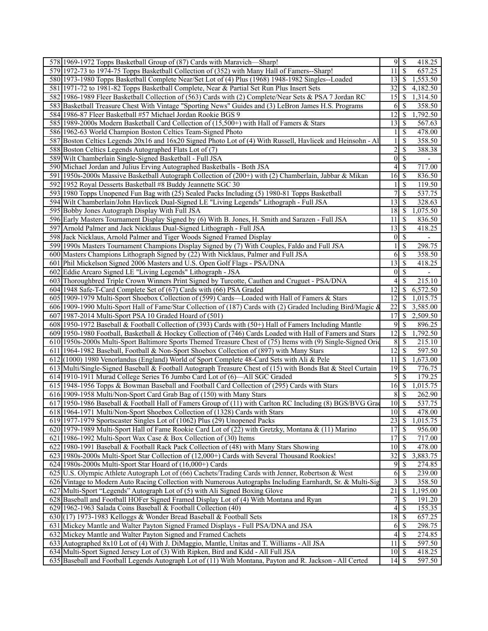| 578 1969-1972 Topps Basketball Group of (87) Cards with Maravich-Sharp!                                                                                                                   | 95<br>418.25                                                |
|-------------------------------------------------------------------------------------------------------------------------------------------------------------------------------------------|-------------------------------------------------------------|
| 579 1972-73 to 1974-75 Topps Basketball Collection of (352) with Many Hall of Famers--Sharp!                                                                                              | $\overline{\mathcal{S}}$<br>11 <sup>1</sup><br>657.25       |
| 580 1973-1980 Topps Basketball Complete Near/Set Lot of (4) Plus (1968) 1948-1982 Singles--Loaded                                                                                         | 1,553.50                                                    |
| 581 1971-72 to 1981-82 Topps Basketball Complete, Near & Partial Set Run Plus Insert Sets                                                                                                 | 32<br>4,182.50<br><sup>\$</sup>                             |
| 582 1986-1989 Fleer Basketball Collection of (563) Cards with (2) Complete/Near Sets & PSA 7 Jordan RC                                                                                    | 15<br>1,314.50<br>\$                                        |
| 583 Basketball Treasure Chest With Vintage "Sporting News" Guides and (3) LeBron James H.S. Programs                                                                                      | S<br>358.50<br>6                                            |
| 584 1986-87 Fleer Basketball #57 Michael Jordan Rookie BGS 9                                                                                                                              | 12<br>\$<br>,792.50                                         |
| 585 1989-2000s Modern Basketball Card Collection of (15,500+) with Hall of Famers & Stars                                                                                                 | 13<br>-S<br>567.63                                          |
| 586 1962-63 World Champion Boston Celtics Team-Signed Photo                                                                                                                               | $1 \mid$ \$<br>478.00                                       |
| 587 Boston Celtics Legends 20x16 and 16x20 Signed Photo Lot of (4) With Russell, Havlicek and Heinsohn - Al                                                                               | <sup>\$</sup><br>358.50<br>$\mathbf{1}$                     |
| 588 Boston Celtics Legends Autographed Flats Lot of (7)                                                                                                                                   | $\overline{2}$<br>\$<br>388.38                              |
| 589 Wilt Chamberlain Single-Signed Basketball - Full JSA                                                                                                                                  | 0 <br>$\mathbb{S}$<br>$\overline{\phantom{a}}$              |
| 590 Michael Jordan and Julius Erving Autographed Basketballs - Both JSA                                                                                                                   | \$<br>4 <sup>1</sup><br>717.00                              |
| 591 1950s-2000s Massive Basketball Autograph Collection of (200+) with (2) Chamberlain, Jabbar & Mikan                                                                                    | $16 \mid$ \$<br>836.50                                      |
| 592 1952 Royal Desserts Basketball #8 Buddy Jeannette SGC 30                                                                                                                              | <sup>S</sup><br>119.50<br>11                                |
| 593 1980 Topps Unopened Fun Bag with (25) Sealed Packs Including (5) 1980-81 Topps Basketball                                                                                             | $\overline{7}$<br>\$<br>537.75                              |
| 594 Wilt Chamberlain/John Havlicek Dual-Signed LE "Living Legends" Lithograph - Full JSA                                                                                                  | 13<br>\$<br>328.63                                          |
| 595 Bobby Jones Autograph Display With Full JSA                                                                                                                                           | 18<br>\$<br>1,075.50                                        |
| 596 Early Masters Tournament Display Signed by (6) With B. Jones, H. Smith and Sarazen - Full JSA                                                                                         | 11<br><sup>\$</sup><br>836.50                               |
| 597 Arnold Palmer and Jack Nicklaus Dual-Signed Lithograph - Full JSA                                                                                                                     | <sup>\$</sup><br>13<br>418.25                               |
| 598 Jack Nicklaus, Arnold Palmer and Tiger Woods Signed Framed Display                                                                                                                    | $\overline{\mathcal{S}}$<br> 0 <br>$\overline{\phantom{a}}$ |
| 599 1990s Masters Tournament Champions Display Signed by (7) With Couples, Faldo and Full JSA                                                                                             | <sup>\$</sup><br>298.75<br>1                                |
| 600 Masters Champions Lithograph Signed by (22) With Nicklaus, Palmer and Full JSA                                                                                                        | \$<br>358.50<br>61                                          |
| 601 Phil Mickelson Signed 2006 Masters and U.S. Open Golf Flags - PSA/DNA                                                                                                                 | 13<br>\$<br>418.25                                          |
| 602 Eddie Arcaro Signed LE "Living Legends" Lithograph - JSA                                                                                                                              | <sup>\$</sup><br> 0                                         |
| 603 Thoroughbred Triple Crown Winners Print Signed by Turcotte, Cauthen and Cruguet - PSA/DNA                                                                                             | <sup>\$</sup><br>215.10<br>4                                |
| 604 1948 Safe-T-Card Complete Set of (67) Cards with (66) PSA Graded                                                                                                                      | 12<br>6,572.50<br><sup>\$</sup>                             |
| 605 1909-1979 Multi-Sport Shoebox Collection of (599) Cards—Loaded with Hall of Famers & Stars                                                                                            | 12<br><sup>\$</sup><br>1,015.75                             |
|                                                                                                                                                                                           | 22<br>3,585.00<br><sup>\$</sup>                             |
| 606 1909-1990 Multi-Sport Hall of Fame/Star Collection of (187) Cards with (2) Graded Including Bird/Magic &                                                                              |                                                             |
| 607 1987-2014 Multi-Sport PSA 10 Graded Hoard of (501)                                                                                                                                    | 17<br>\$<br>2,509.50                                        |
| 608 1950-1972 Baseball & Football Collection of (393) Cards with (50+) Hall of Famers Including Mantle                                                                                    | 9<br><sup>\$</sup><br>896.25                                |
| 609 1950-1980 Football, Basketball & Hockey Collection of (746) Cards Loaded with Hall of Famers and Stars                                                                                | 12<br>\$<br>1,792.50                                        |
| 610 1950s-2000s Multi-Sport Baltimore Sports Themed Treasure Chest of (75) Items with (9) Single-Signed Orid                                                                              | 8<br><sup>\$</sup><br>215.10                                |
| 611 1964-1982 Baseball, Football & Non-Sport Shoebox Collection of (897) with Many Stars                                                                                                  | 12<br>\$<br>597.50                                          |
| 612(1000) 1980 Venorlandus (England) World of Sport Complete 48-Card Sets with Ali & Pele                                                                                                 | 11<br>-S<br>1,673.00                                        |
| 613 Multi/Single-Signed Baseball & Football Autograph Treasure Chest of (15) with Bonds Bat & Steel Curtain                                                                               | 19<br>-S<br>776.75                                          |
| 614 1910-1911 Murad College Series T6 Jumbo Card Lot of (6)—All SGC Graded                                                                                                                | \$<br>179.25<br>$\mathcal{L}$                               |
| 615 1948-1956 Topps & Bowman Baseball and Football Card Collection of (295) Cards with Stars                                                                                              | $16$ \$<br>1,015.75                                         |
| 616 1909-1958 Multi/Non-Sport Card Grab Bag of (150) with Many Stars                                                                                                                      | 8<br>262.90<br><sup>\$</sup>                                |
| 617 1950-1986 Baseball & Football Hall of Famers Group of (11) with Carlton RC Including (8) BGS/BVG Grad                                                                                 | 10 <sup>1</sup><br>$\mathbb{S}$<br>537.75                   |
| 618 1964-1971 Multi/Non-Sport Shoebox Collection of (1328) Cards with Stars                                                                                                               | $10\overline{\smash{)}\,}$<br>478.00                        |
| 619 1977-1979 Sportscaster Singles Lot of (1062) Plus (29) Unopened Packs                                                                                                                 | $23 \mid$ \$<br>1,015.75                                    |
| 620 1979-1989 Multi-Sport Hall of Fame Rookie Card Lot of (22) with Gretzky, Montana & (11) Marino                                                                                        | 17<br><sup>\$</sup><br>956.00                               |
| 621 1986-1992 Multi-Sport Wax Case & Box Collection of (30) Items                                                                                                                         | 717.00                                                      |
| 622 1980-1991 Baseball & Football Rack Pack Collection of (48) with Many Stars Showing                                                                                                    | 478.00<br>$10 \mid S$                                       |
| 623 1980s-2000s Multi-Sport Star Collection of (12,000+) Cards with Several Thousand Rookies!                                                                                             | 32<br>3,883.75<br><sup>\$</sup>                             |
| $624$   1980s-2000s Multi-Sport Star Hoard of $(16,000+)$ Cards                                                                                                                           | 9<br>-S<br>274.85                                           |
| 625 U.S. Olympic Athlete Autograph Lot of (66) Cachets/Trading Cards with Jenner, Robertson & West                                                                                        | 6<br>\$<br>239.00<br><sup>\$</sup>                          |
| 626 Vintage to Modern Auto Racing Collection with Numerous Autographs Including Earnhardt, Sr. & Multi-Sig<br>627 Multi-Sport "Legends" Autograph Lot of (5) with Ali Signed Boxing Glove | 358.50<br>3 <sup>1</sup><br>21<br>1,195.00<br>-S            |
| 628 Baseball and Football HOFer Signed Framed Display Lot of (4) With Montana and Ryan                                                                                                    | 71<br>\$<br>191.20                                          |
| 629 1962-1963 Salada Coins Baseball & Football Collection (40)                                                                                                                            | \$<br>155.35<br>41                                          |
| 630 (17) 1973-1983 Kelloggs & Wonder Bread Baseball & Football Sets                                                                                                                       | 18<br>657.25<br>\$                                          |
| 631 Mickey Mantle and Walter Payton Signed Framed Displays - Full PSA/DNA and JSA                                                                                                         | 298.75<br>\$<br>6                                           |
| 632 Mickey Mantle and Walter Payton Signed and Framed Cachets                                                                                                                             | \$<br>274.85<br>41                                          |
| 633 Autographed 8x10 Lot of (4) With J. DiMaggio, Mantle, Unitas and T. Williams - All JSA                                                                                                | $11 \mid$ \$<br>597.50                                      |
| 634 Multi-Sport Signed Jersey Lot of (3) With Ripken, Bird and Kidd - All Full JSA                                                                                                        | $10 \mid$ \$<br>418.25                                      |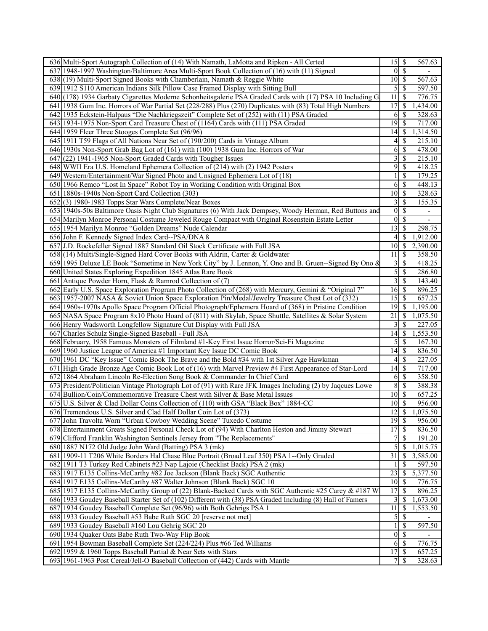| 636 Multi-Sport Autograph Collection of (14) With Namath, LaMotta and Ripken - All Certed                  | 15               | \$<br>567.63                          |
|------------------------------------------------------------------------------------------------------------|------------------|---------------------------------------|
| 637 1948-1997 Washington/Baltimore Area Multi-Sport Book Collection of (16) with (11) Signed               | $\overline{0}$   | $\overline{\mathcal{S}}$              |
| 638 (19) Multi-Sport Signed Books with Chamberlain, Namath & Reggie White                                  | 10               | 567.63<br>- \$                        |
| 639 1912 S110 American Indians Silk Pillow Case Framed Display with Sitting Bull                           | 5                | $\mathcal{S}$<br>597.50               |
| 640 (178) 1934 Garbaty Cigarettes Moderne Schonheitsgalerie PSA Graded Cards with (17) PSA 10 Including G  | 11               | 776.75<br>\$                          |
| 641 1938 Gum Inc. Horrors of War Partial Set (228/288) Plus (270) Duplicates with (83) Total High Numbers  | 17               | \$<br>,434.00                         |
| 642 1935 Eckstein-Halpaus "Die Nachkriegszeit" Complete Set of (252) with (11) PSA Graded                  | 6                | $\boldsymbol{\mathsf{S}}$<br>328.63   |
| 643 1934-1975 Non-Sport Card Treasure Chest of (1164) Cards with (111) PSA Graded                          | 19               | 717.00<br>$\mathcal{S}$               |
| 644 1959 Fleer Three Stooges Complete Set (96/96)                                                          | 14               | -\$<br>1,314.50                       |
| 645 1911 T59 Flags of All Nations Near Set of (190/200) Cards in Vintage Album                             | 4                | \$<br>215.10                          |
| 646 1930s Non-Sport Grab Bag Lot of (161) with (100) 1938 Gum Inc. Horrors of War                          | 6                | \$<br>478.00                          |
| $647(22)$ 1941-1965 Non-Sport Graded Cards with Tougher Issues                                             | 3                | \$<br>215.10                          |
| 648 WWII Era U.S. Homeland Ephemera Collection of (214) with (2) 1942 Posters                              | 9                | $\boldsymbol{\mathsf{S}}$<br>418.25   |
| 649 Western/Entertainment/War Signed Photo and Unsigned Ephemera Lot of (18)                               | 1                | $\mathcal{S}$<br>179.25               |
| 650 1966 Remco "Lost In Space" Robot Toy in Working Condition with Original Box                            | 6                | $\overline{\mathcal{S}}$<br>448.13    |
| 651 1880s-1940s Non-Sport Card Collection (303)                                                            | 10               | $\mathcal{S}$<br>328.63               |
| 652(3) 1980-1983 Topps Star Wars Complete/Near Boxes                                                       | 3                | <sup>\$</sup><br>155.35               |
| 653 1940s-50s Baltimore Oasis Night Club Signatures (6) With Jack Dempsey, Woody Herman, Red Buttons and   | $\overline{0}$   | \$<br>$\overline{\phantom{a}}$        |
| 654 Marilyn Monroe Personal Costume Jeweled Rouge Compact with Original Rosenstein Estate Letter           | $\overline{0}$   | $\overline{\mathcal{S}}$              |
| 655 1954 Marilyn Monroe "Golden Dreams" Nude Calendar                                                      | 13               | <sup>\$</sup><br>298.75               |
| 656 John F. Kennedy Signed Index Card--PSA/DNA 8                                                           | 4                | <sup>\$</sup><br>1,912.00             |
| 657 J.D. Rockefeller Signed 1887 Standard Oil Stock Certificate with Full JSA                              | 10               | $\mathcal{S}$<br>2,390.00             |
| 658 (14) Multi/Single-Signed Hard Cover Books with Aldrin, Carter & Goldwater                              | 11               | $\mathcal{S}$<br>358.50               |
| 659 1995 Deluxe LE Book "Sometime in New York City" by J. Lennon, Y. Ono and B. Gruen--Signed By Ono &     | 3                | \$<br>418.25                          |
|                                                                                                            | 5                | 286.80                                |
| 660 United States Exploring Expedition 1845 Atlas Rare Book                                                |                  | \$<br>$\overline{143.40}$             |
| 661 Antique Powder Horn, Flask & Ramrod Collection of (7)                                                  | 3                | $\mathcal{S}$                         |
| 662 Early U.S. Space Exploration Program Photo Collection of (268) with Mercury, Gemini & "Original 7"     | 16               | $\mathcal{S}$<br>896.25               |
| 663 1957-2007 NASA & Soviet Union Space Exploration Pin/Medal/Jewelry Treasure Chest Lot of (332)          | 15               | 657.25<br>\$                          |
| 664 1960s-1970s Apollo Space Program Official Photograph/Ephemera Hoard of (368) in Pristine Condition     | 19               | $\overline{1,}195.00$<br>\$           |
| 665 NASA Space Program 8x10 Photo Hoard of (811) with Skylab, Space Shuttle, Satellites & Solar System     | $\overline{21}$  | \$<br>1,075.50                        |
| 666 Henry Wadsworth Longfellow Signature Cut Display with Full JSA                                         | 3                | <sup>\$</sup><br>227.05               |
| 667 Charles Schulz Single-Signed Baseball - Full JSA                                                       | 14               | 1,553.50<br>-\$                       |
| 668 February, 1958 Famous Monsters of Filmland #1-Key First Issue Horror/Sci-Fi Magazine                   |                  | <sup>\$</sup><br>167.30               |
| 669 1960 Justice League of America #1 Important Key Issue DC Comic Book                                    | 14               | \$<br>836.50                          |
| 670 1961 DC "Key Issue" Comic Book The Brave and the Bold #34 with 1st Silver Age Hawkman                  | 4                | \$<br>227.05                          |
| 671 High Grade Bronze Age Comic Book Lot of (16) with Marvel Preview #4 First Appearance of Star-Lord      | 14               | \$<br>717.00                          |
| 672 1864 Abraham Lincoln Re-Election Song Book & Commander In Chief Card                                   | 6                | $\mathcal{S}$<br>358.50               |
| 673 President/Politician Vintage Photograph Lot of (91) with Rare JFK Images Including (2) by Jaqcues Lowe | $\,$ $\,$        | $\mathcal{S}$<br>388.38               |
| 674 Bullion/Coin/Commemorative Treasure Chest with Silver & Base Metal Issues                              | 10               | $\mathcal{S}$<br>657.25               |
| 675 U.S. Silver & Clad Dollar Coins Collection of (110) with GSA "Black Box" 1884-CC                       | 10               | \$<br>956.00                          |
| 676 Tremendous U.S. Silver and Clad Half Dollar Coin Lot of (373)                                          | 12               | <sup>\$</sup><br>1,075.50             |
| 677 John Travolta Worn "Urban Cowboy Wedding Scene" Tuxedo Costume                                         | $19$ \$          | 956.00                                |
| 678 Entertainment Greats Signed Personal Check Lot of (94) With Charlton Heston and Jimmy Stewart          | 17               | $\mathcal{S}$<br>836.50               |
| 679 Clifford Franklin Washington Sentinels Jersey from "The Replacements"                                  | 7                | 191.20<br>$\mathbb{S}$                |
| 680 1887 N172 Old Judge John Ward (Batting) PSA 3 (mk)                                                     | 5                | 1,015.75<br>-S                        |
| 681 1909-11 T206 White Borders Hal Chase Blue Portrait (Broad Leaf 350) PSA 1--Only Graded                 | 31               | \$<br>3,585.00                        |
| 682 1911 T3 Turkey Red Cabinets #23 Nap Lajoie (Checklist Back) PSA 2 (mk)                                 |                  | \$<br>597.50                          |
| 683 1917 E135 Collins-McCarthy #82 Joe Jackson (Blank Back) SGC Authentic                                  | 23               | $\boldsymbol{\mathsf{S}}$<br>5,377.50 |
| 684 1917 E135 Collins-McCarthy #87 Walter Johnson (Blank Back) SGC 10                                      | 10               | - \$<br>776.75                        |
| 685 1917 E135 Collins-McCarthy Group of (22) Blank-Backed Cards with SGC Authentic #25 Carey & #187 W      | 17               | 896.25<br><sup>\$</sup>               |
| 686 1933 Goudey Baseball Starter Set of (102) Different with (38) PSA Graded Including (8) Hall of Famers  | 3                | <sup>\$</sup><br>1,673.00             |
| 687 1934 Goudey Baseball Complete Set (96/96) with Both Gehrigs PSA 1                                      | 11               | $\overline{1,553.50}$<br>-S           |
| 688 1933 Goudey Baseball #53 Babe Ruth SGC 20 [reserve not met]                                            | 5                | \$                                    |
| 689 1933 Goudey Baseball #160 Lou Gehrig SGC 20                                                            |                  | \$<br>597.50                          |
| 690 1934 Quaker Oats Babe Ruth Two-Way Flip Book                                                           | $\boldsymbol{0}$ | $\mathcal{S}$                         |
| 691 1954 Bowman Baseball Complete Set (224/224) Plus #66 Ted Williams                                      | 6                | 776.75<br>-\$                         |
| 692 1959 & 1960 Topps Baseball Partial & Near Sets with Stars                                              | 17               | $\mathcal{S}$<br>657.25               |
| 693 1961-1963 Post Cereal/Jell-O Baseball Collection of (442) Cards with Mantle                            | 7                | - \$<br>328.63                        |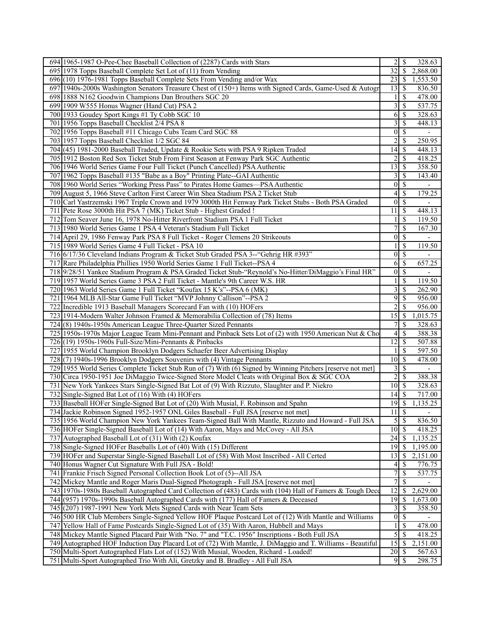| 694 1965-1987 O-Pee-Chee Baseball Collection of (2287) Cards with Stars                                     | 2                  | -S            | 328.63                   |
|-------------------------------------------------------------------------------------------------------------|--------------------|---------------|--------------------------|
| 695 1978 Topps Baseball Complete Set Lot of (11) from Vending                                               | 32                 | -\$           | 2,868.00                 |
| 696 (10) 1976-1981 Topps Baseball Complete Sets From Vending and/or Wax                                     | 23                 | S             | 1,553.50                 |
| 697 1940s-2000s Washington Senators Treasure Chest of (150+) Items with Signed Cards, Game-Used & Autogr    | 13                 | <sup>\$</sup> | 836.50                   |
| 698 1888 N162 Goodwin Champions Dan Brouthers SGC 20                                                        | 1                  | S             | 478.00                   |
| 699 1909 W555 Honus Wagner (Hand Cut) PSA 2                                                                 | 3                  | \$            | 537.75                   |
| 700 1933 Goudey Sport Kings #1 Ty Cobb SGC 10                                                               | 6                  | S             | 328.63                   |
| 701 1956 Topps Baseball Checklist 2/4 PSA 8                                                                 | 3                  | \$            | 448.13                   |
| 702 1956 Topps Baseball #11 Chicago Cubs Team Card SGC 88                                                   | $\boldsymbol{0}$   | $\mathbb{S}$  | $\overline{\phantom{a}}$ |
| 703 1957 Topps Baseball Checklist 1/2 SGC 84                                                                | 2                  | <sup>\$</sup> | 250.95                   |
| 704 (45) 1981-2000 Baseball Traded, Update & Rookie Sets with PSA 9 Ripken Traded                           | 14                 | \$            | 448.13                   |
| 705 1912 Boston Red Sox Ticket Stub From First Season at Fenway Park SGC Authentic                          | 2                  | <sup>\$</sup> | 418.25                   |
| 706 1946 World Series Game Four Full Ticket (Punch Cancelled) PSA Authentic                                 | 13                 | - \$          | 358.50                   |
| 707 1962 Topps Baseball #135 "Babe as a Boy" Printing Plate--GAI Authentic                                  | 3                  | \$            | 143.40                   |
| 708 1960 World Series "Working Press Pass" to Pirates Home Games—PSA Authentic                              | $\boldsymbol{0}$   | <sup>\$</sup> | $\mathbf{r}$             |
| 709 August 5, 1966 Steve Carlton First Career Win Shea Stadium PSA 2 Ticket Stub                            | 4                  | <sup>\$</sup> | 179.25                   |
| 710 Carl Yastrzemski 1967 Triple Crown and 1979 3000th Hit Fenway Park Ticket Stubs - Both PSA Graded       | $\mathbf{0}$       | <sup>\$</sup> |                          |
| 711 Pete Rose 3000th Hit PSA 7 (MK) Ticket Stub - Highest Graded !                                          | 11                 | <sup>\$</sup> | 448.13                   |
| 712 Tom Seaver June 16, 1978 No-Hitter Riverfront Stadium PSA 1 Full Ticket                                 |                    | <sup>\$</sup> | 119.50                   |
| 713 1980 World Series Game 1 PSA 4 Veteran's Stadium Full Ticket                                            | 7                  | <sup>\$</sup> | 167.30                   |
| 714 April 29, 1986 Fenway Park PSA 8 Full Ticket - Roger Clemens 20 Strikeouts                              | $\boldsymbol{0}$   | $\mathcal{S}$ | $\blacksquare$           |
| 715 1989 World Series Game 4 Full Ticket - PSA 10                                                           |                    | \$            | 119.50                   |
| 716 6/17/36 Cleveland Indians Program & Ticket Stub Graded PSA 3--"Gehrig HR #393"                          | $\theta$           | \$            |                          |
| 717 Rare Philadelphia Phillies 1950 World Series Game 1 Full Ticket--PSA 4                                  | 6                  | -S            | 657.25                   |
| 718 9/28/51 Yankee Stadium Program & PSA Graded Ticket Stub-"Reynold's No-Hitter/DiMaggio's Final HR"       | $\mathbf{0}$       | <sup>\$</sup> |                          |
| 719 1957 World Series Game 3 PSA 2 Full Ticket - Mantle's 9th Career W.S. HR                                | 1                  | <sup>\$</sup> | 119.50                   |
| 720 1963 World Series Game 1 Full Ticket "Koufax 15 K's"--PSA 6 (MK)                                        | 3                  | <sup>\$</sup> | 262.90                   |
| 721   1964 MLB All-Star Game Full Ticket "MVP Johnny Callison"--PSA 2                                       | 9                  | S             | 956.00                   |
| 722<br>Incredible 1913 Baseball Managers Scorecard Fan with (10) HOFers                                     | $\overline{c}$     | S             | 956.00                   |
| 723 1914-Modern Walter Johnson Framed & Memorabilia Collection of (78) Items                                | 15                 | -\$           | 1,015.75                 |
| 724(8) 1940s-1950s American League Three-Quarter Sized Pennants                                             | 7                  | <sup>\$</sup> | 328.63                   |
| 725 1950s-1970s Major League Team Mini-Pennant and Pinback Sets Lot of (2) with 1950 American Nut & Cho     | 4                  | <sup>\$</sup> | 388.38                   |
| 726 (19) 1950s-1960s Full-Size/Mini-Pennants & Pinbacks                                                     | 12                 | \$            | 507.88                   |
| 727 1955 World Champion Brooklyn Dodgers Schaefer Beer Advertising Display                                  |                    | \$            | 597.50                   |
| 728(7) 1940s-1996 Brooklyn Dodgers Souvenirs with (4) Vintage Pennants                                      | 10                 | <sup>\$</sup> | 478.00                   |
| 729 1955 World Series Complete Ticket Stub Run of (7) With (6) Signed by Winning Pitchers [reserve not met] | 3                  | \$            |                          |
| 730 Circa 1950-1951 Joe DiMaggio Twice-Signed Store Model Cleats with Original Box & SGC COA                | 2                  | <sup>\$</sup> | 388.38                   |
| 731 New York Yankees Stars Single-Signed Bat Lot of (9) With Rizzuto, Slaughter and P. Niekro               | 10                 | <sup>\$</sup> | 328.63                   |
| 732 Single-Signed Bat Lot of (16) With (4) HOFers                                                           | 14                 | \$            | 717.00                   |
| 733 Baseball HOFer Single-Signed Bat Lot of (20) With Musial, F. Robinson and Spahn                         | $\overline{19}$ \$ |               | 1,135.25                 |
| 734 Jackie Robinson Signed 1952-1957 ONL Giles Baseball - Full JSA [reserve not met]                        | 11                 | $\sqrt{S}$    |                          |
| 735 1956 World Champion New York Yankees Team-Signed Ball With Mantle, Rizzuto and Howard - Full JSA        | 5                  | -\$           | 836.50                   |
| 736 HOFer Single-Signed Baseball Lot of (14) With Aaron, Mays and McCovey - All JSA                         | 10                 | -S            | 418.25                   |
| 737 Autographed Baseball Lot of (31) With (2) Koufax                                                        | 24                 | -S            | 1,135.25                 |
| 738 Single-Signed HOFer Baseballs Lot of (40) With (15) Different                                           | 19                 | \$            | 1,195.00                 |
| 739 HOFer and Superstar Single-Signed Baseball Lot of (58) With Most Inscribed - All Certed                 | 13                 | \$            | 2,151.00                 |
| 740 Honus Wagner Cut Signature With Full JSA - Bold!                                                        | 4                  | S             | 776.75                   |
| 741 Frankie Frisch Signed Personal Collection Book Lot of (5)--All JSA                                      | $\boldsymbol{7}$   | \$            | 537.75                   |
| 742 Mickey Mantle and Roger Maris Dual-Signed Photograph - Full JSA [reserve not met]                       | 7                  | \$            |                          |
| 743 1970s-1980s Baseball Autographed Card Collection of (483) Cards with (104) Hall of Famers & Tough Dece  | 12                 | \$            | 2,629.00                 |
| 744 (957) 1970s-1990s Baseball Autographed Cards with (177) Hall of Famers & Deceased                       | 19                 | \$            | 1,673.00                 |
| 745 (207) 1987-1991 New York Mets Signed Cards with Near Team Sets                                          | 3                  | \$            | 358.50                   |
| 746 500 HR Club Members Single-Signed Yellow HOF Plaque Postcard Lot of (12) With Mantle and Williams       | $\boldsymbol{0}$   | -\$           |                          |
| 747 Yellow Hall of Fame Postcards Single-Signed Lot of (35) With Aaron, Hubbell and Mays                    | 1                  | \$            | 478.00                   |
| 748 Mickey Mantle Signed Placard Pair With "No. 7" and "T.C. 1956" Inscriptions - Both Full JSA             | 5                  | \$            | 418.25                   |
| 749 Autographed HOF Induction Day Placard Lot of (72) With Mantle, J. DiMaggio and T. Williams - Beautiful  | 15                 | - \$          | 2,151.00                 |
| 750 Multi-Sport Autographed Flats Lot of (152) With Musial, Wooden, Richard - Loaded!                       | 20                 | \$            | 567.63                   |
| 751 Multi-Sport Autographed Trio With Ali, Gretzky and B. Bradley - All Full JSA                            | $9 \mid S$         |               | 298.75                   |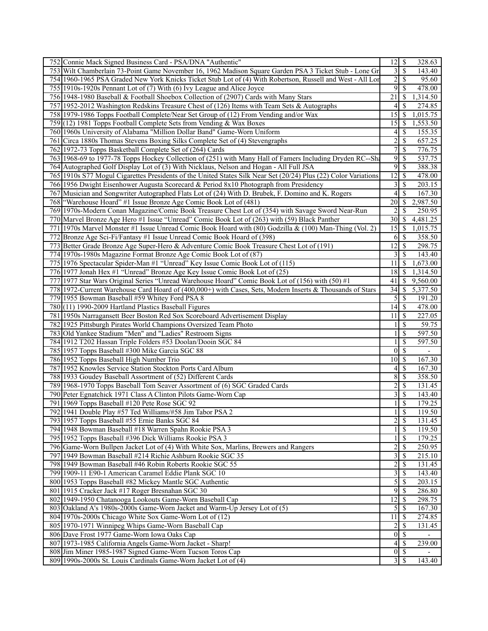| 752 Connie Mack Signed Business Card - PSA/DNA "Authentic"                                                      | $\overline{12}$ \$<br>328.63                          |
|-----------------------------------------------------------------------------------------------------------------|-------------------------------------------------------|
| 753 Wilt Chamberlain 73-Point Game November 16, 1962 Madison Square Garden PSA 3 Ticket Stub - Lone Gr          | \$<br>3<br>143.40                                     |
| 754 1960-1965 PSA Graded New York Knicks Ticket Stub Lot of (4) With Robertson, Russell and West - All Lor      | $\overline{c}$<br>$\mathbb{S}$<br>95.60               |
| 755 1910s-1920s Pennant Lot of (7) With (6) Ivy League and Alice Joyce                                          | 9<br><sup>\$</sup><br>478.00                          |
| 756 1948-1980 Baseball & Football Shoebox Collection of (2907) Cards with Many Stars                            | 21<br>\$<br>1,314.50                                  |
| 757 1952-2012 Washington Redskins Treasure Chest of (126) Items with Team Sets & Autographs                     | 4<br>S<br>274.85                                      |
| 758 1979-1986 Topps Football Complete/Near Set Group of (12) From Vending and/or Wax                            | 15<br>S<br>1,015.75                                   |
| 759(12) 1981 Topps Football Complete Sets from Vending & Wax Boxes                                              | 15<br>\$<br>1,553.50                                  |
| 760 1960s University of Alabama "Million Dollar Band" Game-Worn Uniform                                         | \$<br>155.35<br>4 <sup>1</sup>                        |
| 761 Circa 1880s Thomas Stevens Boxing Silks Complete Set of (4) Stevengraphs                                    | $\overline{c}$<br>\$<br>657.25                        |
| 762 1972-73 Topps Basketball Complete Set of (264) Cards                                                        | 7<br>\$<br>776.75                                     |
| 763 1968-69 to 1977-78 Topps Hockey Collection of (251) with Many Hall of Famers Including Dryden RC--Sh        | 9<br>\$<br>537.75                                     |
| 764 Autographed Golf Display Lot of (3) With Nicklaus, Nelson and Hogan - All Full JSA                          | 9<br>\$<br>388.38                                     |
| 765 1910s S77 Mogul Cigarettes Presidents of the United States Silk Near Set (20/24) Plus (22) Color Variations | $\overline{12}$<br>\$<br>478.00                       |
| 766 1956 Dwight Eisenhower Augusta Scorecard & Period 8x10 Photograph from Presidency                           | $\overline{\mathbf{3}}$<br><sup>\$</sup><br>203.15    |
| 767 Musician and Songwriter Autographed Flats Lot of (24) With D. Brubek, F. Domino and K. Rogers               | 4<br>\$<br>167.30                                     |
| 768   "Warehouse Hoard" #1 Issue Bronze Age Comic Book Lot of (481)                                             | 20<br>\$<br>2,987.50                                  |
| 769 1970s-Modern Conan Magazine/Comic Book Treasure Chest Lot of (354) with Savage Sword Near-Run               | $\overline{2}$<br>S<br>250.95                         |
| 770 Marvel Bronze Age Hero #1 Issue "Unread" Comic Book Lot of (263) with (59) Black Panther                    | 30<br>\$<br>4,481.25                                  |
| 771 1970s Marvel Monster #1 Issue Unread Comic Book Hoard with (80) Godzilla & (100) Man-Thing (Vol. 2)         | 15<br>\$<br>1,015.75                                  |
| 772 Bronze Age Sci-Fi/Fantasy #1 Issue Unread Comic Book Hoard of (398)                                         | $6 \mid$ \$<br>358.50                                 |
| 773 Better Grade Bronze Age Super-Hero & Adventure Comic Book Treasure Chest Lot of (191)                       | 12<br>\$<br>298.75                                    |
| 774 1970s-1980s Magazine Format Bronze Age Comic Book Lot of (87)                                               | 3<br>\$<br>143.40                                     |
| 775 1976 Spectacular Spider-Man #1 "Unread" Key Issue Comic Book Lot of (115)                                   | 11<br>\$<br>1,673.00                                  |
| 776 1977 Jonah Hex #1 "Unread" Bronze Age Key Issue Comic Book Lot of (25)                                      | 18<br>\$<br>1,314.50                                  |
| 777 1977 Star Wars Original Series "Unread Warehouse Hoard" Comic Book Lot of (156) with (50) #1                | 41<br>\$<br>9,560.00                                  |
| 778 1972-Current Warehouse Card Hoard of (400,000+) with Cases, Sets, Modern Inserts & Thousands of Stars       | $\overline{34}$<br>$\mathbb{S}$<br>5,377.50           |
| 779 1955 Bowman Baseball #59 Whitey Ford PSA 8                                                                  | 5<br>\$<br>191.20                                     |
| 780 (11) 1990-2009 Hartland Plastics Baseball Figures                                                           | 14<br>\$<br>478.00                                    |
| 781 1950s Narragansett Beer Boston Red Sox Scoreboard Advertisement Display                                     | 11<br>\$<br>227.05                                    |
| 782 1925 Pittsburgh Pirates World Champions Oversized Team Photo                                                | \$<br>59.75<br>1                                      |
| 783 Old Yankee Stadium "Men" and "Ladies" Restroom Signs                                                        | \$<br>597.50<br>1                                     |
| 784 1912 T202 Hassan Triple Folders #53 Doolan/Dooin SGC 84                                                     | \$<br>597.50<br>1                                     |
| 785 1957 Topps Baseball #300 Mike Garcia SGC 88                                                                 | $\boldsymbol{0}$<br>\$<br>$\overline{\phantom{a}}$    |
| 786 1952 Topps Baseball High Number Trio                                                                        | \$<br>10<br>167.30                                    |
| 787 1952 Knowles Service Station Stockton Ports Card Album                                                      | \$<br>4<br>167.30                                     |
| 788 1933 Goudey Baseball Assortment of (52) Different Cards                                                     | 8<br>\$<br>358.50                                     |
| 789 1968-1970 Topps Baseball Tom Seaver Assortment of (6) SGC Graded Cards                                      | $\overline{c}$<br>\$<br>131.45                        |
| 790 Peter Egnatchick 1971 Class A Clinton Pilots Game-Worn Cap                                                  | $\overline{\mathbf{3}}$<br><sup>\$</sup><br>143.40    |
| 791 1969 Topps Baseball #120 Pete Rose SGC 92                                                                   | \$<br>179.25<br>1                                     |
| 792 1941 Double Play #57 Ted Williams/#58 Jim Tabor PSA 2                                                       | $\overline{\mathcal{S}}$<br>119.50<br>11              |
| 793 1957 Topps Baseball #55 Ernie Banks SGC 84                                                                  | $2 \mid$ \$<br>131.45                                 |
| 794 1948 Bowman Baseball #18 Warren Spahn Rookie PSA 3                                                          | $\overline{\mathcal{S}}$<br>119.50                    |
| 795 1952 Topps Baseball #396 Dick Williams Rookie PSA 3                                                         | 179.25<br>$\mathbb{S}$<br>$\mathbf{1}$                |
| 796 Game-Worn Bullpen Jacket Lot of (4) With White Sox, Marlins, Brewers and Rangers                            | $\overline{\mathbf{c}}$<br>\$<br>250.95               |
| 797 1949 Bowman Baseball #214 Richie Ashburn Rookie SGC 35                                                      | 3<br>\$<br>215.10                                     |
| 798 1949 Bowman Baseball #46 Robin Roberts Rookie SGC 55                                                        | $\overline{\mathbf{c}}$<br>\$<br>$\overline{131}$ .45 |
| 799 1909-11 E90-1 American Caramel Eddie Plank SGC 10                                                           | $\overline{\mathbf{3}}$<br>\$<br>143.40               |
| 800 1953 Topps Baseball #82 Mickey Mantle SGC Authentic                                                         | 5<br>\$<br>203.15                                     |
| 801 1915 Cracker Jack #17 Roger Bresnahan SGC 30                                                                | $9 \mid$ \$<br>286.80                                 |
| 802 1949-1950 Chatanooga Lookouts Game-Worn Baseball Cap                                                        | $\overline{12}$<br>298.75<br>\$                       |
| 803 Oakland A's 1980s-2000s Game-Worn Jacket and Warm-Up Jersey Lot of (5)                                      | 5<br>$\mathbb{S}$<br>167.30                           |
| 804 1970s-2000s Chicago White Sox Game-Worn Lot of (12)                                                         | 11<br>$\mathcal{S}$<br>$\overline{274.85}$            |
| 805 1970-1971 Winnipeg Whips Game-Worn Baseball Cap                                                             | $\overline{\mathbf{c}}$<br>\$<br>131.45               |
| 806 Dave Frost 1977 Game-Worn Iowa Oaks Cap                                                                     | $\mathcal{S}$<br>$\boldsymbol{0}$                     |
| 807 1973-1985 California Angels Game-Worn Jacket - Sharp!                                                       | $4 \overline{\sqrt{\$}}$<br>239.00                    |
| 808 Jim Miner 1985-1987 Signed Game-Worn Tucson Toros Cap                                                       | $0 \mid$ \$                                           |
| 809 1990s-2000s St. Louis Cardinals Game-Worn Jacket Lot of (4)                                                 | $3\overline{3}$<br>143.40                             |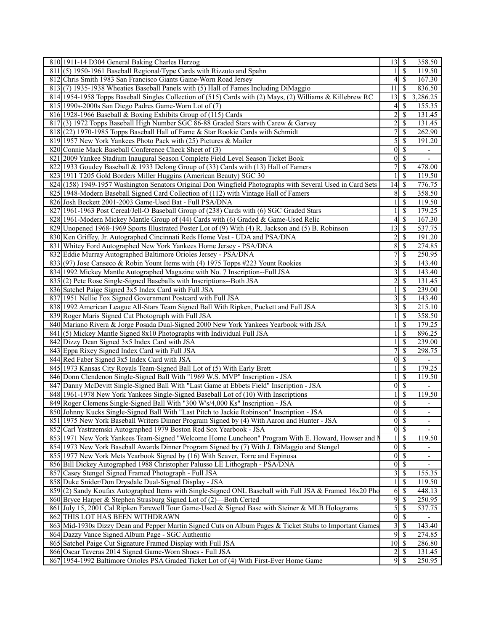| 810 1911-14 D304 General Baking Charles Herzog<br>358.50<br>13<br>-S<br><sup>\$</sup><br>811(5) 1950-1961 Baseball Regional/Type Cards with Rizzuto and Spahn<br>119.50<br>1<br>4<br>\$<br>167.30<br>812 Chris Smith 1983 San Francisco Giants Game-Worn Road Jersey<br>813(7) 1935-1938 Wheaties Baseball Panels with (5) Hall of Fames Including DiMaggio<br><sup>\$</sup><br>836.50<br>11<br>3,286.25<br>814 1954-1958 Topps Baseball Singles Collection of (515) Cards with (2) Mays, (2) Williams & Killebrew RC<br>13<br>\$<br>$\overline{4}$<br>815 1990s-2000s San Diego Padres Game-Worn Lot of (7)<br>S<br>155.35<br>$\overline{c}$<br>816 1928-1966 Baseball & Boxing Exhibits Group of (115) Cards<br><sup>\$</sup><br>131.45<br>817(3) 1972 Topps Baseball High Number SGC 86-88 Graded Stars with Carew & Garvey<br>2<br>S<br>131.45<br>$\overline{7}$<br>818 (22) 1970-1985 Topps Baseball Hall of Fame & Star Rookie Cards with Schmidt<br><sup>\$</sup><br>262.90<br>5<br><sup>\$</sup><br>819 1957 New York Yankees Photo Pack with (25) Pictures & Mailer<br>191.20<br>820 Connie Mack Baseball Conference Check Sheet of (3)<br>$\theta$<br>\$<br>$\overline{\phantom{0}}$<br>821 2009 Yankee Stadium Inaugural Season Complete Field Level Season Ticket Book<br>$\boldsymbol{0}$<br><sup>\$</sup><br>7<br>\$<br>822 1933 Goudey Baseball & 1933 Delong Group of (33) Cards with (13) Hall of Famers<br>478.00<br>\$<br>823 1911 T205 Gold Borders Miller Huggins (American Beauty) SGC 30<br>119.50<br>776.75<br>824 (158) 1949-1957 Washington Senators Original Don Wingfield Photographs with Several Used in Card Sets<br>14<br><sup>\$</sup><br><sup>\$</sup><br>358.50<br>825 1948-Modern Baseball Signed Card Collection of (112) with Vintage Hall of Famers<br>8<br>826 Josh Beckett 2001-2003 Game-Used Bat - Full PSA/DNA<br>\$<br>119.50<br><sup>\$</sup><br>179.25<br>827 1961-1963 Post Cereal/Jell-O Baseball Group of (238) Cards with (6) SGC Graded Stars<br><sup>\$</sup><br>828 1961-Modern Mickey Mantle Group of (44) Cards with (6) Graded & Game-Used Relic<br>4<br>167.30<br>13<br><sup>\$</sup><br>537.75<br>829 Unopened 1968-1969 Sports Illustrated Poster Lot of (9) With (4) R. Jackson and (5) B. Robinson<br>830 Ken Griffey, Jr. Autographed Cincinnati Reds Home Vest - UDA and PSA/DNA<br>\$<br>$\overline{191.20}$<br>2<br>831 Whitey Ford Autographed New York Yankees Home Jersey - PSA/DNA<br>8<br>\$<br>274.85<br>\$<br>7<br>250.95<br>832 Eddie Murray Autographed Baltimore Orioles Jersey - PSA/DNA<br>3<br>833(97) Jose Canseco & Robin Yount Items with (4) 1975 Topps #223 Yount Rookies<br>\$<br>143.40<br>3<br>834 1992 Mickey Mantle Autographed Magazine with No. 7 Inscription--Full JSA<br><sup>\$</sup><br>143.40<br>835(2) Pete Rose Single-Signed Baseballs with Inscriptions--Both JSA<br>$\overline{c}$<br><sup>\$</sup><br>131.45<br>\$<br>239.00<br>836 Satchel Paige Signed 3x5 Index Card with Full JSA<br>837 1951 Nellie Fox Signed Government Postcard with Full JSA<br>3<br><sup>\$</sup><br>143.40<br>838 1992 American League All-Stars Team Signed Ball With Ripken, Puckett and Full JSA<br>3<br>\$<br>215.10<br>\$<br>839 Roger Maris Signed Cut Photograph with Full JSA<br>358.50<br>840 Mariano Rivera & Jorge Posada Dual-Signed 2000 New York Yankees Yearbook with JSA<br><sup>\$</sup><br>179.25<br>841 (5) Mickey Mantle Signed 8x10 Photographs with Individual Full JSA<br><sup>\$</sup><br>896.25<br>1<br>\$<br>842 Dizzy Dean Signed 3x5 Index Card with JSA<br>239.00<br>843 Eppa Rixey Signed Index Card with Full JSA<br>7<br><sup>\$</sup><br>298.75<br>\$<br>844 Red Faber Signed 3x5 Index Card with JSA<br>$\theta$<br>\$<br>845 1973 Kansas City Royals Team-Signed Ball Lot of (5) With Early Brett<br>179.25<br>\$<br>846 Donn Clendenon Single-Signed Ball With "1969 W.S. MVP" Inscription - JSA<br>119.50<br>847 Danny McDevitt Single-Signed Ball With "Last Game at Ebbets Field" Inscription - JSA<br>$\mathbf{0}$<br><sup>\$</sup><br>\$<br>848 1961-1978 New York Yankees Single-Signed Baseball Lot of (10) With Inscriptions<br>119.50<br>$\overline{\mathcal{S}}$<br>849 Roger Clemens Single-Signed Ball With "300 W's/4,000 Ks" Inscription - JSA<br>$\theta$<br>$\overline{\mathcal{S}}$<br>850 Johnny Kucks Single-Signed Ball With "Last Pitch to Jackie Robinson" Inscription - JSA<br>$\boldsymbol{0}$<br>$\overline{\phantom{0}}$<br>$\boldsymbol{0}$<br>851 1975 New York Baseball Writers Dinner Program Signed by (4) With Aaron and Hunter - JSA<br>- \$<br>$\overline{a}$<br>$\overline{0}$<br>$\overline{\mathcal{S}}$<br>852 Carl Yastrzemski Autographed 1979 Boston Red Sox Yearbook - JSA<br>\$<br>853 1971 New York Yankees Team-Signed "Welcome Home Luncheon" Program With E. Howard, Howser and N<br>119.50<br>1<br>$\boldsymbol{0}$<br>\$<br>854 1973 New York Baseball Awards Dinner Program Signed by (7) With J. DiMaggio and Stengel<br>$\overline{\phantom{a}}$<br>$\mathbf{0}$<br><sup>\$</sup><br>855 1977 New York Mets Yearbook Signed by (16) With Seaver, Torre and Espinosa<br>$\overline{\phantom{a}}$<br>$\boldsymbol{0}$<br>856 Bill Dickey Autographed 1988 Christopher Palusso LE Lithograph - PSA/DNA<br><sup>\$</sup><br>3<br>857 Casey Stengel Signed Framed Photograph - Full JSA<br>\$<br>155.35<br>858 Duke Snider/Don Drysdale Dual-Signed Display - JSA<br>1<br>\$<br>119.50<br>$\overline{\mathcal{S}}$<br>859(2) Sandy Koufax Autographed Items with Single-Signed ONL Baseball with Full JSA & Framed 16x20 Pho<br>6<br>448.13<br>9<br>860 Bryce Harper & Stephen Strasburg Signed Lot of (2)—Both Certed<br>\$<br>250.95<br>861 July 15, 2001 Cal Ripken Farewell Tour Game-Used & Signed Base with Steiner & MLB Holograms<br>5<br>\$<br>537.75<br>$\boldsymbol{0}$<br>$\mathcal{S}$<br>862 THIS LOT HAS BEEN WITHDRAWN<br>$\overline{\mathbf{3}}$<br>863 Mid-1930s Dizzy Dean and Pepper Martin Signed Cuts on Album Pages & Ticket Stubs to Important Games<br>\$<br>143.40<br>864 Dazzy Vance Signed Album Page - SGC Authentic<br>9<br>-\$<br>274.85<br>$10\,$<br>$\vert$ \$<br>286.80<br>865 Satchel Paige Cut Signature Framed Display with Full JSA<br>\$<br>866 Oscar Taveras 2014 Signed Game-Worn Shoes - Full JSA<br>2<br>131.45<br>867 1954-1992 Baltimore Orioles PSA Graded Ticket Lot of (4) With First-Ever Home Game<br>250.95 |  |  |
|------------------------------------------------------------------------------------------------------------------------------------------------------------------------------------------------------------------------------------------------------------------------------------------------------------------------------------------------------------------------------------------------------------------------------------------------------------------------------------------------------------------------------------------------------------------------------------------------------------------------------------------------------------------------------------------------------------------------------------------------------------------------------------------------------------------------------------------------------------------------------------------------------------------------------------------------------------------------------------------------------------------------------------------------------------------------------------------------------------------------------------------------------------------------------------------------------------------------------------------------------------------------------------------------------------------------------------------------------------------------------------------------------------------------------------------------------------------------------------------------------------------------------------------------------------------------------------------------------------------------------------------------------------------------------------------------------------------------------------------------------------------------------------------------------------------------------------------------------------------------------------------------------------------------------------------------------------------------------------------------------------------------------------------------------------------------------------------------------------------------------------------------------------------------------------------------------------------------------------------------------------------------------------------------------------------------------------------------------------------------------------------------------------------------------------------------------------------------------------------------------------------------------------------------------------------------------------------------------------------------------------------------------------------------------------------------------------------------------------------------------------------------------------------------------------------------------------------------------------------------------------------------------------------------------------------------------------------------------------------------------------------------------------------------------------------------------------------------------------------------------------------------------------------------------------------------------------------------------------------------------------------------------------------------------------------------------------------------------------------------------------------------------------------------------------------------------------------------------------------------------------------------------------------------------------------------------------------------------------------------------------------------------------------------------------------------------------------------------------------------------------------------------------------------------------------------------------------------------------------------------------------------------------------------------------------------------------------------------------------------------------------------------------------------------------------------------------------------------------------------------------------------------------------------------------------------------------------------------------------------------------------------------------------------------------------------------------------------------------------------------------------------------------------------------------------------------------------------------------------------------------------------------------------------------------------------------------------------------------------------------------------------------------------------------------------------------------------------------------------------------------------------------------------------------------------------------------------------------------------------------------------------------------------------------------------------------------------------------------------------------------------------------------------------------------------------------------------------------------------------------------------------------------------------------------------------------------------------------------------------------------------------------------------------------------------------------------------------------------------------------------------------------------------------------------------------------------------------------------------------------------------------------------------------------------------------------------------------------------------------------------------------------------------------------------------------------------------------------------------------------------------------------------------------------------------------------------------------------------------------------------------------------------------------------------------------------------------------------------------------------------------------------------------------------------------------------------------------------------------------------------------------------------------------------------------------------------------------------------------------------------------------------------------------------------------------------------------------------------------------------------------------------------------------------------|--|--|
|                                                                                                                                                                                                                                                                                                                                                                                                                                                                                                                                                                                                                                                                                                                                                                                                                                                                                                                                                                                                                                                                                                                                                                                                                                                                                                                                                                                                                                                                                                                                                                                                                                                                                                                                                                                                                                                                                                                                                                                                                                                                                                                                                                                                                                                                                                                                                                                                                                                                                                                                                                                                                                                                                                                                                                                                                                                                                                                                                                                                                                                                                                                                                                                                                                                                                                                                                                                                                                                                                                                                                                                                                                                                                                                                                                                                                                                                                                                                                                                                                                                                                                                                                                                                                                                                                                                                                                                                                                                                                                                                                                                                                                                                                                                                                                                                                                                                                                                                                                                                                                                                                                                                                                                                                                                                                                                                                                                                                                                                                                                                                                                                                                                                                                                                                                                                                                                                                                                                                                                                                                                                                                                                                                                                                                                                                                                                                                                                                                    |  |  |
|                                                                                                                                                                                                                                                                                                                                                                                                                                                                                                                                                                                                                                                                                                                                                                                                                                                                                                                                                                                                                                                                                                                                                                                                                                                                                                                                                                                                                                                                                                                                                                                                                                                                                                                                                                                                                                                                                                                                                                                                                                                                                                                                                                                                                                                                                                                                                                                                                                                                                                                                                                                                                                                                                                                                                                                                                                                                                                                                                                                                                                                                                                                                                                                                                                                                                                                                                                                                                                                                                                                                                                                                                                                                                                                                                                                                                                                                                                                                                                                                                                                                                                                                                                                                                                                                                                                                                                                                                                                                                                                                                                                                                                                                                                                                                                                                                                                                                                                                                                                                                                                                                                                                                                                                                                                                                                                                                                                                                                                                                                                                                                                                                                                                                                                                                                                                                                                                                                                                                                                                                                                                                                                                                                                                                                                                                                                                                                                                                                    |  |  |
|                                                                                                                                                                                                                                                                                                                                                                                                                                                                                                                                                                                                                                                                                                                                                                                                                                                                                                                                                                                                                                                                                                                                                                                                                                                                                                                                                                                                                                                                                                                                                                                                                                                                                                                                                                                                                                                                                                                                                                                                                                                                                                                                                                                                                                                                                                                                                                                                                                                                                                                                                                                                                                                                                                                                                                                                                                                                                                                                                                                                                                                                                                                                                                                                                                                                                                                                                                                                                                                                                                                                                                                                                                                                                                                                                                                                                                                                                                                                                                                                                                                                                                                                                                                                                                                                                                                                                                                                                                                                                                                                                                                                                                                                                                                                                                                                                                                                                                                                                                                                                                                                                                                                                                                                                                                                                                                                                                                                                                                                                                                                                                                                                                                                                                                                                                                                                                                                                                                                                                                                                                                                                                                                                                                                                                                                                                                                                                                                                                    |  |  |
|                                                                                                                                                                                                                                                                                                                                                                                                                                                                                                                                                                                                                                                                                                                                                                                                                                                                                                                                                                                                                                                                                                                                                                                                                                                                                                                                                                                                                                                                                                                                                                                                                                                                                                                                                                                                                                                                                                                                                                                                                                                                                                                                                                                                                                                                                                                                                                                                                                                                                                                                                                                                                                                                                                                                                                                                                                                                                                                                                                                                                                                                                                                                                                                                                                                                                                                                                                                                                                                                                                                                                                                                                                                                                                                                                                                                                                                                                                                                                                                                                                                                                                                                                                                                                                                                                                                                                                                                                                                                                                                                                                                                                                                                                                                                                                                                                                                                                                                                                                                                                                                                                                                                                                                                                                                                                                                                                                                                                                                                                                                                                                                                                                                                                                                                                                                                                                                                                                                                                                                                                                                                                                                                                                                                                                                                                                                                                                                                                                    |  |  |
|                                                                                                                                                                                                                                                                                                                                                                                                                                                                                                                                                                                                                                                                                                                                                                                                                                                                                                                                                                                                                                                                                                                                                                                                                                                                                                                                                                                                                                                                                                                                                                                                                                                                                                                                                                                                                                                                                                                                                                                                                                                                                                                                                                                                                                                                                                                                                                                                                                                                                                                                                                                                                                                                                                                                                                                                                                                                                                                                                                                                                                                                                                                                                                                                                                                                                                                                                                                                                                                                                                                                                                                                                                                                                                                                                                                                                                                                                                                                                                                                                                                                                                                                                                                                                                                                                                                                                                                                                                                                                                                                                                                                                                                                                                                                                                                                                                                                                                                                                                                                                                                                                                                                                                                                                                                                                                                                                                                                                                                                                                                                                                                                                                                                                                                                                                                                                                                                                                                                                                                                                                                                                                                                                                                                                                                                                                                                                                                                                                    |  |  |
|                                                                                                                                                                                                                                                                                                                                                                                                                                                                                                                                                                                                                                                                                                                                                                                                                                                                                                                                                                                                                                                                                                                                                                                                                                                                                                                                                                                                                                                                                                                                                                                                                                                                                                                                                                                                                                                                                                                                                                                                                                                                                                                                                                                                                                                                                                                                                                                                                                                                                                                                                                                                                                                                                                                                                                                                                                                                                                                                                                                                                                                                                                                                                                                                                                                                                                                                                                                                                                                                                                                                                                                                                                                                                                                                                                                                                                                                                                                                                                                                                                                                                                                                                                                                                                                                                                                                                                                                                                                                                                                                                                                                                                                                                                                                                                                                                                                                                                                                                                                                                                                                                                                                                                                                                                                                                                                                                                                                                                                                                                                                                                                                                                                                                                                                                                                                                                                                                                                                                                                                                                                                                                                                                                                                                                                                                                                                                                                                                                    |  |  |
|                                                                                                                                                                                                                                                                                                                                                                                                                                                                                                                                                                                                                                                                                                                                                                                                                                                                                                                                                                                                                                                                                                                                                                                                                                                                                                                                                                                                                                                                                                                                                                                                                                                                                                                                                                                                                                                                                                                                                                                                                                                                                                                                                                                                                                                                                                                                                                                                                                                                                                                                                                                                                                                                                                                                                                                                                                                                                                                                                                                                                                                                                                                                                                                                                                                                                                                                                                                                                                                                                                                                                                                                                                                                                                                                                                                                                                                                                                                                                                                                                                                                                                                                                                                                                                                                                                                                                                                                                                                                                                                                                                                                                                                                                                                                                                                                                                                                                                                                                                                                                                                                                                                                                                                                                                                                                                                                                                                                                                                                                                                                                                                                                                                                                                                                                                                                                                                                                                                                                                                                                                                                                                                                                                                                                                                                                                                                                                                                                                    |  |  |
|                                                                                                                                                                                                                                                                                                                                                                                                                                                                                                                                                                                                                                                                                                                                                                                                                                                                                                                                                                                                                                                                                                                                                                                                                                                                                                                                                                                                                                                                                                                                                                                                                                                                                                                                                                                                                                                                                                                                                                                                                                                                                                                                                                                                                                                                                                                                                                                                                                                                                                                                                                                                                                                                                                                                                                                                                                                                                                                                                                                                                                                                                                                                                                                                                                                                                                                                                                                                                                                                                                                                                                                                                                                                                                                                                                                                                                                                                                                                                                                                                                                                                                                                                                                                                                                                                                                                                                                                                                                                                                                                                                                                                                                                                                                                                                                                                                                                                                                                                                                                                                                                                                                                                                                                                                                                                                                                                                                                                                                                                                                                                                                                                                                                                                                                                                                                                                                                                                                                                                                                                                                                                                                                                                                                                                                                                                                                                                                                                                    |  |  |
|                                                                                                                                                                                                                                                                                                                                                                                                                                                                                                                                                                                                                                                                                                                                                                                                                                                                                                                                                                                                                                                                                                                                                                                                                                                                                                                                                                                                                                                                                                                                                                                                                                                                                                                                                                                                                                                                                                                                                                                                                                                                                                                                                                                                                                                                                                                                                                                                                                                                                                                                                                                                                                                                                                                                                                                                                                                                                                                                                                                                                                                                                                                                                                                                                                                                                                                                                                                                                                                                                                                                                                                                                                                                                                                                                                                                                                                                                                                                                                                                                                                                                                                                                                                                                                                                                                                                                                                                                                                                                                                                                                                                                                                                                                                                                                                                                                                                                                                                                                                                                                                                                                                                                                                                                                                                                                                                                                                                                                                                                                                                                                                                                                                                                                                                                                                                                                                                                                                                                                                                                                                                                                                                                                                                                                                                                                                                                                                                                                    |  |  |
|                                                                                                                                                                                                                                                                                                                                                                                                                                                                                                                                                                                                                                                                                                                                                                                                                                                                                                                                                                                                                                                                                                                                                                                                                                                                                                                                                                                                                                                                                                                                                                                                                                                                                                                                                                                                                                                                                                                                                                                                                                                                                                                                                                                                                                                                                                                                                                                                                                                                                                                                                                                                                                                                                                                                                                                                                                                                                                                                                                                                                                                                                                                                                                                                                                                                                                                                                                                                                                                                                                                                                                                                                                                                                                                                                                                                                                                                                                                                                                                                                                                                                                                                                                                                                                                                                                                                                                                                                                                                                                                                                                                                                                                                                                                                                                                                                                                                                                                                                                                                                                                                                                                                                                                                                                                                                                                                                                                                                                                                                                                                                                                                                                                                                                                                                                                                                                                                                                                                                                                                                                                                                                                                                                                                                                                                                                                                                                                                                                    |  |  |
|                                                                                                                                                                                                                                                                                                                                                                                                                                                                                                                                                                                                                                                                                                                                                                                                                                                                                                                                                                                                                                                                                                                                                                                                                                                                                                                                                                                                                                                                                                                                                                                                                                                                                                                                                                                                                                                                                                                                                                                                                                                                                                                                                                                                                                                                                                                                                                                                                                                                                                                                                                                                                                                                                                                                                                                                                                                                                                                                                                                                                                                                                                                                                                                                                                                                                                                                                                                                                                                                                                                                                                                                                                                                                                                                                                                                                                                                                                                                                                                                                                                                                                                                                                                                                                                                                                                                                                                                                                                                                                                                                                                                                                                                                                                                                                                                                                                                                                                                                                                                                                                                                                                                                                                                                                                                                                                                                                                                                                                                                                                                                                                                                                                                                                                                                                                                                                                                                                                                                                                                                                                                                                                                                                                                                                                                                                                                                                                                                                    |  |  |
|                                                                                                                                                                                                                                                                                                                                                                                                                                                                                                                                                                                                                                                                                                                                                                                                                                                                                                                                                                                                                                                                                                                                                                                                                                                                                                                                                                                                                                                                                                                                                                                                                                                                                                                                                                                                                                                                                                                                                                                                                                                                                                                                                                                                                                                                                                                                                                                                                                                                                                                                                                                                                                                                                                                                                                                                                                                                                                                                                                                                                                                                                                                                                                                                                                                                                                                                                                                                                                                                                                                                                                                                                                                                                                                                                                                                                                                                                                                                                                                                                                                                                                                                                                                                                                                                                                                                                                                                                                                                                                                                                                                                                                                                                                                                                                                                                                                                                                                                                                                                                                                                                                                                                                                                                                                                                                                                                                                                                                                                                                                                                                                                                                                                                                                                                                                                                                                                                                                                                                                                                                                                                                                                                                                                                                                                                                                                                                                                                                    |  |  |
|                                                                                                                                                                                                                                                                                                                                                                                                                                                                                                                                                                                                                                                                                                                                                                                                                                                                                                                                                                                                                                                                                                                                                                                                                                                                                                                                                                                                                                                                                                                                                                                                                                                                                                                                                                                                                                                                                                                                                                                                                                                                                                                                                                                                                                                                                                                                                                                                                                                                                                                                                                                                                                                                                                                                                                                                                                                                                                                                                                                                                                                                                                                                                                                                                                                                                                                                                                                                                                                                                                                                                                                                                                                                                                                                                                                                                                                                                                                                                                                                                                                                                                                                                                                                                                                                                                                                                                                                                                                                                                                                                                                                                                                                                                                                                                                                                                                                                                                                                                                                                                                                                                                                                                                                                                                                                                                                                                                                                                                                                                                                                                                                                                                                                                                                                                                                                                                                                                                                                                                                                                                                                                                                                                                                                                                                                                                                                                                                                                    |  |  |
|                                                                                                                                                                                                                                                                                                                                                                                                                                                                                                                                                                                                                                                                                                                                                                                                                                                                                                                                                                                                                                                                                                                                                                                                                                                                                                                                                                                                                                                                                                                                                                                                                                                                                                                                                                                                                                                                                                                                                                                                                                                                                                                                                                                                                                                                                                                                                                                                                                                                                                                                                                                                                                                                                                                                                                                                                                                                                                                                                                                                                                                                                                                                                                                                                                                                                                                                                                                                                                                                                                                                                                                                                                                                                                                                                                                                                                                                                                                                                                                                                                                                                                                                                                                                                                                                                                                                                                                                                                                                                                                                                                                                                                                                                                                                                                                                                                                                                                                                                                                                                                                                                                                                                                                                                                                                                                                                                                                                                                                                                                                                                                                                                                                                                                                                                                                                                                                                                                                                                                                                                                                                                                                                                                                                                                                                                                                                                                                                                                    |  |  |
|                                                                                                                                                                                                                                                                                                                                                                                                                                                                                                                                                                                                                                                                                                                                                                                                                                                                                                                                                                                                                                                                                                                                                                                                                                                                                                                                                                                                                                                                                                                                                                                                                                                                                                                                                                                                                                                                                                                                                                                                                                                                                                                                                                                                                                                                                                                                                                                                                                                                                                                                                                                                                                                                                                                                                                                                                                                                                                                                                                                                                                                                                                                                                                                                                                                                                                                                                                                                                                                                                                                                                                                                                                                                                                                                                                                                                                                                                                                                                                                                                                                                                                                                                                                                                                                                                                                                                                                                                                                                                                                                                                                                                                                                                                                                                                                                                                                                                                                                                                                                                                                                                                                                                                                                                                                                                                                                                                                                                                                                                                                                                                                                                                                                                                                                                                                                                                                                                                                                                                                                                                                                                                                                                                                                                                                                                                                                                                                                                                    |  |  |
|                                                                                                                                                                                                                                                                                                                                                                                                                                                                                                                                                                                                                                                                                                                                                                                                                                                                                                                                                                                                                                                                                                                                                                                                                                                                                                                                                                                                                                                                                                                                                                                                                                                                                                                                                                                                                                                                                                                                                                                                                                                                                                                                                                                                                                                                                                                                                                                                                                                                                                                                                                                                                                                                                                                                                                                                                                                                                                                                                                                                                                                                                                                                                                                                                                                                                                                                                                                                                                                                                                                                                                                                                                                                                                                                                                                                                                                                                                                                                                                                                                                                                                                                                                                                                                                                                                                                                                                                                                                                                                                                                                                                                                                                                                                                                                                                                                                                                                                                                                                                                                                                                                                                                                                                                                                                                                                                                                                                                                                                                                                                                                                                                                                                                                                                                                                                                                                                                                                                                                                                                                                                                                                                                                                                                                                                                                                                                                                                                                    |  |  |
|                                                                                                                                                                                                                                                                                                                                                                                                                                                                                                                                                                                                                                                                                                                                                                                                                                                                                                                                                                                                                                                                                                                                                                                                                                                                                                                                                                                                                                                                                                                                                                                                                                                                                                                                                                                                                                                                                                                                                                                                                                                                                                                                                                                                                                                                                                                                                                                                                                                                                                                                                                                                                                                                                                                                                                                                                                                                                                                                                                                                                                                                                                                                                                                                                                                                                                                                                                                                                                                                                                                                                                                                                                                                                                                                                                                                                                                                                                                                                                                                                                                                                                                                                                                                                                                                                                                                                                                                                                                                                                                                                                                                                                                                                                                                                                                                                                                                                                                                                                                                                                                                                                                                                                                                                                                                                                                                                                                                                                                                                                                                                                                                                                                                                                                                                                                                                                                                                                                                                                                                                                                                                                                                                                                                                                                                                                                                                                                                                                    |  |  |
|                                                                                                                                                                                                                                                                                                                                                                                                                                                                                                                                                                                                                                                                                                                                                                                                                                                                                                                                                                                                                                                                                                                                                                                                                                                                                                                                                                                                                                                                                                                                                                                                                                                                                                                                                                                                                                                                                                                                                                                                                                                                                                                                                                                                                                                                                                                                                                                                                                                                                                                                                                                                                                                                                                                                                                                                                                                                                                                                                                                                                                                                                                                                                                                                                                                                                                                                                                                                                                                                                                                                                                                                                                                                                                                                                                                                                                                                                                                                                                                                                                                                                                                                                                                                                                                                                                                                                                                                                                                                                                                                                                                                                                                                                                                                                                                                                                                                                                                                                                                                                                                                                                                                                                                                                                                                                                                                                                                                                                                                                                                                                                                                                                                                                                                                                                                                                                                                                                                                                                                                                                                                                                                                                                                                                                                                                                                                                                                                                                    |  |  |
|                                                                                                                                                                                                                                                                                                                                                                                                                                                                                                                                                                                                                                                                                                                                                                                                                                                                                                                                                                                                                                                                                                                                                                                                                                                                                                                                                                                                                                                                                                                                                                                                                                                                                                                                                                                                                                                                                                                                                                                                                                                                                                                                                                                                                                                                                                                                                                                                                                                                                                                                                                                                                                                                                                                                                                                                                                                                                                                                                                                                                                                                                                                                                                                                                                                                                                                                                                                                                                                                                                                                                                                                                                                                                                                                                                                                                                                                                                                                                                                                                                                                                                                                                                                                                                                                                                                                                                                                                                                                                                                                                                                                                                                                                                                                                                                                                                                                                                                                                                                                                                                                                                                                                                                                                                                                                                                                                                                                                                                                                                                                                                                                                                                                                                                                                                                                                                                                                                                                                                                                                                                                                                                                                                                                                                                                                                                                                                                                                                    |  |  |
|                                                                                                                                                                                                                                                                                                                                                                                                                                                                                                                                                                                                                                                                                                                                                                                                                                                                                                                                                                                                                                                                                                                                                                                                                                                                                                                                                                                                                                                                                                                                                                                                                                                                                                                                                                                                                                                                                                                                                                                                                                                                                                                                                                                                                                                                                                                                                                                                                                                                                                                                                                                                                                                                                                                                                                                                                                                                                                                                                                                                                                                                                                                                                                                                                                                                                                                                                                                                                                                                                                                                                                                                                                                                                                                                                                                                                                                                                                                                                                                                                                                                                                                                                                                                                                                                                                                                                                                                                                                                                                                                                                                                                                                                                                                                                                                                                                                                                                                                                                                                                                                                                                                                                                                                                                                                                                                                                                                                                                                                                                                                                                                                                                                                                                                                                                                                                                                                                                                                                                                                                                                                                                                                                                                                                                                                                                                                                                                                                                    |  |  |
|                                                                                                                                                                                                                                                                                                                                                                                                                                                                                                                                                                                                                                                                                                                                                                                                                                                                                                                                                                                                                                                                                                                                                                                                                                                                                                                                                                                                                                                                                                                                                                                                                                                                                                                                                                                                                                                                                                                                                                                                                                                                                                                                                                                                                                                                                                                                                                                                                                                                                                                                                                                                                                                                                                                                                                                                                                                                                                                                                                                                                                                                                                                                                                                                                                                                                                                                                                                                                                                                                                                                                                                                                                                                                                                                                                                                                                                                                                                                                                                                                                                                                                                                                                                                                                                                                                                                                                                                                                                                                                                                                                                                                                                                                                                                                                                                                                                                                                                                                                                                                                                                                                                                                                                                                                                                                                                                                                                                                                                                                                                                                                                                                                                                                                                                                                                                                                                                                                                                                                                                                                                                                                                                                                                                                                                                                                                                                                                                                                    |  |  |
|                                                                                                                                                                                                                                                                                                                                                                                                                                                                                                                                                                                                                                                                                                                                                                                                                                                                                                                                                                                                                                                                                                                                                                                                                                                                                                                                                                                                                                                                                                                                                                                                                                                                                                                                                                                                                                                                                                                                                                                                                                                                                                                                                                                                                                                                                                                                                                                                                                                                                                                                                                                                                                                                                                                                                                                                                                                                                                                                                                                                                                                                                                                                                                                                                                                                                                                                                                                                                                                                                                                                                                                                                                                                                                                                                                                                                                                                                                                                                                                                                                                                                                                                                                                                                                                                                                                                                                                                                                                                                                                                                                                                                                                                                                                                                                                                                                                                                                                                                                                                                                                                                                                                                                                                                                                                                                                                                                                                                                                                                                                                                                                                                                                                                                                                                                                                                                                                                                                                                                                                                                                                                                                                                                                                                                                                                                                                                                                                                                    |  |  |
|                                                                                                                                                                                                                                                                                                                                                                                                                                                                                                                                                                                                                                                                                                                                                                                                                                                                                                                                                                                                                                                                                                                                                                                                                                                                                                                                                                                                                                                                                                                                                                                                                                                                                                                                                                                                                                                                                                                                                                                                                                                                                                                                                                                                                                                                                                                                                                                                                                                                                                                                                                                                                                                                                                                                                                                                                                                                                                                                                                                                                                                                                                                                                                                                                                                                                                                                                                                                                                                                                                                                                                                                                                                                                                                                                                                                                                                                                                                                                                                                                                                                                                                                                                                                                                                                                                                                                                                                                                                                                                                                                                                                                                                                                                                                                                                                                                                                                                                                                                                                                                                                                                                                                                                                                                                                                                                                                                                                                                                                                                                                                                                                                                                                                                                                                                                                                                                                                                                                                                                                                                                                                                                                                                                                                                                                                                                                                                                                                                    |  |  |
|                                                                                                                                                                                                                                                                                                                                                                                                                                                                                                                                                                                                                                                                                                                                                                                                                                                                                                                                                                                                                                                                                                                                                                                                                                                                                                                                                                                                                                                                                                                                                                                                                                                                                                                                                                                                                                                                                                                                                                                                                                                                                                                                                                                                                                                                                                                                                                                                                                                                                                                                                                                                                                                                                                                                                                                                                                                                                                                                                                                                                                                                                                                                                                                                                                                                                                                                                                                                                                                                                                                                                                                                                                                                                                                                                                                                                                                                                                                                                                                                                                                                                                                                                                                                                                                                                                                                                                                                                                                                                                                                                                                                                                                                                                                                                                                                                                                                                                                                                                                                                                                                                                                                                                                                                                                                                                                                                                                                                                                                                                                                                                                                                                                                                                                                                                                                                                                                                                                                                                                                                                                                                                                                                                                                                                                                                                                                                                                                                                    |  |  |
|                                                                                                                                                                                                                                                                                                                                                                                                                                                                                                                                                                                                                                                                                                                                                                                                                                                                                                                                                                                                                                                                                                                                                                                                                                                                                                                                                                                                                                                                                                                                                                                                                                                                                                                                                                                                                                                                                                                                                                                                                                                                                                                                                                                                                                                                                                                                                                                                                                                                                                                                                                                                                                                                                                                                                                                                                                                                                                                                                                                                                                                                                                                                                                                                                                                                                                                                                                                                                                                                                                                                                                                                                                                                                                                                                                                                                                                                                                                                                                                                                                                                                                                                                                                                                                                                                                                                                                                                                                                                                                                                                                                                                                                                                                                                                                                                                                                                                                                                                                                                                                                                                                                                                                                                                                                                                                                                                                                                                                                                                                                                                                                                                                                                                                                                                                                                                                                                                                                                                                                                                                                                                                                                                                                                                                                                                                                                                                                                                                    |  |  |
|                                                                                                                                                                                                                                                                                                                                                                                                                                                                                                                                                                                                                                                                                                                                                                                                                                                                                                                                                                                                                                                                                                                                                                                                                                                                                                                                                                                                                                                                                                                                                                                                                                                                                                                                                                                                                                                                                                                                                                                                                                                                                                                                                                                                                                                                                                                                                                                                                                                                                                                                                                                                                                                                                                                                                                                                                                                                                                                                                                                                                                                                                                                                                                                                                                                                                                                                                                                                                                                                                                                                                                                                                                                                                                                                                                                                                                                                                                                                                                                                                                                                                                                                                                                                                                                                                                                                                                                                                                                                                                                                                                                                                                                                                                                                                                                                                                                                                                                                                                                                                                                                                                                                                                                                                                                                                                                                                                                                                                                                                                                                                                                                                                                                                                                                                                                                                                                                                                                                                                                                                                                                                                                                                                                                                                                                                                                                                                                                                                    |  |  |
|                                                                                                                                                                                                                                                                                                                                                                                                                                                                                                                                                                                                                                                                                                                                                                                                                                                                                                                                                                                                                                                                                                                                                                                                                                                                                                                                                                                                                                                                                                                                                                                                                                                                                                                                                                                                                                                                                                                                                                                                                                                                                                                                                                                                                                                                                                                                                                                                                                                                                                                                                                                                                                                                                                                                                                                                                                                                                                                                                                                                                                                                                                                                                                                                                                                                                                                                                                                                                                                                                                                                                                                                                                                                                                                                                                                                                                                                                                                                                                                                                                                                                                                                                                                                                                                                                                                                                                                                                                                                                                                                                                                                                                                                                                                                                                                                                                                                                                                                                                                                                                                                                                                                                                                                                                                                                                                                                                                                                                                                                                                                                                                                                                                                                                                                                                                                                                                                                                                                                                                                                                                                                                                                                                                                                                                                                                                                                                                                                                    |  |  |
|                                                                                                                                                                                                                                                                                                                                                                                                                                                                                                                                                                                                                                                                                                                                                                                                                                                                                                                                                                                                                                                                                                                                                                                                                                                                                                                                                                                                                                                                                                                                                                                                                                                                                                                                                                                                                                                                                                                                                                                                                                                                                                                                                                                                                                                                                                                                                                                                                                                                                                                                                                                                                                                                                                                                                                                                                                                                                                                                                                                                                                                                                                                                                                                                                                                                                                                                                                                                                                                                                                                                                                                                                                                                                                                                                                                                                                                                                                                                                                                                                                                                                                                                                                                                                                                                                                                                                                                                                                                                                                                                                                                                                                                                                                                                                                                                                                                                                                                                                                                                                                                                                                                                                                                                                                                                                                                                                                                                                                                                                                                                                                                                                                                                                                                                                                                                                                                                                                                                                                                                                                                                                                                                                                                                                                                                                                                                                                                                                                    |  |  |
|                                                                                                                                                                                                                                                                                                                                                                                                                                                                                                                                                                                                                                                                                                                                                                                                                                                                                                                                                                                                                                                                                                                                                                                                                                                                                                                                                                                                                                                                                                                                                                                                                                                                                                                                                                                                                                                                                                                                                                                                                                                                                                                                                                                                                                                                                                                                                                                                                                                                                                                                                                                                                                                                                                                                                                                                                                                                                                                                                                                                                                                                                                                                                                                                                                                                                                                                                                                                                                                                                                                                                                                                                                                                                                                                                                                                                                                                                                                                                                                                                                                                                                                                                                                                                                                                                                                                                                                                                                                                                                                                                                                                                                                                                                                                                                                                                                                                                                                                                                                                                                                                                                                                                                                                                                                                                                                                                                                                                                                                                                                                                                                                                                                                                                                                                                                                                                                                                                                                                                                                                                                                                                                                                                                                                                                                                                                                                                                                                                    |  |  |
|                                                                                                                                                                                                                                                                                                                                                                                                                                                                                                                                                                                                                                                                                                                                                                                                                                                                                                                                                                                                                                                                                                                                                                                                                                                                                                                                                                                                                                                                                                                                                                                                                                                                                                                                                                                                                                                                                                                                                                                                                                                                                                                                                                                                                                                                                                                                                                                                                                                                                                                                                                                                                                                                                                                                                                                                                                                                                                                                                                                                                                                                                                                                                                                                                                                                                                                                                                                                                                                                                                                                                                                                                                                                                                                                                                                                                                                                                                                                                                                                                                                                                                                                                                                                                                                                                                                                                                                                                                                                                                                                                                                                                                                                                                                                                                                                                                                                                                                                                                                                                                                                                                                                                                                                                                                                                                                                                                                                                                                                                                                                                                                                                                                                                                                                                                                                                                                                                                                                                                                                                                                                                                                                                                                                                                                                                                                                                                                                                                    |  |  |
|                                                                                                                                                                                                                                                                                                                                                                                                                                                                                                                                                                                                                                                                                                                                                                                                                                                                                                                                                                                                                                                                                                                                                                                                                                                                                                                                                                                                                                                                                                                                                                                                                                                                                                                                                                                                                                                                                                                                                                                                                                                                                                                                                                                                                                                                                                                                                                                                                                                                                                                                                                                                                                                                                                                                                                                                                                                                                                                                                                                                                                                                                                                                                                                                                                                                                                                                                                                                                                                                                                                                                                                                                                                                                                                                                                                                                                                                                                                                                                                                                                                                                                                                                                                                                                                                                                                                                                                                                                                                                                                                                                                                                                                                                                                                                                                                                                                                                                                                                                                                                                                                                                                                                                                                                                                                                                                                                                                                                                                                                                                                                                                                                                                                                                                                                                                                                                                                                                                                                                                                                                                                                                                                                                                                                                                                                                                                                                                                                                    |  |  |
|                                                                                                                                                                                                                                                                                                                                                                                                                                                                                                                                                                                                                                                                                                                                                                                                                                                                                                                                                                                                                                                                                                                                                                                                                                                                                                                                                                                                                                                                                                                                                                                                                                                                                                                                                                                                                                                                                                                                                                                                                                                                                                                                                                                                                                                                                                                                                                                                                                                                                                                                                                                                                                                                                                                                                                                                                                                                                                                                                                                                                                                                                                                                                                                                                                                                                                                                                                                                                                                                                                                                                                                                                                                                                                                                                                                                                                                                                                                                                                                                                                                                                                                                                                                                                                                                                                                                                                                                                                                                                                                                                                                                                                                                                                                                                                                                                                                                                                                                                                                                                                                                                                                                                                                                                                                                                                                                                                                                                                                                                                                                                                                                                                                                                                                                                                                                                                                                                                                                                                                                                                                                                                                                                                                                                                                                                                                                                                                                                                    |  |  |
|                                                                                                                                                                                                                                                                                                                                                                                                                                                                                                                                                                                                                                                                                                                                                                                                                                                                                                                                                                                                                                                                                                                                                                                                                                                                                                                                                                                                                                                                                                                                                                                                                                                                                                                                                                                                                                                                                                                                                                                                                                                                                                                                                                                                                                                                                                                                                                                                                                                                                                                                                                                                                                                                                                                                                                                                                                                                                                                                                                                                                                                                                                                                                                                                                                                                                                                                                                                                                                                                                                                                                                                                                                                                                                                                                                                                                                                                                                                                                                                                                                                                                                                                                                                                                                                                                                                                                                                                                                                                                                                                                                                                                                                                                                                                                                                                                                                                                                                                                                                                                                                                                                                                                                                                                                                                                                                                                                                                                                                                                                                                                                                                                                                                                                                                                                                                                                                                                                                                                                                                                                                                                                                                                                                                                                                                                                                                                                                                                                    |  |  |
|                                                                                                                                                                                                                                                                                                                                                                                                                                                                                                                                                                                                                                                                                                                                                                                                                                                                                                                                                                                                                                                                                                                                                                                                                                                                                                                                                                                                                                                                                                                                                                                                                                                                                                                                                                                                                                                                                                                                                                                                                                                                                                                                                                                                                                                                                                                                                                                                                                                                                                                                                                                                                                                                                                                                                                                                                                                                                                                                                                                                                                                                                                                                                                                                                                                                                                                                                                                                                                                                                                                                                                                                                                                                                                                                                                                                                                                                                                                                                                                                                                                                                                                                                                                                                                                                                                                                                                                                                                                                                                                                                                                                                                                                                                                                                                                                                                                                                                                                                                                                                                                                                                                                                                                                                                                                                                                                                                                                                                                                                                                                                                                                                                                                                                                                                                                                                                                                                                                                                                                                                                                                                                                                                                                                                                                                                                                                                                                                                                    |  |  |
|                                                                                                                                                                                                                                                                                                                                                                                                                                                                                                                                                                                                                                                                                                                                                                                                                                                                                                                                                                                                                                                                                                                                                                                                                                                                                                                                                                                                                                                                                                                                                                                                                                                                                                                                                                                                                                                                                                                                                                                                                                                                                                                                                                                                                                                                                                                                                                                                                                                                                                                                                                                                                                                                                                                                                                                                                                                                                                                                                                                                                                                                                                                                                                                                                                                                                                                                                                                                                                                                                                                                                                                                                                                                                                                                                                                                                                                                                                                                                                                                                                                                                                                                                                                                                                                                                                                                                                                                                                                                                                                                                                                                                                                                                                                                                                                                                                                                                                                                                                                                                                                                                                                                                                                                                                                                                                                                                                                                                                                                                                                                                                                                                                                                                                                                                                                                                                                                                                                                                                                                                                                                                                                                                                                                                                                                                                                                                                                                                                    |  |  |
|                                                                                                                                                                                                                                                                                                                                                                                                                                                                                                                                                                                                                                                                                                                                                                                                                                                                                                                                                                                                                                                                                                                                                                                                                                                                                                                                                                                                                                                                                                                                                                                                                                                                                                                                                                                                                                                                                                                                                                                                                                                                                                                                                                                                                                                                                                                                                                                                                                                                                                                                                                                                                                                                                                                                                                                                                                                                                                                                                                                                                                                                                                                                                                                                                                                                                                                                                                                                                                                                                                                                                                                                                                                                                                                                                                                                                                                                                                                                                                                                                                                                                                                                                                                                                                                                                                                                                                                                                                                                                                                                                                                                                                                                                                                                                                                                                                                                                                                                                                                                                                                                                                                                                                                                                                                                                                                                                                                                                                                                                                                                                                                                                                                                                                                                                                                                                                                                                                                                                                                                                                                                                                                                                                                                                                                                                                                                                                                                                                    |  |  |
|                                                                                                                                                                                                                                                                                                                                                                                                                                                                                                                                                                                                                                                                                                                                                                                                                                                                                                                                                                                                                                                                                                                                                                                                                                                                                                                                                                                                                                                                                                                                                                                                                                                                                                                                                                                                                                                                                                                                                                                                                                                                                                                                                                                                                                                                                                                                                                                                                                                                                                                                                                                                                                                                                                                                                                                                                                                                                                                                                                                                                                                                                                                                                                                                                                                                                                                                                                                                                                                                                                                                                                                                                                                                                                                                                                                                                                                                                                                                                                                                                                                                                                                                                                                                                                                                                                                                                                                                                                                                                                                                                                                                                                                                                                                                                                                                                                                                                                                                                                                                                                                                                                                                                                                                                                                                                                                                                                                                                                                                                                                                                                                                                                                                                                                                                                                                                                                                                                                                                                                                                                                                                                                                                                                                                                                                                                                                                                                                                                    |  |  |
|                                                                                                                                                                                                                                                                                                                                                                                                                                                                                                                                                                                                                                                                                                                                                                                                                                                                                                                                                                                                                                                                                                                                                                                                                                                                                                                                                                                                                                                                                                                                                                                                                                                                                                                                                                                                                                                                                                                                                                                                                                                                                                                                                                                                                                                                                                                                                                                                                                                                                                                                                                                                                                                                                                                                                                                                                                                                                                                                                                                                                                                                                                                                                                                                                                                                                                                                                                                                                                                                                                                                                                                                                                                                                                                                                                                                                                                                                                                                                                                                                                                                                                                                                                                                                                                                                                                                                                                                                                                                                                                                                                                                                                                                                                                                                                                                                                                                                                                                                                                                                                                                                                                                                                                                                                                                                                                                                                                                                                                                                                                                                                                                                                                                                                                                                                                                                                                                                                                                                                                                                                                                                                                                                                                                                                                                                                                                                                                                                                    |  |  |
|                                                                                                                                                                                                                                                                                                                                                                                                                                                                                                                                                                                                                                                                                                                                                                                                                                                                                                                                                                                                                                                                                                                                                                                                                                                                                                                                                                                                                                                                                                                                                                                                                                                                                                                                                                                                                                                                                                                                                                                                                                                                                                                                                                                                                                                                                                                                                                                                                                                                                                                                                                                                                                                                                                                                                                                                                                                                                                                                                                                                                                                                                                                                                                                                                                                                                                                                                                                                                                                                                                                                                                                                                                                                                                                                                                                                                                                                                                                                                                                                                                                                                                                                                                                                                                                                                                                                                                                                                                                                                                                                                                                                                                                                                                                                                                                                                                                                                                                                                                                                                                                                                                                                                                                                                                                                                                                                                                                                                                                                                                                                                                                                                                                                                                                                                                                                                                                                                                                                                                                                                                                                                                                                                                                                                                                                                                                                                                                                                                    |  |  |
|                                                                                                                                                                                                                                                                                                                                                                                                                                                                                                                                                                                                                                                                                                                                                                                                                                                                                                                                                                                                                                                                                                                                                                                                                                                                                                                                                                                                                                                                                                                                                                                                                                                                                                                                                                                                                                                                                                                                                                                                                                                                                                                                                                                                                                                                                                                                                                                                                                                                                                                                                                                                                                                                                                                                                                                                                                                                                                                                                                                                                                                                                                                                                                                                                                                                                                                                                                                                                                                                                                                                                                                                                                                                                                                                                                                                                                                                                                                                                                                                                                                                                                                                                                                                                                                                                                                                                                                                                                                                                                                                                                                                                                                                                                                                                                                                                                                                                                                                                                                                                                                                                                                                                                                                                                                                                                                                                                                                                                                                                                                                                                                                                                                                                                                                                                                                                                                                                                                                                                                                                                                                                                                                                                                                                                                                                                                                                                                                                                    |  |  |
|                                                                                                                                                                                                                                                                                                                                                                                                                                                                                                                                                                                                                                                                                                                                                                                                                                                                                                                                                                                                                                                                                                                                                                                                                                                                                                                                                                                                                                                                                                                                                                                                                                                                                                                                                                                                                                                                                                                                                                                                                                                                                                                                                                                                                                                                                                                                                                                                                                                                                                                                                                                                                                                                                                                                                                                                                                                                                                                                                                                                                                                                                                                                                                                                                                                                                                                                                                                                                                                                                                                                                                                                                                                                                                                                                                                                                                                                                                                                                                                                                                                                                                                                                                                                                                                                                                                                                                                                                                                                                                                                                                                                                                                                                                                                                                                                                                                                                                                                                                                                                                                                                                                                                                                                                                                                                                                                                                                                                                                                                                                                                                                                                                                                                                                                                                                                                                                                                                                                                                                                                                                                                                                                                                                                                                                                                                                                                                                                                                    |  |  |
|                                                                                                                                                                                                                                                                                                                                                                                                                                                                                                                                                                                                                                                                                                                                                                                                                                                                                                                                                                                                                                                                                                                                                                                                                                                                                                                                                                                                                                                                                                                                                                                                                                                                                                                                                                                                                                                                                                                                                                                                                                                                                                                                                                                                                                                                                                                                                                                                                                                                                                                                                                                                                                                                                                                                                                                                                                                                                                                                                                                                                                                                                                                                                                                                                                                                                                                                                                                                                                                                                                                                                                                                                                                                                                                                                                                                                                                                                                                                                                                                                                                                                                                                                                                                                                                                                                                                                                                                                                                                                                                                                                                                                                                                                                                                                                                                                                                                                                                                                                                                                                                                                                                                                                                                                                                                                                                                                                                                                                                                                                                                                                                                                                                                                                                                                                                                                                                                                                                                                                                                                                                                                                                                                                                                                                                                                                                                                                                                                                    |  |  |
|                                                                                                                                                                                                                                                                                                                                                                                                                                                                                                                                                                                                                                                                                                                                                                                                                                                                                                                                                                                                                                                                                                                                                                                                                                                                                                                                                                                                                                                                                                                                                                                                                                                                                                                                                                                                                                                                                                                                                                                                                                                                                                                                                                                                                                                                                                                                                                                                                                                                                                                                                                                                                                                                                                                                                                                                                                                                                                                                                                                                                                                                                                                                                                                                                                                                                                                                                                                                                                                                                                                                                                                                                                                                                                                                                                                                                                                                                                                                                                                                                                                                                                                                                                                                                                                                                                                                                                                                                                                                                                                                                                                                                                                                                                                                                                                                                                                                                                                                                                                                                                                                                                                                                                                                                                                                                                                                                                                                                                                                                                                                                                                                                                                                                                                                                                                                                                                                                                                                                                                                                                                                                                                                                                                                                                                                                                                                                                                                                                    |  |  |
|                                                                                                                                                                                                                                                                                                                                                                                                                                                                                                                                                                                                                                                                                                                                                                                                                                                                                                                                                                                                                                                                                                                                                                                                                                                                                                                                                                                                                                                                                                                                                                                                                                                                                                                                                                                                                                                                                                                                                                                                                                                                                                                                                                                                                                                                                                                                                                                                                                                                                                                                                                                                                                                                                                                                                                                                                                                                                                                                                                                                                                                                                                                                                                                                                                                                                                                                                                                                                                                                                                                                                                                                                                                                                                                                                                                                                                                                                                                                                                                                                                                                                                                                                                                                                                                                                                                                                                                                                                                                                                                                                                                                                                                                                                                                                                                                                                                                                                                                                                                                                                                                                                                                                                                                                                                                                                                                                                                                                                                                                                                                                                                                                                                                                                                                                                                                                                                                                                                                                                                                                                                                                                                                                                                                                                                                                                                                                                                                                                    |  |  |
|                                                                                                                                                                                                                                                                                                                                                                                                                                                                                                                                                                                                                                                                                                                                                                                                                                                                                                                                                                                                                                                                                                                                                                                                                                                                                                                                                                                                                                                                                                                                                                                                                                                                                                                                                                                                                                                                                                                                                                                                                                                                                                                                                                                                                                                                                                                                                                                                                                                                                                                                                                                                                                                                                                                                                                                                                                                                                                                                                                                                                                                                                                                                                                                                                                                                                                                                                                                                                                                                                                                                                                                                                                                                                                                                                                                                                                                                                                                                                                                                                                                                                                                                                                                                                                                                                                                                                                                                                                                                                                                                                                                                                                                                                                                                                                                                                                                                                                                                                                                                                                                                                                                                                                                                                                                                                                                                                                                                                                                                                                                                                                                                                                                                                                                                                                                                                                                                                                                                                                                                                                                                                                                                                                                                                                                                                                                                                                                                                                    |  |  |
|                                                                                                                                                                                                                                                                                                                                                                                                                                                                                                                                                                                                                                                                                                                                                                                                                                                                                                                                                                                                                                                                                                                                                                                                                                                                                                                                                                                                                                                                                                                                                                                                                                                                                                                                                                                                                                                                                                                                                                                                                                                                                                                                                                                                                                                                                                                                                                                                                                                                                                                                                                                                                                                                                                                                                                                                                                                                                                                                                                                                                                                                                                                                                                                                                                                                                                                                                                                                                                                                                                                                                                                                                                                                                                                                                                                                                                                                                                                                                                                                                                                                                                                                                                                                                                                                                                                                                                                                                                                                                                                                                                                                                                                                                                                                                                                                                                                                                                                                                                                                                                                                                                                                                                                                                                                                                                                                                                                                                                                                                                                                                                                                                                                                                                                                                                                                                                                                                                                                                                                                                                                                                                                                                                                                                                                                                                                                                                                                                                    |  |  |
|                                                                                                                                                                                                                                                                                                                                                                                                                                                                                                                                                                                                                                                                                                                                                                                                                                                                                                                                                                                                                                                                                                                                                                                                                                                                                                                                                                                                                                                                                                                                                                                                                                                                                                                                                                                                                                                                                                                                                                                                                                                                                                                                                                                                                                                                                                                                                                                                                                                                                                                                                                                                                                                                                                                                                                                                                                                                                                                                                                                                                                                                                                                                                                                                                                                                                                                                                                                                                                                                                                                                                                                                                                                                                                                                                                                                                                                                                                                                                                                                                                                                                                                                                                                                                                                                                                                                                                                                                                                                                                                                                                                                                                                                                                                                                                                                                                                                                                                                                                                                                                                                                                                                                                                                                                                                                                                                                                                                                                                                                                                                                                                                                                                                                                                                                                                                                                                                                                                                                                                                                                                                                                                                                                                                                                                                                                                                                                                                                                    |  |  |
|                                                                                                                                                                                                                                                                                                                                                                                                                                                                                                                                                                                                                                                                                                                                                                                                                                                                                                                                                                                                                                                                                                                                                                                                                                                                                                                                                                                                                                                                                                                                                                                                                                                                                                                                                                                                                                                                                                                                                                                                                                                                                                                                                                                                                                                                                                                                                                                                                                                                                                                                                                                                                                                                                                                                                                                                                                                                                                                                                                                                                                                                                                                                                                                                                                                                                                                                                                                                                                                                                                                                                                                                                                                                                                                                                                                                                                                                                                                                                                                                                                                                                                                                                                                                                                                                                                                                                                                                                                                                                                                                                                                                                                                                                                                                                                                                                                                                                                                                                                                                                                                                                                                                                                                                                                                                                                                                                                                                                                                                                                                                                                                                                                                                                                                                                                                                                                                                                                                                                                                                                                                                                                                                                                                                                                                                                                                                                                                                                                    |  |  |
|                                                                                                                                                                                                                                                                                                                                                                                                                                                                                                                                                                                                                                                                                                                                                                                                                                                                                                                                                                                                                                                                                                                                                                                                                                                                                                                                                                                                                                                                                                                                                                                                                                                                                                                                                                                                                                                                                                                                                                                                                                                                                                                                                                                                                                                                                                                                                                                                                                                                                                                                                                                                                                                                                                                                                                                                                                                                                                                                                                                                                                                                                                                                                                                                                                                                                                                                                                                                                                                                                                                                                                                                                                                                                                                                                                                                                                                                                                                                                                                                                                                                                                                                                                                                                                                                                                                                                                                                                                                                                                                                                                                                                                                                                                                                                                                                                                                                                                                                                                                                                                                                                                                                                                                                                                                                                                                                                                                                                                                                                                                                                                                                                                                                                                                                                                                                                                                                                                                                                                                                                                                                                                                                                                                                                                                                                                                                                                                                                                    |  |  |
|                                                                                                                                                                                                                                                                                                                                                                                                                                                                                                                                                                                                                                                                                                                                                                                                                                                                                                                                                                                                                                                                                                                                                                                                                                                                                                                                                                                                                                                                                                                                                                                                                                                                                                                                                                                                                                                                                                                                                                                                                                                                                                                                                                                                                                                                                                                                                                                                                                                                                                                                                                                                                                                                                                                                                                                                                                                                                                                                                                                                                                                                                                                                                                                                                                                                                                                                                                                                                                                                                                                                                                                                                                                                                                                                                                                                                                                                                                                                                                                                                                                                                                                                                                                                                                                                                                                                                                                                                                                                                                                                                                                                                                                                                                                                                                                                                                                                                                                                                                                                                                                                                                                                                                                                                                                                                                                                                                                                                                                                                                                                                                                                                                                                                                                                                                                                                                                                                                                                                                                                                                                                                                                                                                                                                                                                                                                                                                                                                                    |  |  |
|                                                                                                                                                                                                                                                                                                                                                                                                                                                                                                                                                                                                                                                                                                                                                                                                                                                                                                                                                                                                                                                                                                                                                                                                                                                                                                                                                                                                                                                                                                                                                                                                                                                                                                                                                                                                                                                                                                                                                                                                                                                                                                                                                                                                                                                                                                                                                                                                                                                                                                                                                                                                                                                                                                                                                                                                                                                                                                                                                                                                                                                                                                                                                                                                                                                                                                                                                                                                                                                                                                                                                                                                                                                                                                                                                                                                                                                                                                                                                                                                                                                                                                                                                                                                                                                                                                                                                                                                                                                                                                                                                                                                                                                                                                                                                                                                                                                                                                                                                                                                                                                                                                                                                                                                                                                                                                                                                                                                                                                                                                                                                                                                                                                                                                                                                                                                                                                                                                                                                                                                                                                                                                                                                                                                                                                                                                                                                                                                                                    |  |  |
|                                                                                                                                                                                                                                                                                                                                                                                                                                                                                                                                                                                                                                                                                                                                                                                                                                                                                                                                                                                                                                                                                                                                                                                                                                                                                                                                                                                                                                                                                                                                                                                                                                                                                                                                                                                                                                                                                                                                                                                                                                                                                                                                                                                                                                                                                                                                                                                                                                                                                                                                                                                                                                                                                                                                                                                                                                                                                                                                                                                                                                                                                                                                                                                                                                                                                                                                                                                                                                                                                                                                                                                                                                                                                                                                                                                                                                                                                                                                                                                                                                                                                                                                                                                                                                                                                                                                                                                                                                                                                                                                                                                                                                                                                                                                                                                                                                                                                                                                                                                                                                                                                                                                                                                                                                                                                                                                                                                                                                                                                                                                                                                                                                                                                                                                                                                                                                                                                                                                                                                                                                                                                                                                                                                                                                                                                                                                                                                                                                    |  |  |
|                                                                                                                                                                                                                                                                                                                                                                                                                                                                                                                                                                                                                                                                                                                                                                                                                                                                                                                                                                                                                                                                                                                                                                                                                                                                                                                                                                                                                                                                                                                                                                                                                                                                                                                                                                                                                                                                                                                                                                                                                                                                                                                                                                                                                                                                                                                                                                                                                                                                                                                                                                                                                                                                                                                                                                                                                                                                                                                                                                                                                                                                                                                                                                                                                                                                                                                                                                                                                                                                                                                                                                                                                                                                                                                                                                                                                                                                                                                                                                                                                                                                                                                                                                                                                                                                                                                                                                                                                                                                                                                                                                                                                                                                                                                                                                                                                                                                                                                                                                                                                                                                                                                                                                                                                                                                                                                                                                                                                                                                                                                                                                                                                                                                                                                                                                                                                                                                                                                                                                                                                                                                                                                                                                                                                                                                                                                                                                                                                                    |  |  |
|                                                                                                                                                                                                                                                                                                                                                                                                                                                                                                                                                                                                                                                                                                                                                                                                                                                                                                                                                                                                                                                                                                                                                                                                                                                                                                                                                                                                                                                                                                                                                                                                                                                                                                                                                                                                                                                                                                                                                                                                                                                                                                                                                                                                                                                                                                                                                                                                                                                                                                                                                                                                                                                                                                                                                                                                                                                                                                                                                                                                                                                                                                                                                                                                                                                                                                                                                                                                                                                                                                                                                                                                                                                                                                                                                                                                                                                                                                                                                                                                                                                                                                                                                                                                                                                                                                                                                                                                                                                                                                                                                                                                                                                                                                                                                                                                                                                                                                                                                                                                                                                                                                                                                                                                                                                                                                                                                                                                                                                                                                                                                                                                                                                                                                                                                                                                                                                                                                                                                                                                                                                                                                                                                                                                                                                                                                                                                                                                                                    |  |  |
|                                                                                                                                                                                                                                                                                                                                                                                                                                                                                                                                                                                                                                                                                                                                                                                                                                                                                                                                                                                                                                                                                                                                                                                                                                                                                                                                                                                                                                                                                                                                                                                                                                                                                                                                                                                                                                                                                                                                                                                                                                                                                                                                                                                                                                                                                                                                                                                                                                                                                                                                                                                                                                                                                                                                                                                                                                                                                                                                                                                                                                                                                                                                                                                                                                                                                                                                                                                                                                                                                                                                                                                                                                                                                                                                                                                                                                                                                                                                                                                                                                                                                                                                                                                                                                                                                                                                                                                                                                                                                                                                                                                                                                                                                                                                                                                                                                                                                                                                                                                                                                                                                                                                                                                                                                                                                                                                                                                                                                                                                                                                                                                                                                                                                                                                                                                                                                                                                                                                                                                                                                                                                                                                                                                                                                                                                                                                                                                                                                    |  |  |
|                                                                                                                                                                                                                                                                                                                                                                                                                                                                                                                                                                                                                                                                                                                                                                                                                                                                                                                                                                                                                                                                                                                                                                                                                                                                                                                                                                                                                                                                                                                                                                                                                                                                                                                                                                                                                                                                                                                                                                                                                                                                                                                                                                                                                                                                                                                                                                                                                                                                                                                                                                                                                                                                                                                                                                                                                                                                                                                                                                                                                                                                                                                                                                                                                                                                                                                                                                                                                                                                                                                                                                                                                                                                                                                                                                                                                                                                                                                                                                                                                                                                                                                                                                                                                                                                                                                                                                                                                                                                                                                                                                                                                                                                                                                                                                                                                                                                                                                                                                                                                                                                                                                                                                                                                                                                                                                                                                                                                                                                                                                                                                                                                                                                                                                                                                                                                                                                                                                                                                                                                                                                                                                                                                                                                                                                                                                                                                                                                                    |  |  |
|                                                                                                                                                                                                                                                                                                                                                                                                                                                                                                                                                                                                                                                                                                                                                                                                                                                                                                                                                                                                                                                                                                                                                                                                                                                                                                                                                                                                                                                                                                                                                                                                                                                                                                                                                                                                                                                                                                                                                                                                                                                                                                                                                                                                                                                                                                                                                                                                                                                                                                                                                                                                                                                                                                                                                                                                                                                                                                                                                                                                                                                                                                                                                                                                                                                                                                                                                                                                                                                                                                                                                                                                                                                                                                                                                                                                                                                                                                                                                                                                                                                                                                                                                                                                                                                                                                                                                                                                                                                                                                                                                                                                                                                                                                                                                                                                                                                                                                                                                                                                                                                                                                                                                                                                                                                                                                                                                                                                                                                                                                                                                                                                                                                                                                                                                                                                                                                                                                                                                                                                                                                                                                                                                                                                                                                                                                                                                                                                                                    |  |  |
|                                                                                                                                                                                                                                                                                                                                                                                                                                                                                                                                                                                                                                                                                                                                                                                                                                                                                                                                                                                                                                                                                                                                                                                                                                                                                                                                                                                                                                                                                                                                                                                                                                                                                                                                                                                                                                                                                                                                                                                                                                                                                                                                                                                                                                                                                                                                                                                                                                                                                                                                                                                                                                                                                                                                                                                                                                                                                                                                                                                                                                                                                                                                                                                                                                                                                                                                                                                                                                                                                                                                                                                                                                                                                                                                                                                                                                                                                                                                                                                                                                                                                                                                                                                                                                                                                                                                                                                                                                                                                                                                                                                                                                                                                                                                                                                                                                                                                                                                                                                                                                                                                                                                                                                                                                                                                                                                                                                                                                                                                                                                                                                                                                                                                                                                                                                                                                                                                                                                                                                                                                                                                                                                                                                                                                                                                                                                                                                                                                    |  |  |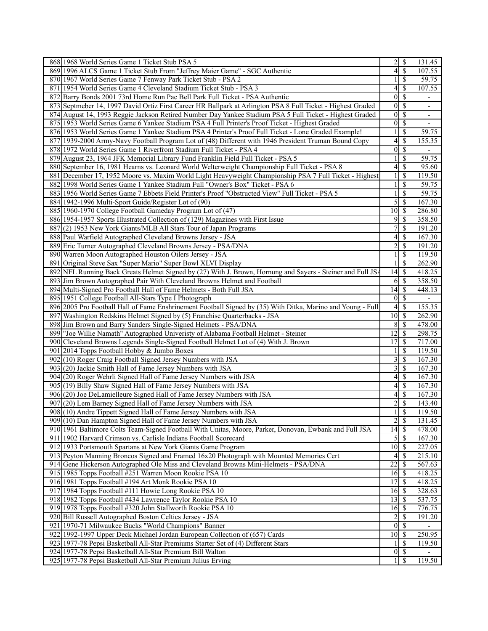| 868 1968 World Series Game 1 Ticket Stub PSA 5                                                              | 2                | $\mathbb{S}$  | 131.45                   |
|-------------------------------------------------------------------------------------------------------------|------------------|---------------|--------------------------|
| 869 1996 ALCS Game 1 Ticket Stub From "Jeffrey Maier Game" - SGC Authentic                                  | 4                | \$            | 107.55                   |
| 870 1967 World Series Game 7 Fenway Park Ticket Stub - PSA 2                                                |                  | \$            | 59.75                    |
| 871 1954 World Series Game 4 Cleveland Stadium Ticket Stub - PSA 3                                          | 4                | <sup>\$</sup> | 107.55                   |
| 872 Barry Bonds 2001 73rd Home Run Pac Bell Park Full Ticket - PSA Authentic                                | $\theta$         | S             |                          |
| 873 Septmeber 14, 1997 David Ortiz First Career HR Ballpark at Arlington PSA 8 Full Ticket - Highest Graded | $\mathbf{0}$     | \$            | $\overline{\phantom{a}}$ |
| 874 August 14, 1993 Reggie Jackson Retired Number Day Yankee Stadium PSA 5 Full Ticket - Highest Graded     | $\mathbf{0}$     | \$            | $\overline{\phantom{a}}$ |
| 875 1953 World Series Game 6 Yankee Stadium PSA 4 Full Printer's Proof Ticket - Highest Graded              | $\mathbf{0}$     | \$            |                          |
| 876 1953 World Series Game 1 Yankee Stadium PSA 4 Printer's Proof Full Ticket - Lone Graded Example!        |                  | \$            | 59.75                    |
| 877 1939-2000 Army-Navy Football Program Lot of (48) Different with 1946 President Truman Bound Copy        | 4                | \$            | 155.35                   |
|                                                                                                             | $\theta$         | <sup>\$</sup> |                          |
| 878 1972 World Series Game 1 Riverfront Stadium Full Ticket - PSA 4                                         |                  |               |                          |
| 879 August 23, 1964 JFK Memorial Library Fund Franklin Field Full Ticket - PSA 5                            |                  | \$            | 59.75                    |
| 880 September 16, 1981 Hearns vs. Leonard World Welterweight Championship Full Ticket - PSA 8               | 4                | <sup>\$</sup> | 95.60                    |
| 881 December 17, 1952 Moore vs. Maxim World Light Heavyweight Championship PSA 7 Full Ticket - Highest      | 1                | \$            | 119.50                   |
| 882 1998 World Series Game 1 Yankee Stadium Full "Owner's Box" Ticket - PSA 6                               |                  | \$            | 59.75                    |
| 883 1956 World Series Game 7 Ebbets Field Printer's Proof "Obstructed View" Full Ticket - PSA 5             |                  | <sup>\$</sup> | 59.75                    |
| 884 1942-1996 Multi-Sport Guide/Register Lot of (90)                                                        | 5                | <sup>\$</sup> | 167.30                   |
| 885 1960-1970 College Football Gameday Program Lot of (47)                                                  | 10               | \$            | 286.80                   |
| 886 1954-1957 Sports Illustrated Collection of (129) Magazines with First Issue                             | 9                | <sup>\$</sup> | 358.50                   |
| 887(2) 1953 New York Giants/MLB All Stars Tour of Japan Programs                                            | 7                | <sup>\$</sup> | 191.20                   |
| 888 Paul Warfield Autographed Cleveland Browns Jersey - JSA                                                 | 4                | \$            | 167.30                   |
| 889 Eric Turner Autographed Cleveland Browns Jersey - PSA/DNA                                               | 2                | <sup>\$</sup> | 191.20                   |
| 890 Warren Moon Autographed Houston Oilers Jersey - JSA                                                     | 1                | <sup>\$</sup> | 119.50                   |
| 891 Original Steve Sax "Super Mario" Super Bowl XLVI Display                                                |                  | \$            | 262.90                   |
| 892 NFL Running Back Greats Helmet Signed by (27) With J. Brown, Hornung and Sayers - Steiner and Full JSA  | 14               | <sup>\$</sup> | 418.25                   |
|                                                                                                             | 6                | $\mathcal{S}$ | 358.50                   |
| 893 Jim Brown Autographed Pair With Cleveland Browns Helmet and Football                                    |                  |               |                          |
| 894 Multi-Signed Pro Football Hall of Fame Helmets - Both Full JSA                                          | 14               | <sup>\$</sup> | 448.13                   |
| 895 1951 College Football All-Stars Type I Photograph                                                       | $\mathbf{0}$     | <sup>\$</sup> |                          |
| 896 2005 Pro Football Hall of Fame Enshrinement Football Signed by (35) With Ditka, Marino and Young - Full | 4                | <sup>\$</sup> | 155.35                   |
| 897 Washington Redskins Helmet Signed by (5) Franchise Quarterbacks - JSA                                   | 10               | -\$           | 262.90                   |
| 898 Jim Brown and Barry Sanders Single-Signed Helmets - PSA/DNA                                             | 8                | \$            | 478.00                   |
| 899 "Joe Willie Namath" Autographed University of Alabama Football Helmet - Steiner                         | 12               | <sup>\$</sup> | 298.75                   |
| 900 Cleveland Browns Legends Single-Signed Football Helmet Lot of (4) With J. Brown                         | 17               | \$            | 717.00                   |
| 901 2014 Topps Football Hobby & Jumbo Boxes                                                                 |                  | \$            | 119.50                   |
| 902 (10) Roger Craig Football Signed Jersey Numbers with JSA                                                | 3                | \$            | 167.30                   |
| 903 (20) Jackie Smith Hall of Fame Jersey Numbers with JSA                                                  | 3                | \$            | 167.30                   |
| 904 (20) Roger Wehrli Signed Hall of Fame Jersey Numbers with JSA                                           | 4                | \$            | 167.30                   |
| 905 (19) Billy Shaw Signed Hall of Fame Jersey Numbers with JSA                                             | 4                | <sup>\$</sup> | 167.30                   |
| 906 (20) Joe DeLamielleure Signed Hall of Fame Jersey Numbers with JSA                                      | 4                | <sup>\$</sup> | 167.30                   |
| 907 (20) Lem Barney Signed Hall of Fame Jersey Numbers with JSA                                             | 2                | \$            | 143.40                   |
| 908 (10) Andre Tippett Signed Hall of Fame Jersey Numbers with JSA                                          | $\mathbf{1}$     | \$            | 119.50                   |
| 909 (10) Dan Hampton Signed Hall of Fame Jersey Numbers with JSA                                            | $\overline{c}$   | $\mathcal{S}$ | 131.45                   |
| 910 1961 Baltimore Colts Team-Signed Football With Unitas, Moore, Parker, Donovan, Ewbank and Full JSA      | 14               | <sup>\$</sup> | 478.00                   |
| 911 1902 Harvard Crimson vs. Carlisle Indians Football Scorecard                                            |                  | $\mathbb{S}$  | 167.30                   |
|                                                                                                             | 5                |               |                          |
| 912 1933 Portsmouth Spartans at New York Giants Game Program                                                | 10               | \$            | 227.05                   |
| 913 Peyton Manning Broncos Signed and Framed 16x20 Photograph with Mounted Memories Cert                    | 4                | \$            | 215.10                   |
| 914 Gene Hickerson Autographed Ole Miss and Cleveland Browns Mini-Helmets - PSA/DNA                         | $\overline{22}$  | \$            | 567.63                   |
| 915 1985 Topps Football #251 Warren Moon Rookie PSA 10                                                      | 16               | -\$           | 418.25                   |
| 916 1981 Topps Football #194 Art Monk Rookie PSA 10                                                         | 17               | \$            | 418.25                   |
| 917 1984 Topps Football #111 Howie Long Rookie PSA 10                                                       | 16               | -\$           | 328.63                   |
| 918 1982 Topps Football #434 Lawrence Taylor Rookie PSA 10                                                  | 13               | \$            | 537.75                   |
| 919 1978 Topps Football #320 John Stallworth Rookie PSA 10                                                  | 16               | -S            | 776.75                   |
| 920 Bill Russell Autographed Boston Celtics Jersey - JSA                                                    | 2                | \$            | 191.20                   |
| 921 1970-71 Milwaukee Bucks "World Champions" Banner                                                        | $\boldsymbol{0}$ | $\mathcal{S}$ |                          |
| 922 1992-1997 Upper Deck Michael Jordan European Collection of (657) Cards                                  | 10               | -\$           | 250.95                   |
| 923 1977-78 Pepsi Basketball All-Star Premiums Starter Set of (4) Different Stars                           |                  | <sup>\$</sup> | 119.50                   |
| 924 1977-78 Pepsi Basketball All-Star Premium Bill Walton                                                   | $\boldsymbol{0}$ | $\mathbb{S}$  | $\overline{\phantom{0}}$ |
| 925 1977-78 Pepsi Basketball All-Star Premium Julius Erving                                                 | 1 <sup>1</sup>   | -S            | 119.50                   |
|                                                                                                             |                  |               |                          |